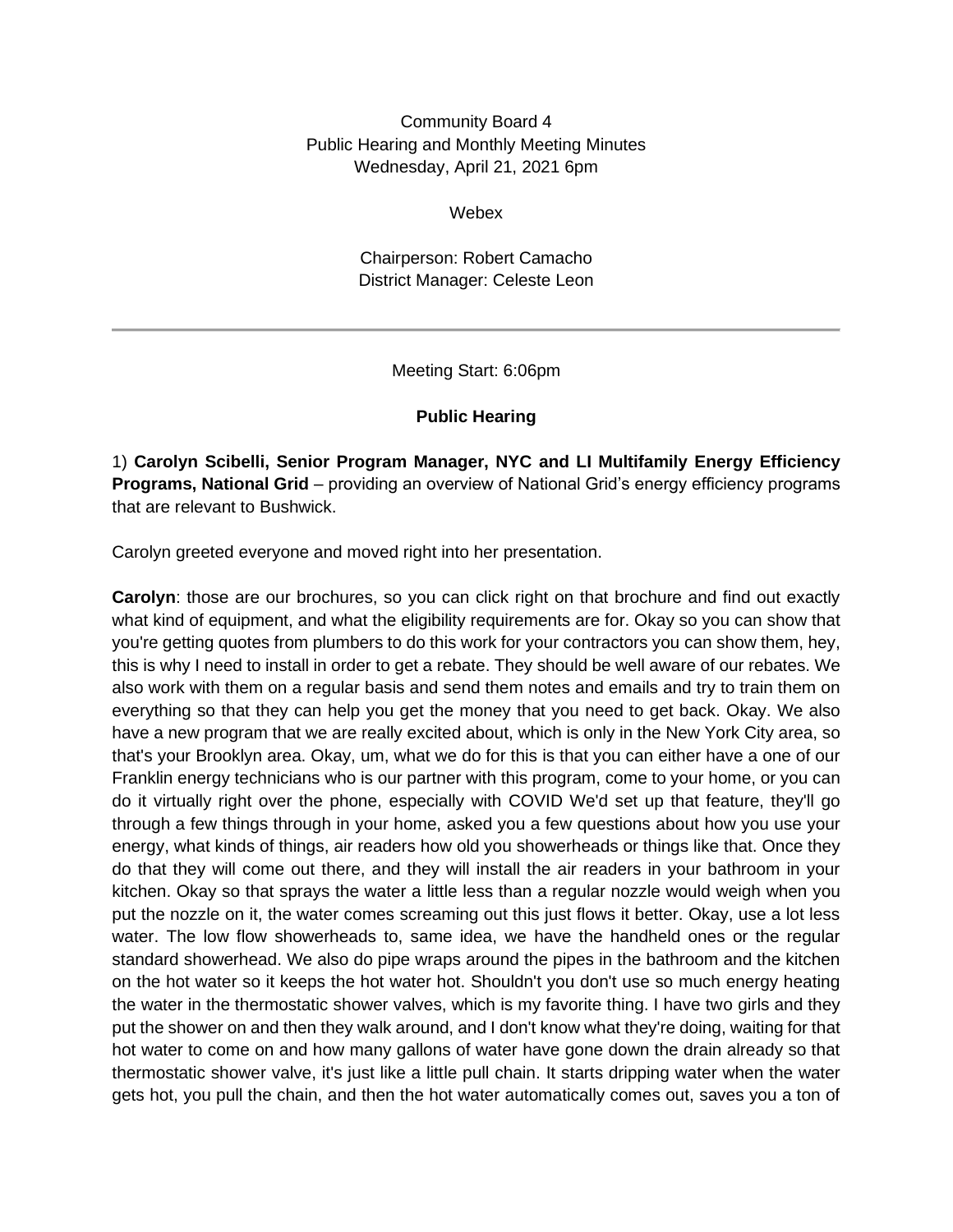Community Board 4 Public Hearing and Monthly Meeting Minutes Wednesday, April 21, 2021 6pm

Webex

Chairperson: Robert Camacho District Manager: Celeste Leon

Meeting Start: 6:06pm

### **Public Hearing**

1) **Carolyn Scibelli, Senior Program Manager, NYC and LI Multifamily Energy Efficiency Programs, National Grid** – providing an overview of National Grid's energy efficiency programs that are relevant to Bushwick.

Carolyn greeted everyone and moved right into her presentation.

**Carolyn**: those are our brochures, so you can click right on that brochure and find out exactly what kind of equipment, and what the eligibility requirements are for. Okay so you can show that you're getting quotes from plumbers to do this work for your contractors you can show them, hey, this is why I need to install in order to get a rebate. They should be well aware of our rebates. We also work with them on a regular basis and send them notes and emails and try to train them on everything so that they can help you get the money that you need to get back. Okay. We also have a new program that we are really excited about, which is only in the New York City area, so that's your Brooklyn area. Okay, um, what we do for this is that you can either have a one of our Franklin energy technicians who is our partner with this program, come to your home, or you can do it virtually right over the phone, especially with COVID We'd set up that feature, they'll go through a few things through in your home, asked you a few questions about how you use your energy, what kinds of things, air readers how old you showerheads or things like that. Once they do that they will come out there, and they will install the air readers in your bathroom in your kitchen. Okay so that sprays the water a little less than a regular nozzle would weigh when you put the nozzle on it, the water comes screaming out this just flows it better. Okay, use a lot less water. The low flow showerheads to, same idea, we have the handheld ones or the regular standard showerhead. We also do pipe wraps around the pipes in the bathroom and the kitchen on the hot water so it keeps the hot water hot. Shouldn't you don't use so much energy heating the water in the thermostatic shower valves, which is my favorite thing. I have two girls and they put the shower on and then they walk around, and I don't know what they're doing, waiting for that hot water to come on and how many gallons of water have gone down the drain already so that thermostatic shower valve, it's just like a little pull chain. It starts dripping water when the water gets hot, you pull the chain, and then the hot water automatically comes out, saves you a ton of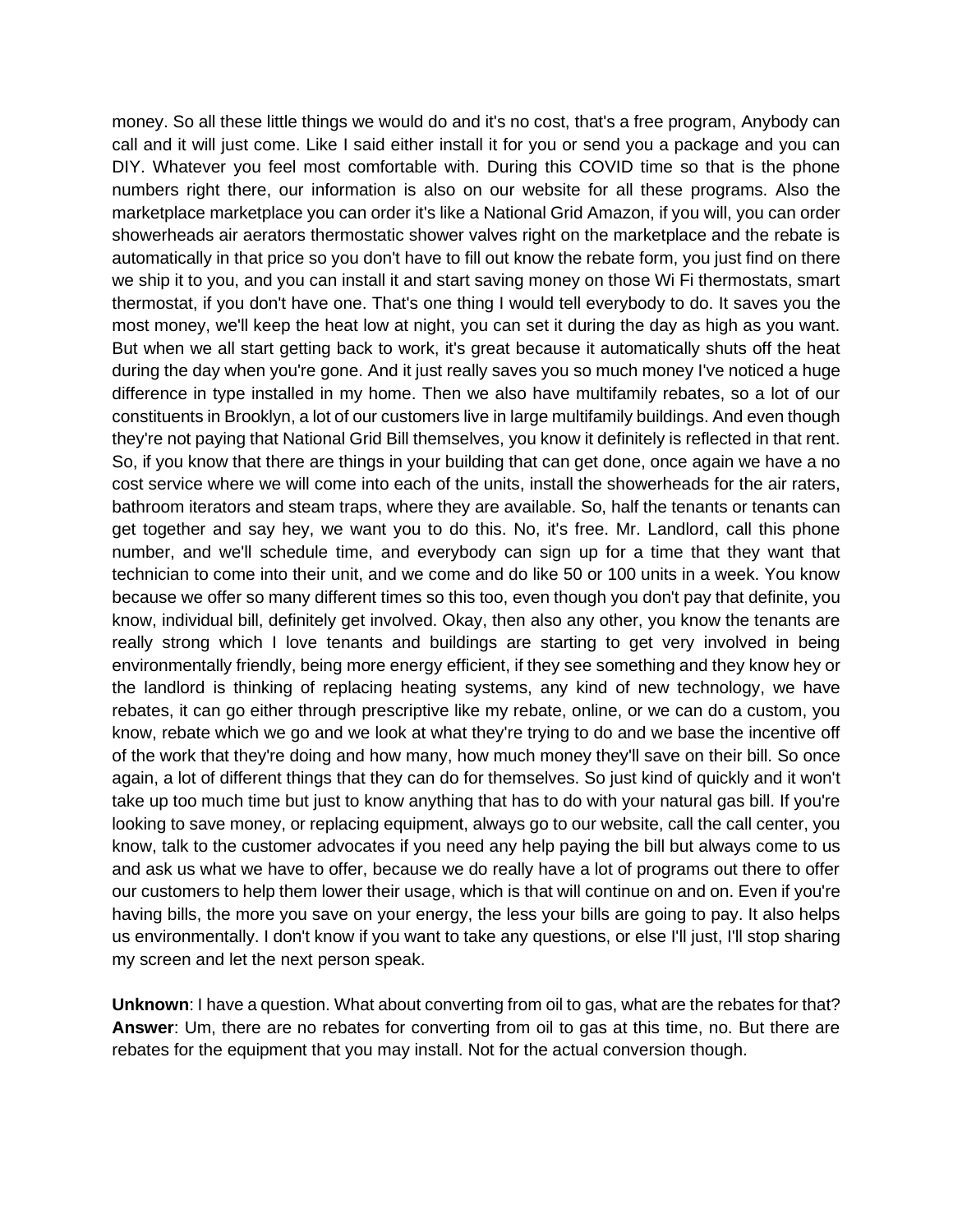money. So all these little things we would do and it's no cost, that's a free program, Anybody can call and it will just come. Like I said either install it for you or send you a package and you can DIY. Whatever you feel most comfortable with. During this COVID time so that is the phone numbers right there, our information is also on our website for all these programs. Also the marketplace marketplace you can order it's like a National Grid Amazon, if you will, you can order showerheads air aerators thermostatic shower valves right on the marketplace and the rebate is automatically in that price so you don't have to fill out know the rebate form, you just find on there we ship it to you, and you can install it and start saving money on those Wi Fi thermostats, smart thermostat, if you don't have one. That's one thing I would tell everybody to do. It saves you the most money, we'll keep the heat low at night, you can set it during the day as high as you want. But when we all start getting back to work, it's great because it automatically shuts off the heat during the day when you're gone. And it just really saves you so much money I've noticed a huge difference in type installed in my home. Then we also have multifamily rebates, so a lot of our constituents in Brooklyn, a lot of our customers live in large multifamily buildings. And even though they're not paying that National Grid Bill themselves, you know it definitely is reflected in that rent. So, if you know that there are things in your building that can get done, once again we have a no cost service where we will come into each of the units, install the showerheads for the air raters, bathroom iterators and steam traps, where they are available. So, half the tenants or tenants can get together and say hey, we want you to do this. No, it's free. Mr. Landlord, call this phone number, and we'll schedule time, and everybody can sign up for a time that they want that technician to come into their unit, and we come and do like 50 or 100 units in a week. You know because we offer so many different times so this too, even though you don't pay that definite, you know, individual bill, definitely get involved. Okay, then also any other, you know the tenants are really strong which I love tenants and buildings are starting to get very involved in being environmentally friendly, being more energy efficient, if they see something and they know hey or the landlord is thinking of replacing heating systems, any kind of new technology, we have rebates, it can go either through prescriptive like my rebate, online, or we can do a custom, you know, rebate which we go and we look at what they're trying to do and we base the incentive off of the work that they're doing and how many, how much money they'll save on their bill. So once again, a lot of different things that they can do for themselves. So just kind of quickly and it won't take up too much time but just to know anything that has to do with your natural gas bill. If you're looking to save money, or replacing equipment, always go to our website, call the call center, you know, talk to the customer advocates if you need any help paying the bill but always come to us and ask us what we have to offer, because we do really have a lot of programs out there to offer our customers to help them lower their usage, which is that will continue on and on. Even if you're having bills, the more you save on your energy, the less your bills are going to pay. It also helps us environmentally. I don't know if you want to take any questions, or else I'll just, I'll stop sharing my screen and let the next person speak.

**Unknown**: I have a question. What about converting from oil to gas, what are the rebates for that? **Answer**: Um, there are no rebates for converting from oil to gas at this time, no. But there are rebates for the equipment that you may install. Not for the actual conversion though.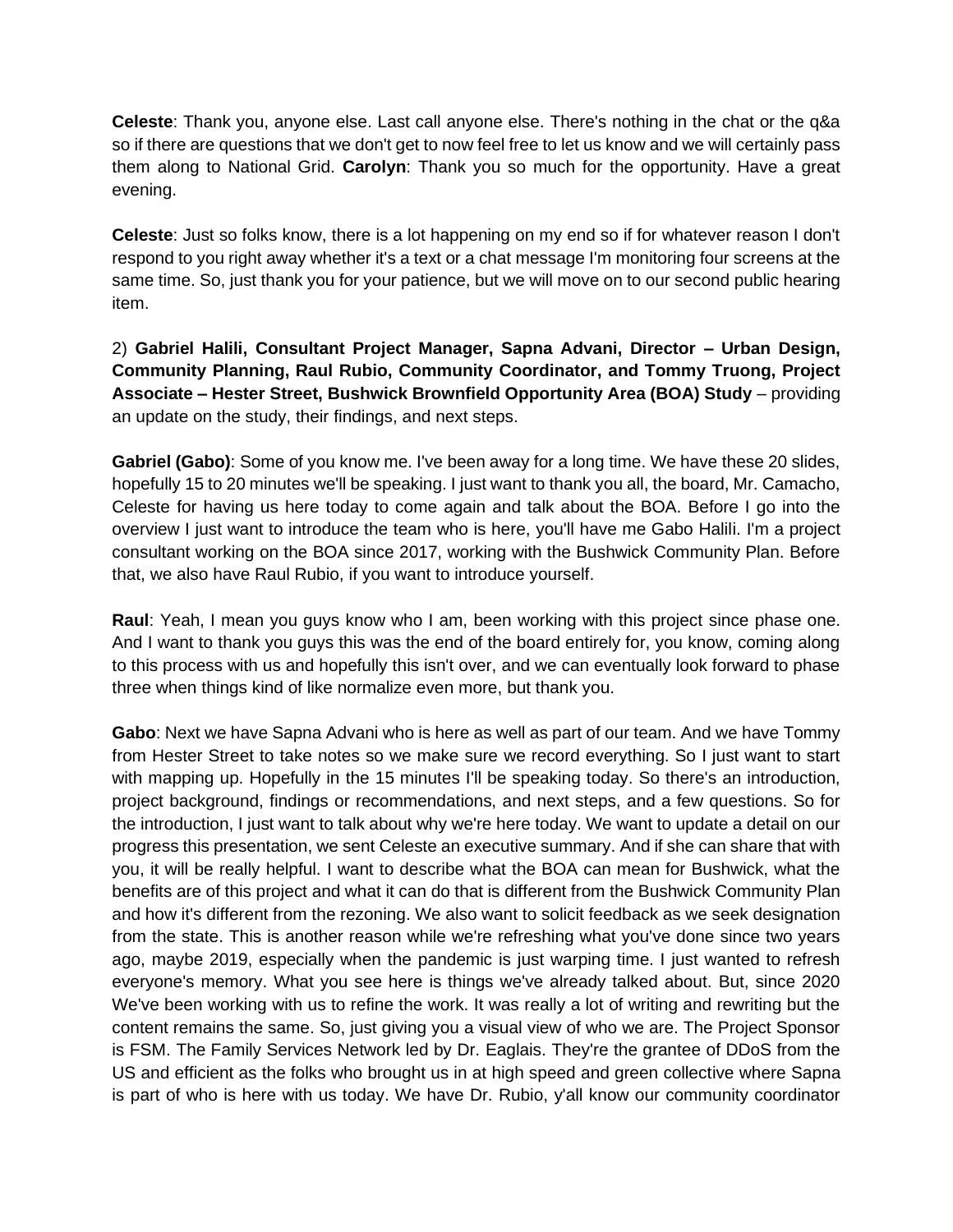**Celeste**: Thank you, anyone else. Last call anyone else. There's nothing in the chat or the q&a so if there are questions that we don't get to now feel free to let us know and we will certainly pass them along to National Grid. **Carolyn**: Thank you so much for the opportunity. Have a great evening.

**Celeste**: Just so folks know, there is a lot happening on my end so if for whatever reason I don't respond to you right away whether it's a text or a chat message I'm monitoring four screens at the same time. So, just thank you for your patience, but we will move on to our second public hearing item.

2) **Gabriel Halili, Consultant Project Manager, Sapna Advani, Director – Urban Design, Community Planning, Raul Rubio, Community Coordinator, and Tommy Truong, Project Associate – Hester Street, Bushwick Brownfield Opportunity Area (BOA) Study** – providing an update on the study, their findings, and next steps.

**Gabriel (Gabo)**: Some of you know me. I've been away for a long time. We have these 20 slides, hopefully 15 to 20 minutes we'll be speaking. I just want to thank you all, the board, Mr. Camacho, Celeste for having us here today to come again and talk about the BOA. Before I go into the overview I just want to introduce the team who is here, you'll have me Gabo Halili. I'm a project consultant working on the BOA since 2017, working with the Bushwick Community Plan. Before that, we also have Raul Rubio, if you want to introduce yourself.

**Raul**: Yeah, I mean you guys know who I am, been working with this project since phase one. And I want to thank you guys this was the end of the board entirely for, you know, coming along to this process with us and hopefully this isn't over, and we can eventually look forward to phase three when things kind of like normalize even more, but thank you.

**Gabo**: Next we have Sapna Advani who is here as well as part of our team. And we have Tommy from Hester Street to take notes so we make sure we record everything. So I just want to start with mapping up. Hopefully in the 15 minutes I'll be speaking today. So there's an introduction, project background, findings or recommendations, and next steps, and a few questions. So for the introduction, I just want to talk about why we're here today. We want to update a detail on our progress this presentation, we sent Celeste an executive summary. And if she can share that with you, it will be really helpful. I want to describe what the BOA can mean for Bushwick, what the benefits are of this project and what it can do that is different from the Bushwick Community Plan and how it's different from the rezoning. We also want to solicit feedback as we seek designation from the state. This is another reason while we're refreshing what you've done since two years ago, maybe 2019, especially when the pandemic is just warping time. I just wanted to refresh everyone's memory. What you see here is things we've already talked about. But, since 2020 We've been working with us to refine the work. It was really a lot of writing and rewriting but the content remains the same. So, just giving you a visual view of who we are. The Project Sponsor is FSM. The Family Services Network led by Dr. Eaglais. They're the grantee of DDoS from the US and efficient as the folks who brought us in at high speed and green collective where Sapna is part of who is here with us today. We have Dr. Rubio, y'all know our community coordinator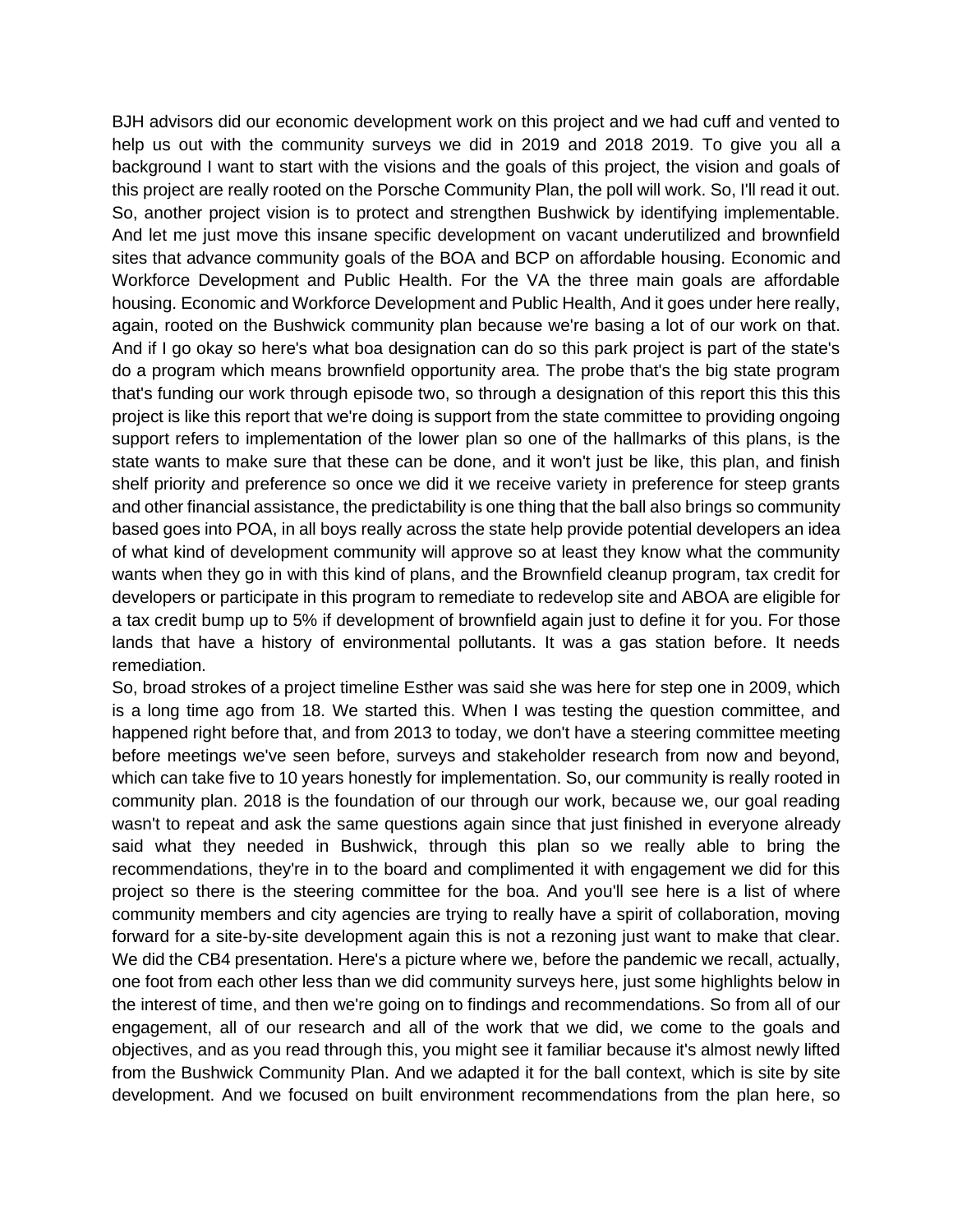BJH advisors did our economic development work on this project and we had cuff and vented to help us out with the community surveys we did in 2019 and 2018 2019. To give you all a background I want to start with the visions and the goals of this project, the vision and goals of this project are really rooted on the Porsche Community Plan, the poll will work. So, I'll read it out. So, another project vision is to protect and strengthen Bushwick by identifying implementable. And let me just move this insane specific development on vacant underutilized and brownfield sites that advance community goals of the BOA and BCP on affordable housing. Economic and Workforce Development and Public Health. For the VA the three main goals are affordable housing. Economic and Workforce Development and Public Health, And it goes under here really, again, rooted on the Bushwick community plan because we're basing a lot of our work on that. And if I go okay so here's what boa designation can do so this park project is part of the state's do a program which means brownfield opportunity area. The probe that's the big state program that's funding our work through episode two, so through a designation of this report this this this project is like this report that we're doing is support from the state committee to providing ongoing support refers to implementation of the lower plan so one of the hallmarks of this plans, is the state wants to make sure that these can be done, and it won't just be like, this plan, and finish shelf priority and preference so once we did it we receive variety in preference for steep grants and other financial assistance, the predictability is one thing that the ball also brings so community based goes into POA, in all boys really across the state help provide potential developers an idea of what kind of development community will approve so at least they know what the community wants when they go in with this kind of plans, and the Brownfield cleanup program, tax credit for developers or participate in this program to remediate to redevelop site and ABOA are eligible for a tax credit bump up to 5% if development of brownfield again just to define it for you. For those lands that have a history of environmental pollutants. It was a gas station before. It needs remediation.

So, broad strokes of a project timeline Esther was said she was here for step one in 2009, which is a long time ago from 18. We started this. When I was testing the question committee, and happened right before that, and from 2013 to today, we don't have a steering committee meeting before meetings we've seen before, surveys and stakeholder research from now and beyond, which can take five to 10 years honestly for implementation. So, our community is really rooted in community plan. 2018 is the foundation of our through our work, because we, our goal reading wasn't to repeat and ask the same questions again since that just finished in everyone already said what they needed in Bushwick, through this plan so we really able to bring the recommendations, they're in to the board and complimented it with engagement we did for this project so there is the steering committee for the boa. And you'll see here is a list of where community members and city agencies are trying to really have a spirit of collaboration, moving forward for a site-by-site development again this is not a rezoning just want to make that clear. We did the CB4 presentation. Here's a picture where we, before the pandemic we recall, actually, one foot from each other less than we did community surveys here, just some highlights below in the interest of time, and then we're going on to findings and recommendations. So from all of our engagement, all of our research and all of the work that we did, we come to the goals and objectives, and as you read through this, you might see it familiar because it's almost newly lifted from the Bushwick Community Plan. And we adapted it for the ball context, which is site by site development. And we focused on built environment recommendations from the plan here, so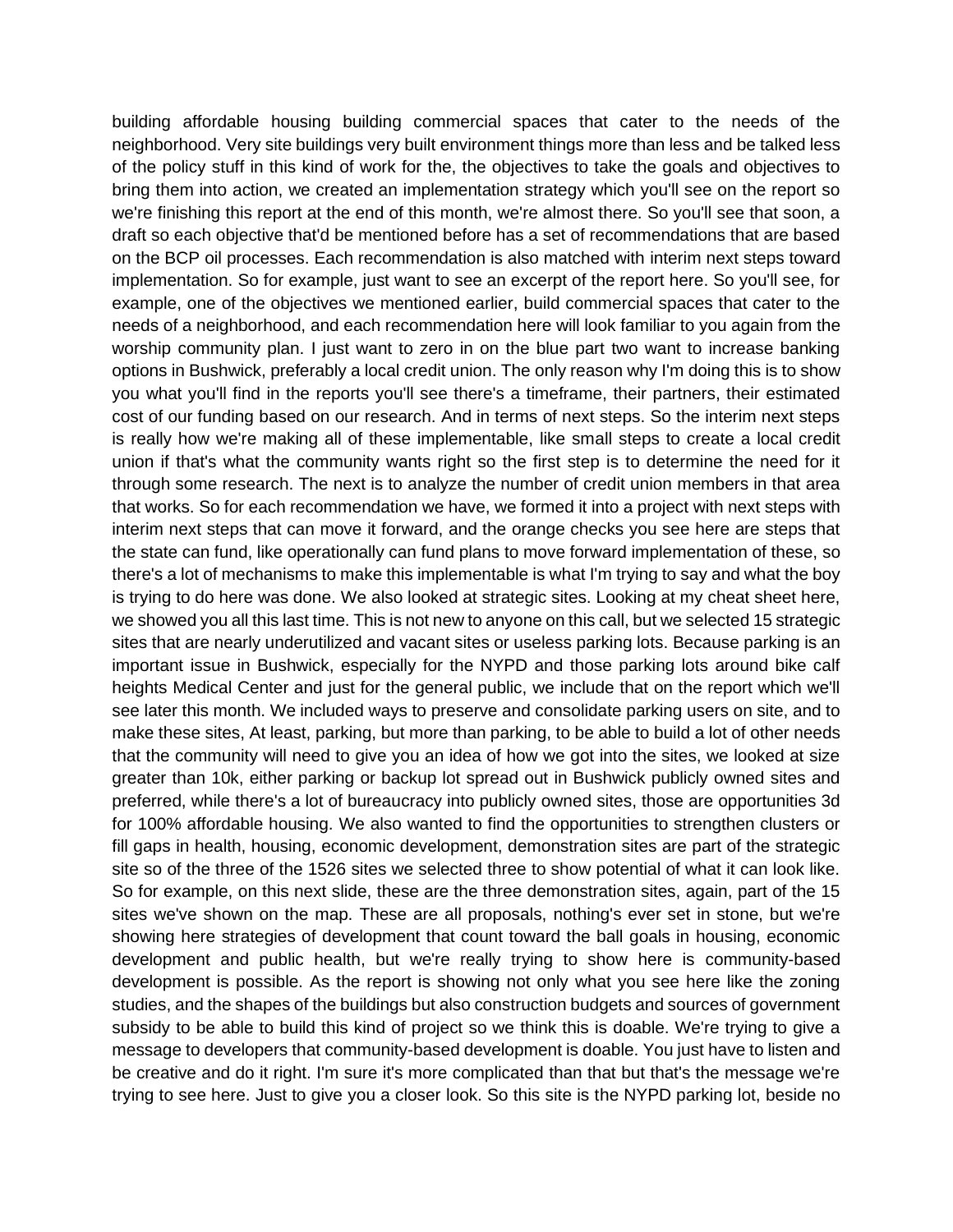building affordable housing building commercial spaces that cater to the needs of the neighborhood. Very site buildings very built environment things more than less and be talked less of the policy stuff in this kind of work for the, the objectives to take the goals and objectives to bring them into action, we created an implementation strategy which you'll see on the report so we're finishing this report at the end of this month, we're almost there. So you'll see that soon, a draft so each objective that'd be mentioned before has a set of recommendations that are based on the BCP oil processes. Each recommendation is also matched with interim next steps toward implementation. So for example, just want to see an excerpt of the report here. So you'll see, for example, one of the objectives we mentioned earlier, build commercial spaces that cater to the needs of a neighborhood, and each recommendation here will look familiar to you again from the worship community plan. I just want to zero in on the blue part two want to increase banking options in Bushwick, preferably a local credit union. The only reason why I'm doing this is to show you what you'll find in the reports you'll see there's a timeframe, their partners, their estimated cost of our funding based on our research. And in terms of next steps. So the interim next steps is really how we're making all of these implementable, like small steps to create a local credit union if that's what the community wants right so the first step is to determine the need for it through some research. The next is to analyze the number of credit union members in that area that works. So for each recommendation we have, we formed it into a project with next steps with interim next steps that can move it forward, and the orange checks you see here are steps that the state can fund, like operationally can fund plans to move forward implementation of these, so there's a lot of mechanisms to make this implementable is what I'm trying to say and what the boy is trying to do here was done. We also looked at strategic sites. Looking at my cheat sheet here, we showed you all this last time. This is not new to anyone on this call, but we selected 15 strategic sites that are nearly underutilized and vacant sites or useless parking lots. Because parking is an important issue in Bushwick, especially for the NYPD and those parking lots around bike calf heights Medical Center and just for the general public, we include that on the report which we'll see later this month. We included ways to preserve and consolidate parking users on site, and to make these sites, At least, parking, but more than parking, to be able to build a lot of other needs that the community will need to give you an idea of how we got into the sites, we looked at size greater than 10k, either parking or backup lot spread out in Bushwick publicly owned sites and preferred, while there's a lot of bureaucracy into publicly owned sites, those are opportunities 3d for 100% affordable housing. We also wanted to find the opportunities to strengthen clusters or fill gaps in health, housing, economic development, demonstration sites are part of the strategic site so of the three of the 1526 sites we selected three to show potential of what it can look like. So for example, on this next slide, these are the three demonstration sites, again, part of the 15 sites we've shown on the map. These are all proposals, nothing's ever set in stone, but we're showing here strategies of development that count toward the ball goals in housing, economic development and public health, but we're really trying to show here is community-based development is possible. As the report is showing not only what you see here like the zoning studies, and the shapes of the buildings but also construction budgets and sources of government subsidy to be able to build this kind of project so we think this is doable. We're trying to give a message to developers that community-based development is doable. You just have to listen and be creative and do it right. I'm sure it's more complicated than that but that's the message we're trying to see here. Just to give you a closer look. So this site is the NYPD parking lot, beside no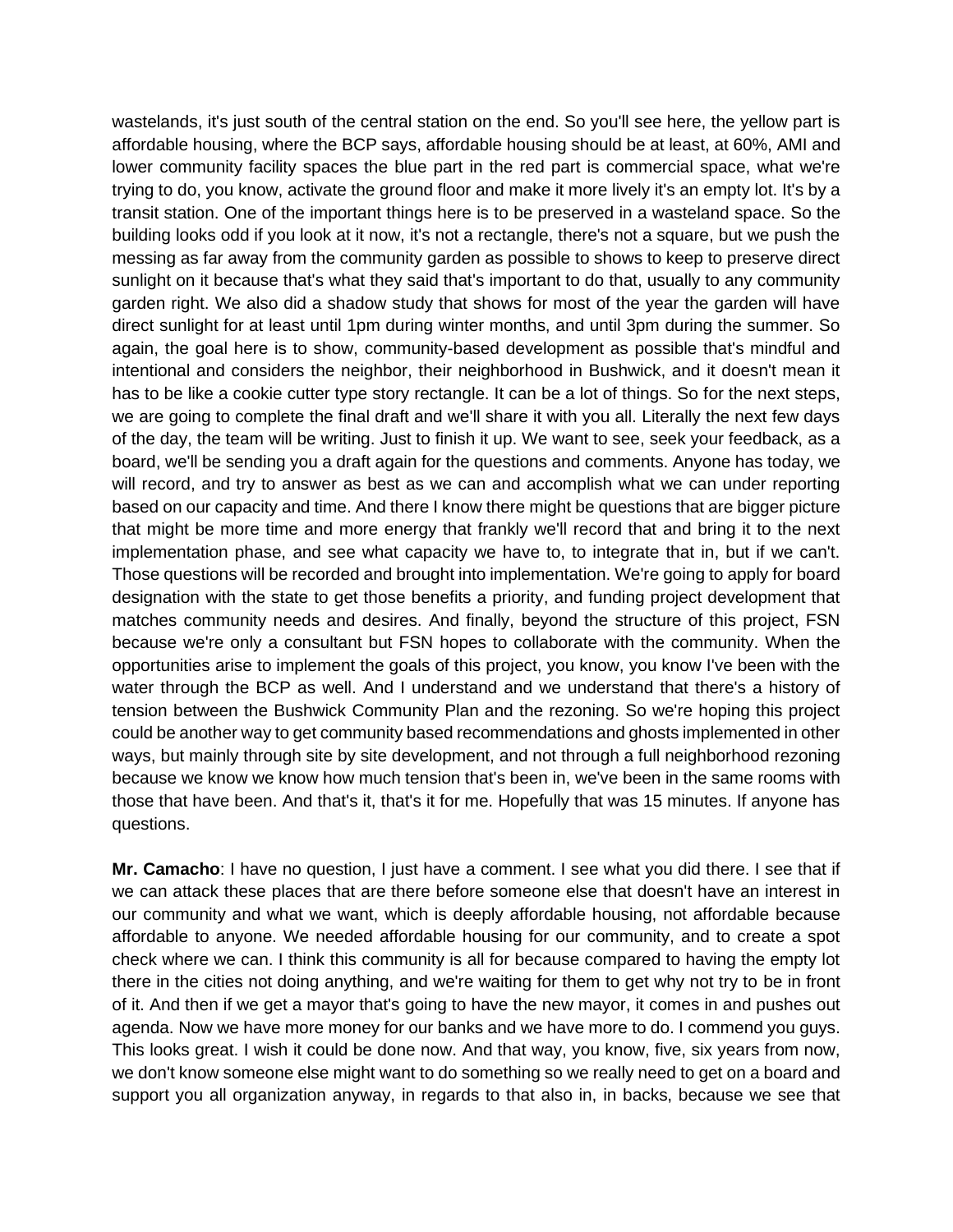wastelands, it's just south of the central station on the end. So you'll see here, the yellow part is affordable housing, where the BCP says, affordable housing should be at least, at 60%, AMI and lower community facility spaces the blue part in the red part is commercial space, what we're trying to do, you know, activate the ground floor and make it more lively it's an empty lot. It's by a transit station. One of the important things here is to be preserved in a wasteland space. So the building looks odd if you look at it now, it's not a rectangle, there's not a square, but we push the messing as far away from the community garden as possible to shows to keep to preserve direct sunlight on it because that's what they said that's important to do that, usually to any community garden right. We also did a shadow study that shows for most of the year the garden will have direct sunlight for at least until 1pm during winter months, and until 3pm during the summer. So again, the goal here is to show, community-based development as possible that's mindful and intentional and considers the neighbor, their neighborhood in Bushwick, and it doesn't mean it has to be like a cookie cutter type story rectangle. It can be a lot of things. So for the next steps, we are going to complete the final draft and we'll share it with you all. Literally the next few days of the day, the team will be writing. Just to finish it up. We want to see, seek your feedback, as a board, we'll be sending you a draft again for the questions and comments. Anyone has today, we will record, and try to answer as best as we can and accomplish what we can under reporting based on our capacity and time. And there I know there might be questions that are bigger picture that might be more time and more energy that frankly we'll record that and bring it to the next implementation phase, and see what capacity we have to, to integrate that in, but if we can't. Those questions will be recorded and brought into implementation. We're going to apply for board designation with the state to get those benefits a priority, and funding project development that matches community needs and desires. And finally, beyond the structure of this project, FSN because we're only a consultant but FSN hopes to collaborate with the community. When the opportunities arise to implement the goals of this project, you know, you know I've been with the water through the BCP as well. And I understand and we understand that there's a history of tension between the Bushwick Community Plan and the rezoning. So we're hoping this project could be another way to get community based recommendations and ghosts implemented in other ways, but mainly through site by site development, and not through a full neighborhood rezoning because we know we know how much tension that's been in, we've been in the same rooms with those that have been. And that's it, that's it for me. Hopefully that was 15 minutes. If anyone has questions.

**Mr. Camacho**: I have no question, I just have a comment. I see what you did there. I see that if we can attack these places that are there before someone else that doesn't have an interest in our community and what we want, which is deeply affordable housing, not affordable because affordable to anyone. We needed affordable housing for our community, and to create a spot check where we can. I think this community is all for because compared to having the empty lot there in the cities not doing anything, and we're waiting for them to get why not try to be in front of it. And then if we get a mayor that's going to have the new mayor, it comes in and pushes out agenda. Now we have more money for our banks and we have more to do. I commend you guys. This looks great. I wish it could be done now. And that way, you know, five, six years from now, we don't know someone else might want to do something so we really need to get on a board and support you all organization anyway, in regards to that also in, in backs, because we see that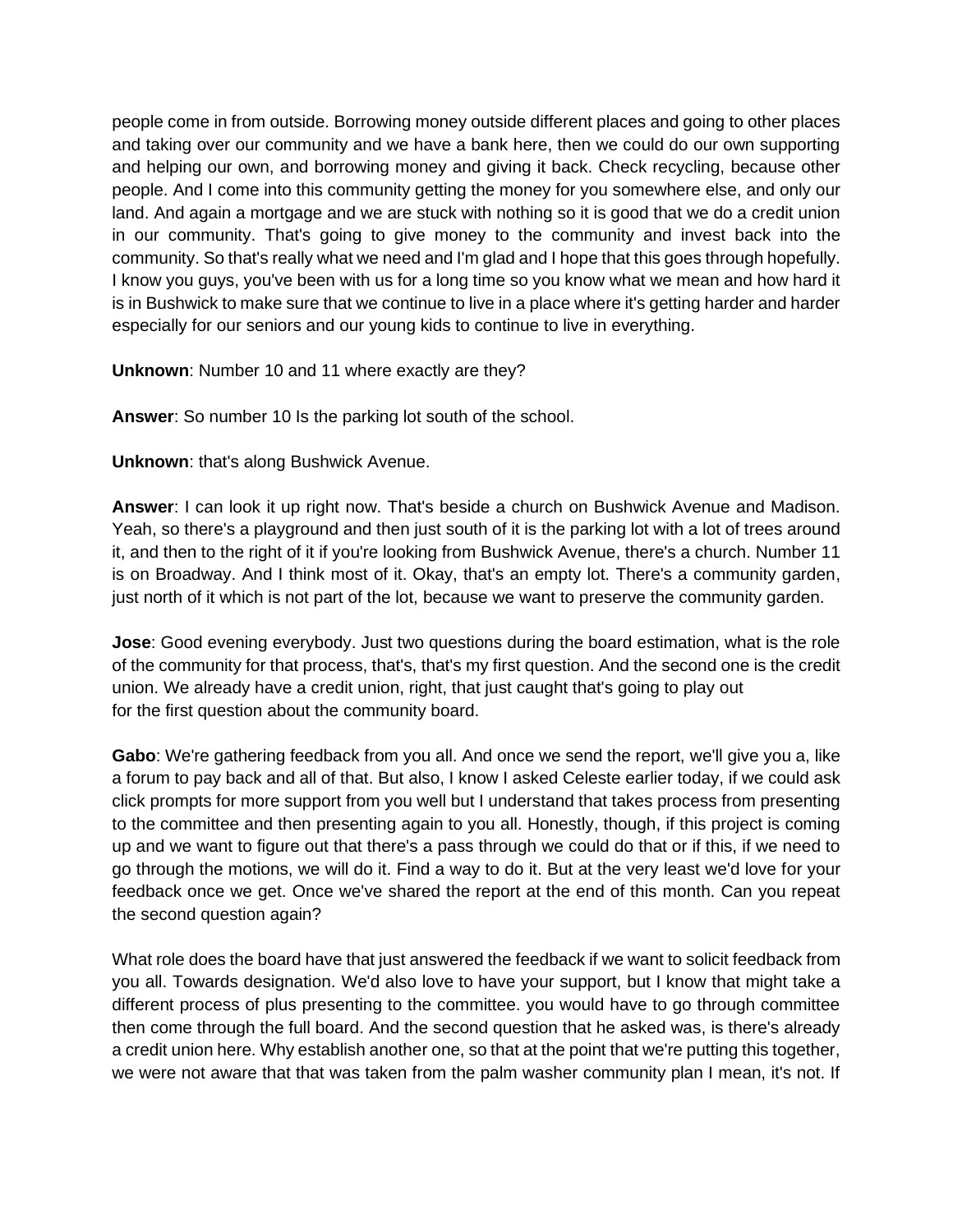people come in from outside. Borrowing money outside different places and going to other places and taking over our community and we have a bank here, then we could do our own supporting and helping our own, and borrowing money and giving it back. Check recycling, because other people. And I come into this community getting the money for you somewhere else, and only our land. And again a mortgage and we are stuck with nothing so it is good that we do a credit union in our community. That's going to give money to the community and invest back into the community. So that's really what we need and I'm glad and I hope that this goes through hopefully. I know you guys, you've been with us for a long time so you know what we mean and how hard it is in Bushwick to make sure that we continue to live in a place where it's getting harder and harder especially for our seniors and our young kids to continue to live in everything.

**Unknown**: Number 10 and 11 where exactly are they?

**Answer**: So number 10 Is the parking lot south of the school.

**Unknown**: that's along Bushwick Avenue.

**Answer**: I can look it up right now. That's beside a church on Bushwick Avenue and Madison. Yeah, so there's a playground and then just south of it is the parking lot with a lot of trees around it, and then to the right of it if you're looking from Bushwick Avenue, there's a church. Number 11 is on Broadway. And I think most of it. Okay, that's an empty lot. There's a community garden, just north of it which is not part of the lot, because we want to preserve the community garden.

**Jose**: Good evening everybody. Just two questions during the board estimation, what is the role of the community for that process, that's, that's my first question. And the second one is the credit union. We already have a credit union, right, that just caught that's going to play out for the first question about the community board.

**Gabo**: We're gathering feedback from you all. And once we send the report, we'll give you a, like a forum to pay back and all of that. But also, I know I asked Celeste earlier today, if we could ask click prompts for more support from you well but I understand that takes process from presenting to the committee and then presenting again to you all. Honestly, though, if this project is coming up and we want to figure out that there's a pass through we could do that or if this, if we need to go through the motions, we will do it. Find a way to do it. But at the very least we'd love for your feedback once we get. Once we've shared the report at the end of this month. Can you repeat the second question again?

What role does the board have that just answered the feedback if we want to solicit feedback from you all. Towards designation. We'd also love to have your support, but I know that might take a different process of plus presenting to the committee. you would have to go through committee then come through the full board. And the second question that he asked was, is there's already a credit union here. Why establish another one, so that at the point that we're putting this together, we were not aware that that was taken from the palm washer community plan I mean, it's not. If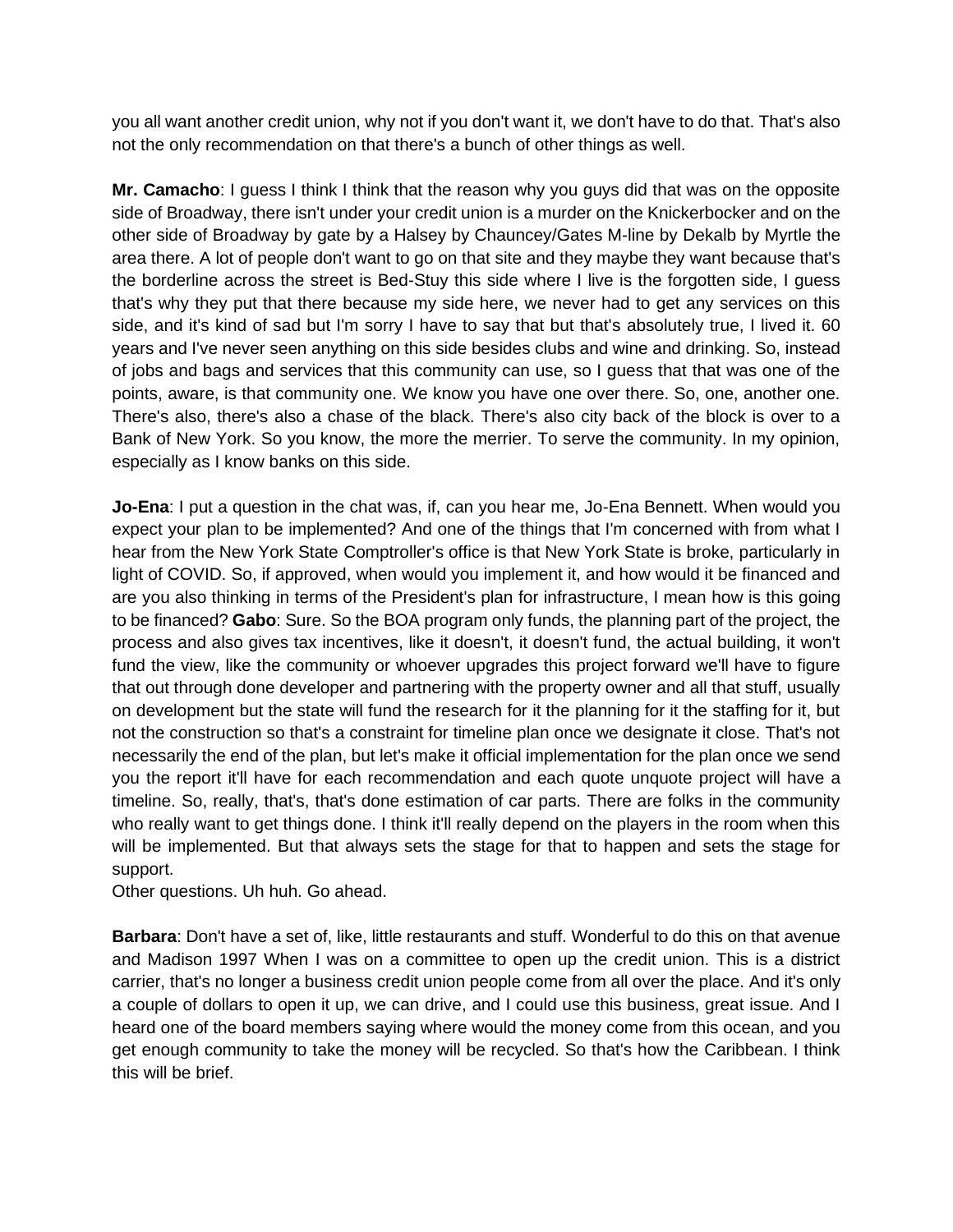you all want another credit union, why not if you don't want it, we don't have to do that. That's also not the only recommendation on that there's a bunch of other things as well.

**Mr. Camacho**: I guess I think I think that the reason why you guys did that was on the opposite side of Broadway, there isn't under your credit union is a murder on the Knickerbocker and on the other side of Broadway by gate by a Halsey by Chauncey/Gates M-line by Dekalb by Myrtle the area there. A lot of people don't want to go on that site and they maybe they want because that's the borderline across the street is Bed-Stuy this side where I live is the forgotten side, I guess that's why they put that there because my side here, we never had to get any services on this side, and it's kind of sad but I'm sorry I have to say that but that's absolutely true, I lived it. 60 years and I've never seen anything on this side besides clubs and wine and drinking. So, instead of jobs and bags and services that this community can use, so I guess that that was one of the points, aware, is that community one. We know you have one over there. So, one, another one. There's also, there's also a chase of the black. There's also city back of the block is over to a Bank of New York. So you know, the more the merrier. To serve the community. In my opinion, especially as I know banks on this side.

**Jo-Ena**: I put a question in the chat was, if, can you hear me, Jo-Ena Bennett. When would you expect your plan to be implemented? And one of the things that I'm concerned with from what I hear from the New York State Comptroller's office is that New York State is broke, particularly in light of COVID. So, if approved, when would you implement it, and how would it be financed and are you also thinking in terms of the President's plan for infrastructure, I mean how is this going to be financed? **Gabo**: Sure. So the BOA program only funds, the planning part of the project, the process and also gives tax incentives, like it doesn't, it doesn't fund, the actual building, it won't fund the view, like the community or whoever upgrades this project forward we'll have to figure that out through done developer and partnering with the property owner and all that stuff, usually on development but the state will fund the research for it the planning for it the staffing for it, but not the construction so that's a constraint for timeline plan once we designate it close. That's not necessarily the end of the plan, but let's make it official implementation for the plan once we send you the report it'll have for each recommendation and each quote unquote project will have a timeline. So, really, that's, that's done estimation of car parts. There are folks in the community who really want to get things done. I think it'll really depend on the players in the room when this will be implemented. But that always sets the stage for that to happen and sets the stage for support.

Other questions. Uh huh. Go ahead.

**Barbara**: Don't have a set of, like, little restaurants and stuff. Wonderful to do this on that avenue and Madison 1997 When I was on a committee to open up the credit union. This is a district carrier, that's no longer a business credit union people come from all over the place. And it's only a couple of dollars to open it up, we can drive, and I could use this business, great issue. And I heard one of the board members saying where would the money come from this ocean, and you get enough community to take the money will be recycled. So that's how the Caribbean. I think this will be brief.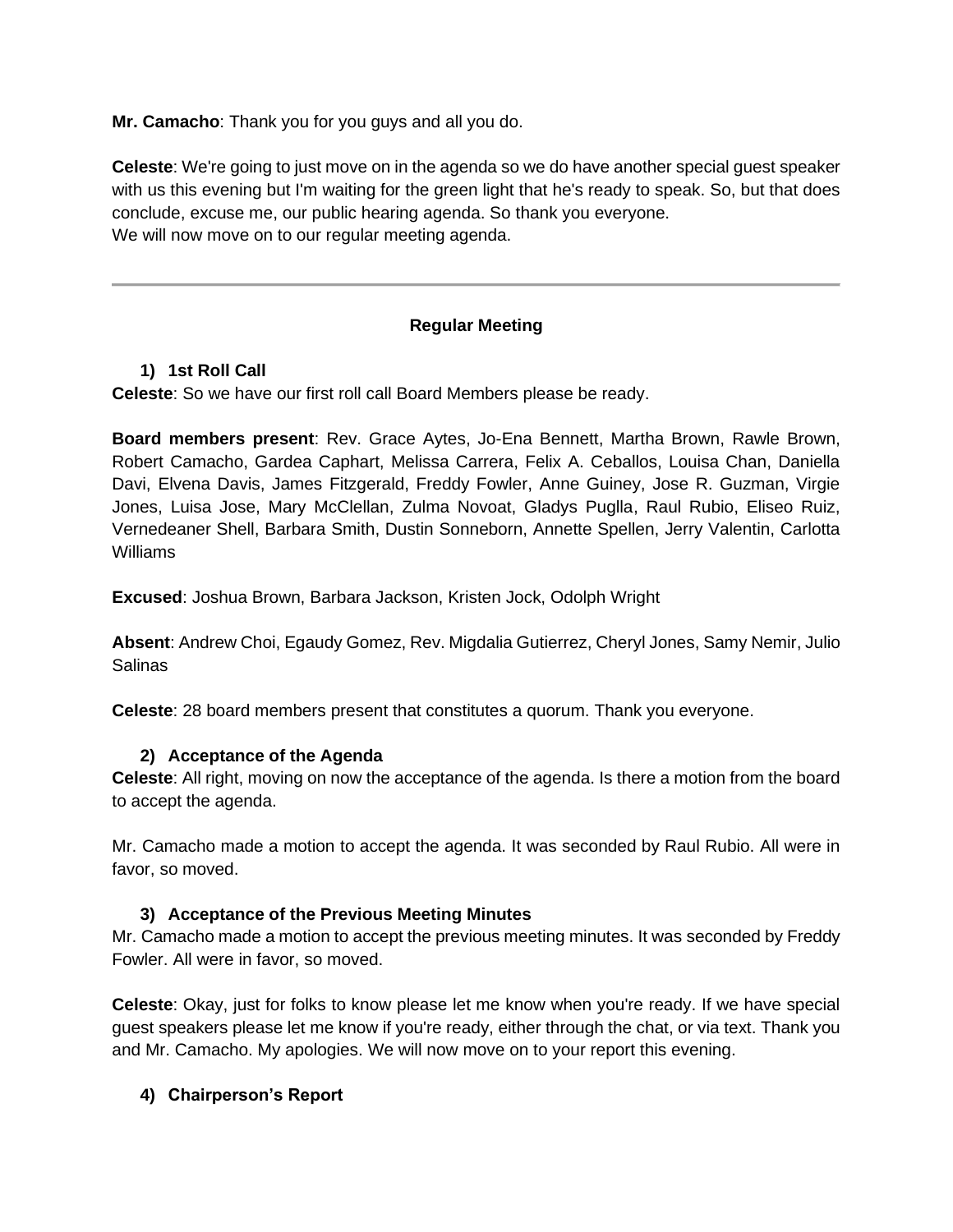**Mr. Camacho**: Thank you for you guys and all you do.

**Celeste**: We're going to just move on in the agenda so we do have another special guest speaker with us this evening but I'm waiting for the green light that he's ready to speak. So, but that does conclude, excuse me, our public hearing agenda. So thank you everyone. We will now move on to our regular meeting agenda.

## **Regular Meeting**

## **1) 1st Roll Call**

**Celeste**: So we have our first roll call Board Members please be ready.

**Board members present**: Rev. Grace Aytes, Jo-Ena Bennett, Martha Brown, Rawle Brown, Robert Camacho, Gardea Caphart, Melissa Carrera, Felix A. Ceballos, Louisa Chan, Daniella Davi, Elvena Davis, James Fitzgerald, Freddy Fowler, Anne Guiney, Jose R. Guzman, Virgie Jones, Luisa Jose, Mary McClellan, Zulma Novoat, Gladys Puglla, Raul Rubio, Eliseo Ruiz, Vernedeaner Shell, Barbara Smith, Dustin Sonneborn, Annette Spellen, Jerry Valentin, Carlotta Williams

**Excused**: Joshua Brown, Barbara Jackson, Kristen Jock, Odolph Wright

**Absent**: Andrew Choi, Egaudy Gomez, Rev. Migdalia Gutierrez, Cheryl Jones, Samy Nemir, Julio Salinas

**Celeste**: 28 board members present that constitutes a quorum. Thank you everyone.

### **2) Acceptance of the Agenda**

**Celeste**: All right, moving on now the acceptance of the agenda. Is there a motion from the board to accept the agenda.

Mr. Camacho made a motion to accept the agenda. It was seconded by Raul Rubio. All were in favor, so moved.

### **3) Acceptance of the Previous Meeting Minutes**

Mr. Camacho made a motion to accept the previous meeting minutes. It was seconded by Freddy Fowler. All were in favor, so moved.

**Celeste**: Okay, just for folks to know please let me know when you're ready. If we have special guest speakers please let me know if you're ready, either through the chat, or via text. Thank you and Mr. Camacho. My apologies. We will now move on to your report this evening.

## **4) Chairperson's Report**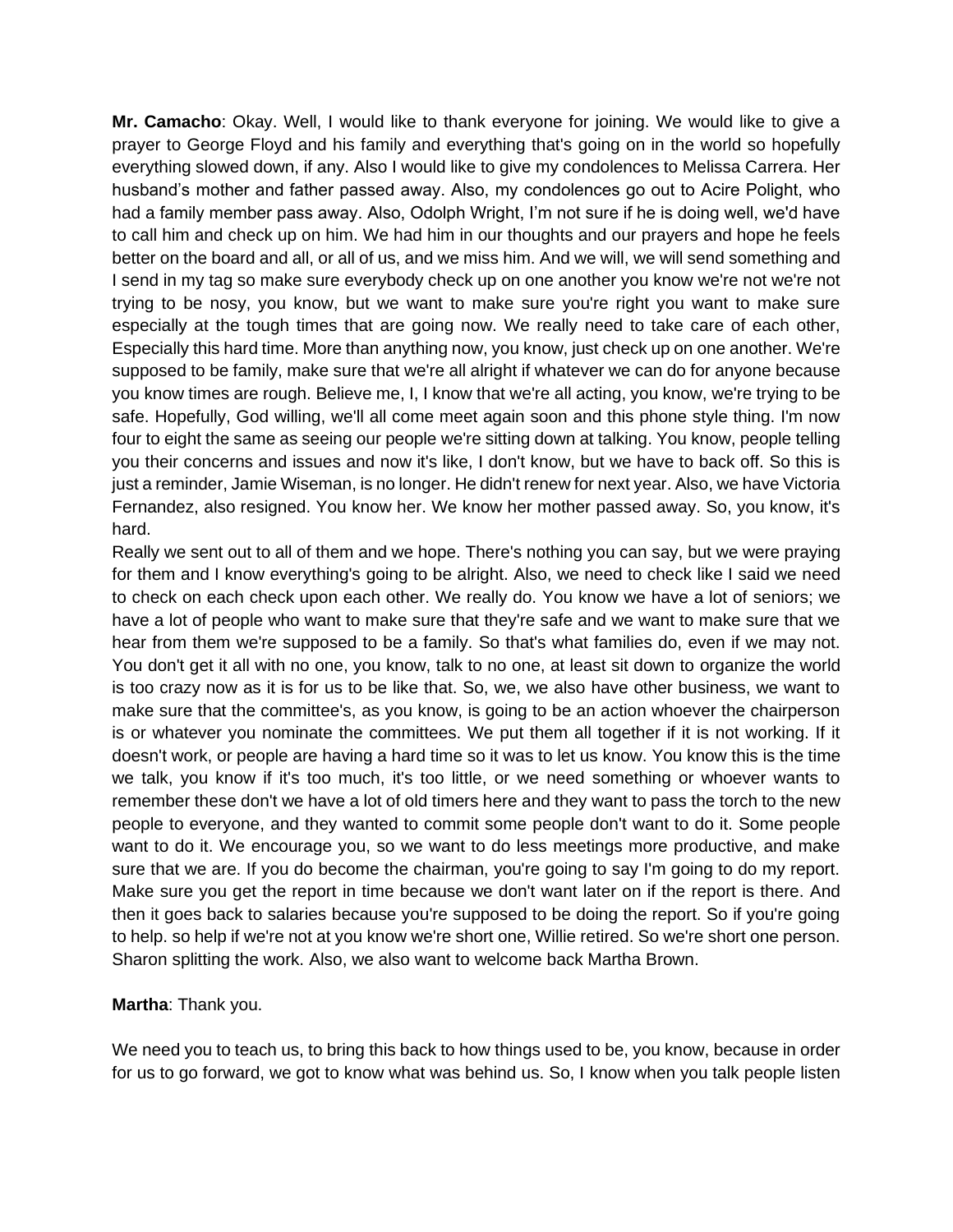**Mr. Camacho**: Okay. Well, I would like to thank everyone for joining. We would like to give a prayer to George Floyd and his family and everything that's going on in the world so hopefully everything slowed down, if any. Also I would like to give my condolences to Melissa Carrera. Her husband's mother and father passed away. Also, my condolences go out to Acire Polight, who had a family member pass away. Also, Odolph Wright, I'm not sure if he is doing well, we'd have to call him and check up on him. We had him in our thoughts and our prayers and hope he feels better on the board and all, or all of us, and we miss him. And we will, we will send something and I send in my tag so make sure everybody check up on one another you know we're not we're not trying to be nosy, you know, but we want to make sure you're right you want to make sure especially at the tough times that are going now. We really need to take care of each other, Especially this hard time. More than anything now, you know, just check up on one another. We're supposed to be family, make sure that we're all alright if whatever we can do for anyone because you know times are rough. Believe me, I, I know that we're all acting, you know, we're trying to be safe. Hopefully, God willing, we'll all come meet again soon and this phone style thing. I'm now four to eight the same as seeing our people we're sitting down at talking. You know, people telling you their concerns and issues and now it's like, I don't know, but we have to back off. So this is just a reminder, Jamie Wiseman, is no longer. He didn't renew for next year. Also, we have Victoria Fernandez, also resigned. You know her. We know her mother passed away. So, you know, it's hard.

Really we sent out to all of them and we hope. There's nothing you can say, but we were praying for them and I know everything's going to be alright. Also, we need to check like I said we need to check on each check upon each other. We really do. You know we have a lot of seniors; we have a lot of people who want to make sure that they're safe and we want to make sure that we hear from them we're supposed to be a family. So that's what families do, even if we may not. You don't get it all with no one, you know, talk to no one, at least sit down to organize the world is too crazy now as it is for us to be like that. So, we, we also have other business, we want to make sure that the committee's, as you know, is going to be an action whoever the chairperson is or whatever you nominate the committees. We put them all together if it is not working. If it doesn't work, or people are having a hard time so it was to let us know. You know this is the time we talk, you know if it's too much, it's too little, or we need something or whoever wants to remember these don't we have a lot of old timers here and they want to pass the torch to the new people to everyone, and they wanted to commit some people don't want to do it. Some people want to do it. We encourage you, so we want to do less meetings more productive, and make sure that we are. If you do become the chairman, you're going to say I'm going to do my report. Make sure you get the report in time because we don't want later on if the report is there. And then it goes back to salaries because you're supposed to be doing the report. So if you're going to help. so help if we're not at you know we're short one, Willie retired. So we're short one person. Sharon splitting the work. Also, we also want to welcome back Martha Brown.

### **Martha**: Thank you.

We need you to teach us, to bring this back to how things used to be, you know, because in order for us to go forward, we got to know what was behind us. So, I know when you talk people listen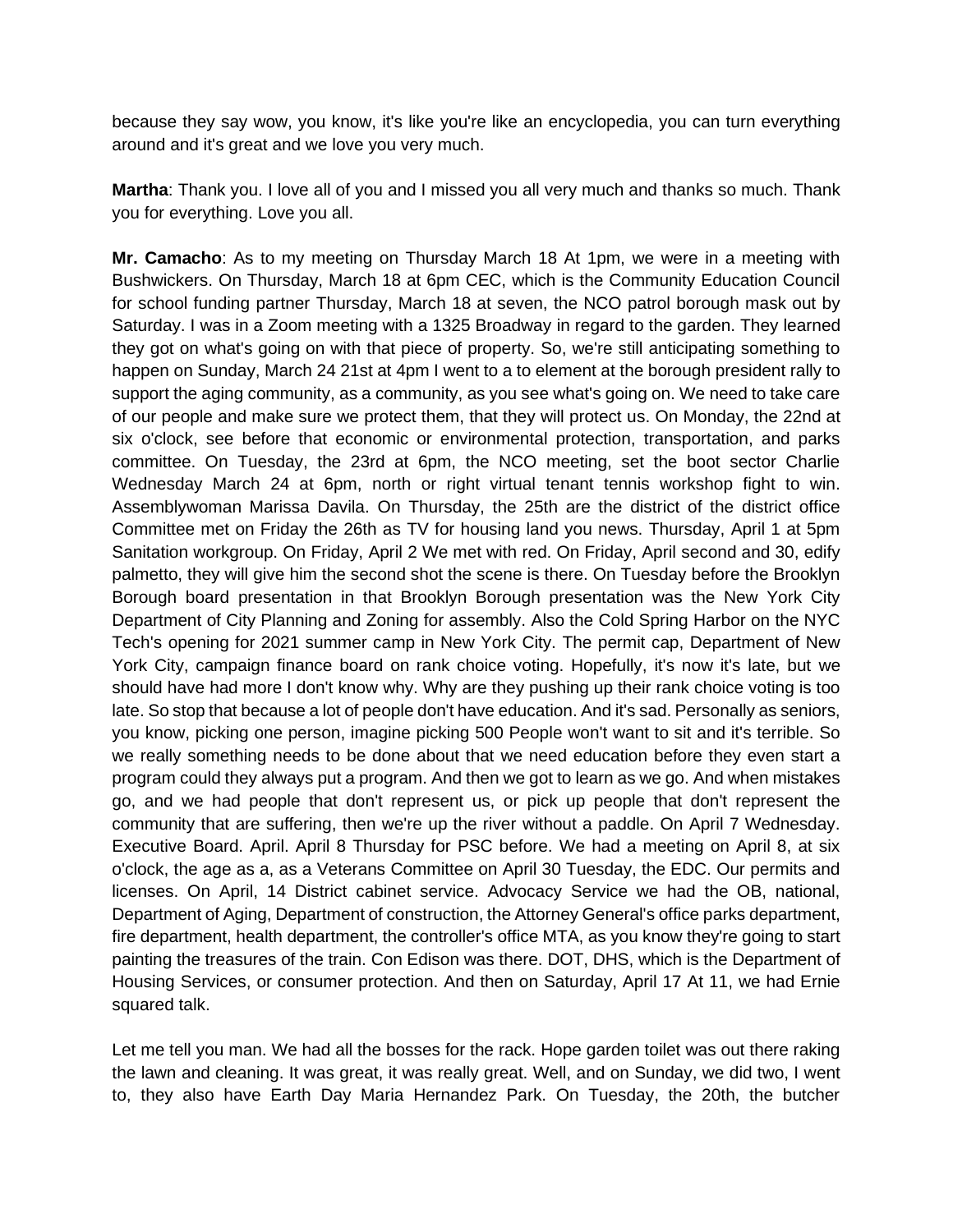because they say wow, you know, it's like you're like an encyclopedia, you can turn everything around and it's great and we love you very much.

**Martha**: Thank you. I love all of you and I missed you all very much and thanks so much. Thank you for everything. Love you all.

**Mr. Camacho**: As to my meeting on Thursday March 18 At 1pm, we were in a meeting with Bushwickers. On Thursday, March 18 at 6pm CEC, which is the Community Education Council for school funding partner Thursday, March 18 at seven, the NCO patrol borough mask out by Saturday. I was in a Zoom meeting with a 1325 Broadway in regard to the garden. They learned they got on what's going on with that piece of property. So, we're still anticipating something to happen on Sunday, March 24 21st at 4pm I went to a to element at the borough president rally to support the aging community, as a community, as you see what's going on. We need to take care of our people and make sure we protect them, that they will protect us. On Monday, the 22nd at six o'clock, see before that economic or environmental protection, transportation, and parks committee. On Tuesday, the 23rd at 6pm, the NCO meeting, set the boot sector Charlie Wednesday March 24 at 6pm, north or right virtual tenant tennis workshop fight to win. Assemblywoman Marissa Davila. On Thursday, the 25th are the district of the district office Committee met on Friday the 26th as TV for housing land you news. Thursday, April 1 at 5pm Sanitation workgroup. On Friday, April 2 We met with red. On Friday, April second and 30, edify palmetto, they will give him the second shot the scene is there. On Tuesday before the Brooklyn Borough board presentation in that Brooklyn Borough presentation was the New York City Department of City Planning and Zoning for assembly. Also the Cold Spring Harbor on the NYC Tech's opening for 2021 summer camp in New York City. The permit cap, Department of New York City, campaign finance board on rank choice voting. Hopefully, it's now it's late, but we should have had more I don't know why. Why are they pushing up their rank choice voting is too late. So stop that because a lot of people don't have education. And it's sad. Personally as seniors, you know, picking one person, imagine picking 500 People won't want to sit and it's terrible. So we really something needs to be done about that we need education before they even start a program could they always put a program. And then we got to learn as we go. And when mistakes go, and we had people that don't represent us, or pick up people that don't represent the community that are suffering, then we're up the river without a paddle. On April 7 Wednesday. Executive Board. April. April 8 Thursday for PSC before. We had a meeting on April 8, at six o'clock, the age as a, as a Veterans Committee on April 30 Tuesday, the EDC. Our permits and licenses. On April, 14 District cabinet service. Advocacy Service we had the OB, national, Department of Aging, Department of construction, the Attorney General's office parks department, fire department, health department, the controller's office MTA, as you know they're going to start painting the treasures of the train. Con Edison was there. DOT, DHS, which is the Department of Housing Services, or consumer protection. And then on Saturday, April 17 At 11, we had Ernie squared talk.

Let me tell you man. We had all the bosses for the rack. Hope garden toilet was out there raking the lawn and cleaning. It was great, it was really great. Well, and on Sunday, we did two, I went to, they also have Earth Day Maria Hernandez Park. On Tuesday, the 20th, the butcher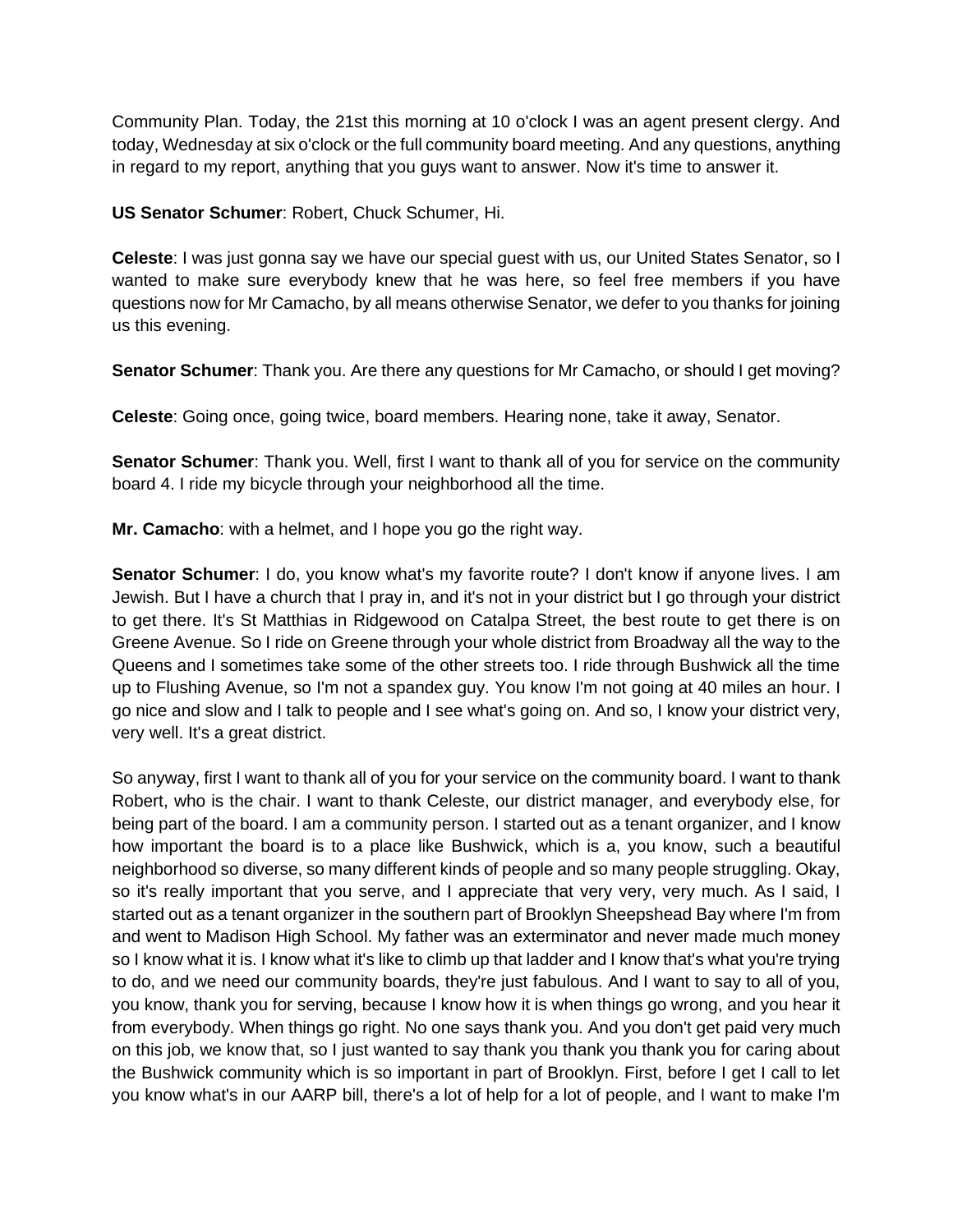Community Plan. Today, the 21st this morning at 10 o'clock I was an agent present clergy. And today, Wednesday at six o'clock or the full community board meeting. And any questions, anything in regard to my report, anything that you guys want to answer. Now it's time to answer it.

**US Senator Schumer**: Robert, Chuck Schumer, Hi.

**Celeste**: I was just gonna say we have our special guest with us, our United States Senator, so I wanted to make sure everybody knew that he was here, so feel free members if you have questions now for Mr Camacho, by all means otherwise Senator, we defer to you thanks for joining us this evening.

**Senator Schumer**: Thank you. Are there any questions for Mr Camacho, or should I get moving?

**Celeste**: Going once, going twice, board members. Hearing none, take it away, Senator.

**Senator Schumer**: Thank you. Well, first I want to thank all of you for service on the community board 4. I ride my bicycle through your neighborhood all the time.

**Mr. Camacho**: with a helmet, and I hope you go the right way.

**Senator Schumer**: I do, you know what's my favorite route? I don't know if anyone lives. I am Jewish. But I have a church that I pray in, and it's not in your district but I go through your district to get there. It's St Matthias in Ridgewood on Catalpa Street, the best route to get there is on Greene Avenue. So I ride on Greene through your whole district from Broadway all the way to the Queens and I sometimes take some of the other streets too. I ride through Bushwick all the time up to Flushing Avenue, so I'm not a spandex guy. You know I'm not going at 40 miles an hour. I go nice and slow and I talk to people and I see what's going on. And so, I know your district very, very well. It's a great district.

So anyway, first I want to thank all of you for your service on the community board. I want to thank Robert, who is the chair. I want to thank Celeste, our district manager, and everybody else, for being part of the board. I am a community person. I started out as a tenant organizer, and I know how important the board is to a place like Bushwick, which is a, you know, such a beautiful neighborhood so diverse, so many different kinds of people and so many people struggling. Okay, so it's really important that you serve, and I appreciate that very very, very much. As I said, I started out as a tenant organizer in the southern part of Brooklyn Sheepshead Bay where I'm from and went to Madison High School. My father was an exterminator and never made much money so I know what it is. I know what it's like to climb up that ladder and I know that's what you're trying to do, and we need our community boards, they're just fabulous. And I want to say to all of you, you know, thank you for serving, because I know how it is when things go wrong, and you hear it from everybody. When things go right. No one says thank you. And you don't get paid very much on this job, we know that, so I just wanted to say thank you thank you thank you for caring about the Bushwick community which is so important in part of Brooklyn. First, before I get I call to let you know what's in our AARP bill, there's a lot of help for a lot of people, and I want to make I'm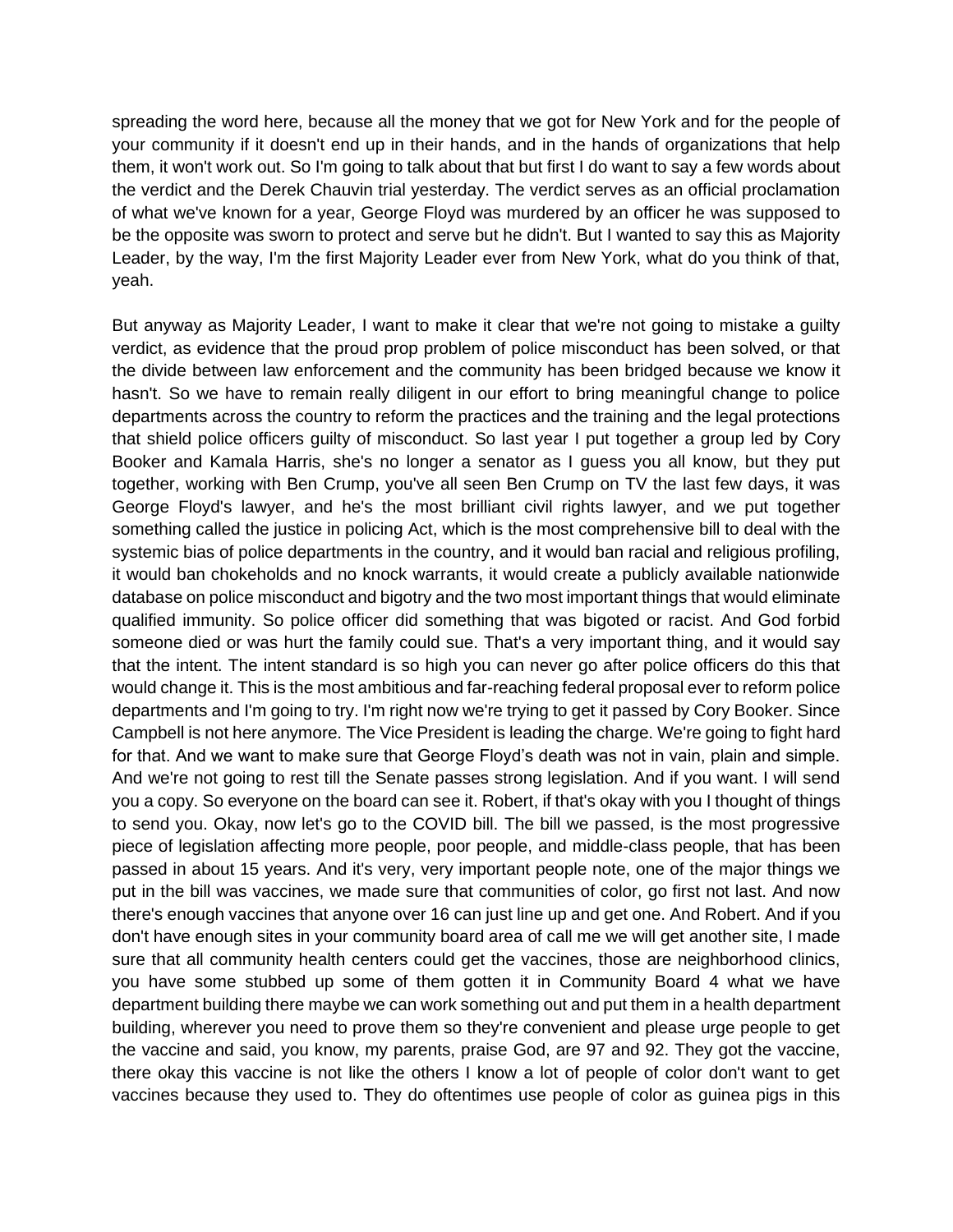spreading the word here, because all the money that we got for New York and for the people of your community if it doesn't end up in their hands, and in the hands of organizations that help them, it won't work out. So I'm going to talk about that but first I do want to say a few words about the verdict and the Derek Chauvin trial yesterday. The verdict serves as an official proclamation of what we've known for a year, George Floyd was murdered by an officer he was supposed to be the opposite was sworn to protect and serve but he didn't. But I wanted to say this as Majority Leader, by the way, I'm the first Majority Leader ever from New York, what do you think of that, yeah.

But anyway as Majority Leader, I want to make it clear that we're not going to mistake a guilty verdict, as evidence that the proud prop problem of police misconduct has been solved, or that the divide between law enforcement and the community has been bridged because we know it hasn't. So we have to remain really diligent in our effort to bring meaningful change to police departments across the country to reform the practices and the training and the legal protections that shield police officers guilty of misconduct. So last year I put together a group led by Cory Booker and Kamala Harris, she's no longer a senator as I guess you all know, but they put together, working with Ben Crump, you've all seen Ben Crump on TV the last few days, it was George Floyd's lawyer, and he's the most brilliant civil rights lawyer, and we put together something called the justice in policing Act, which is the most comprehensive bill to deal with the systemic bias of police departments in the country, and it would ban racial and religious profiling, it would ban chokeholds and no knock warrants, it would create a publicly available nationwide database on police misconduct and bigotry and the two most important things that would eliminate qualified immunity. So police officer did something that was bigoted or racist. And God forbid someone died or was hurt the family could sue. That's a very important thing, and it would say that the intent. The intent standard is so high you can never go after police officers do this that would change it. This is the most ambitious and far-reaching federal proposal ever to reform police departments and I'm going to try. I'm right now we're trying to get it passed by Cory Booker. Since Campbell is not here anymore. The Vice President is leading the charge. We're going to fight hard for that. And we want to make sure that George Floyd's death was not in vain, plain and simple. And we're not going to rest till the Senate passes strong legislation. And if you want. I will send you a copy. So everyone on the board can see it. Robert, if that's okay with you I thought of things to send you. Okay, now let's go to the COVID bill. The bill we passed, is the most progressive piece of legislation affecting more people, poor people, and middle-class people, that has been passed in about 15 years. And it's very, very important people note, one of the major things we put in the bill was vaccines, we made sure that communities of color, go first not last. And now there's enough vaccines that anyone over 16 can just line up and get one. And Robert. And if you don't have enough sites in your community board area of call me we will get another site, I made sure that all community health centers could get the vaccines, those are neighborhood clinics, you have some stubbed up some of them gotten it in Community Board 4 what we have department building there maybe we can work something out and put them in a health department building, wherever you need to prove them so they're convenient and please urge people to get the vaccine and said, you know, my parents, praise God, are 97 and 92. They got the vaccine, there okay this vaccine is not like the others I know a lot of people of color don't want to get vaccines because they used to. They do oftentimes use people of color as guinea pigs in this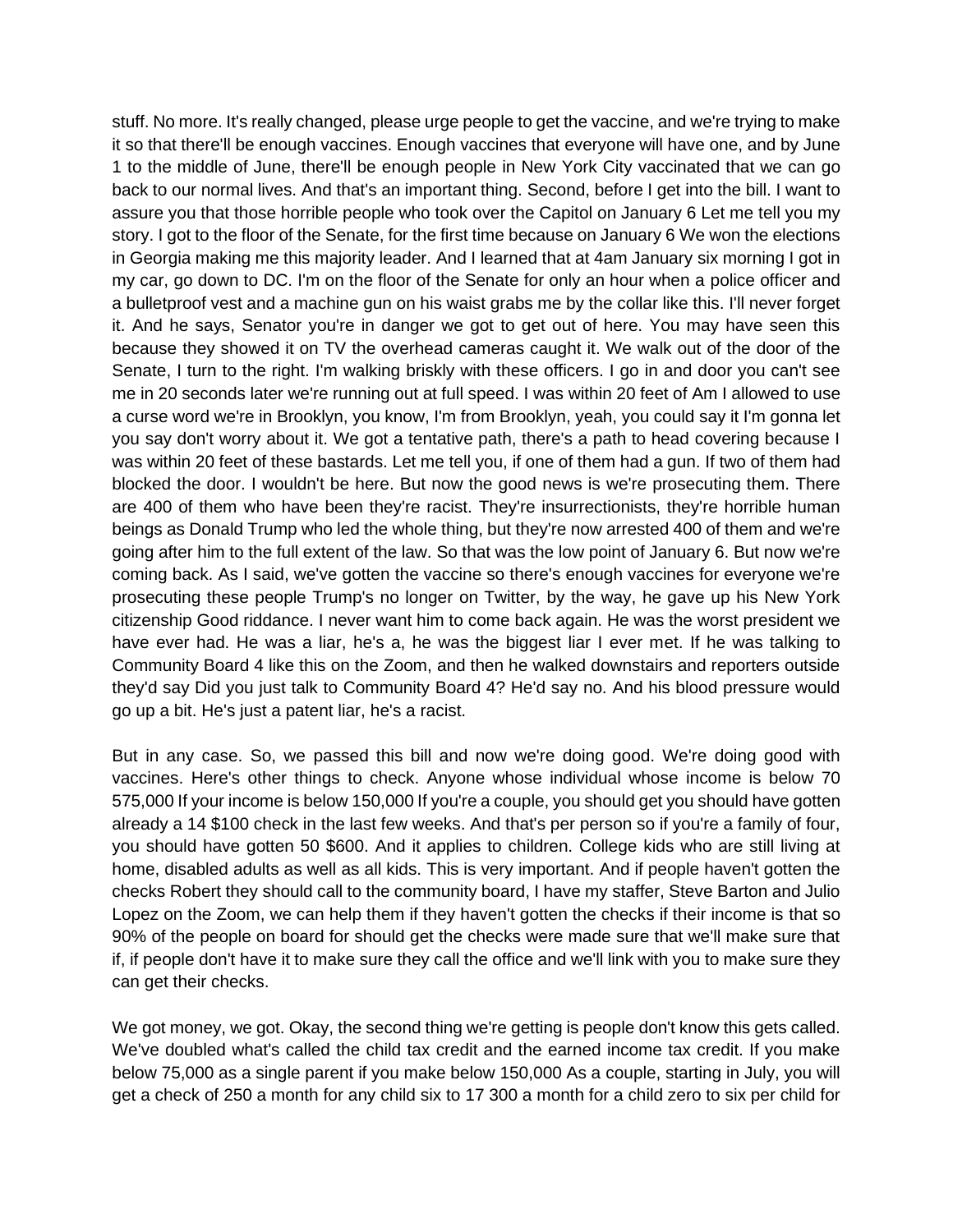stuff. No more. It's really changed, please urge people to get the vaccine, and we're trying to make it so that there'll be enough vaccines. Enough vaccines that everyone will have one, and by June 1 to the middle of June, there'll be enough people in New York City vaccinated that we can go back to our normal lives. And that's an important thing. Second, before I get into the bill. I want to assure you that those horrible people who took over the Capitol on January 6 Let me tell you my story. I got to the floor of the Senate, for the first time because on January 6 We won the elections in Georgia making me this majority leader. And I learned that at 4am January six morning I got in my car, go down to DC. I'm on the floor of the Senate for only an hour when a police officer and a bulletproof vest and a machine gun on his waist grabs me by the collar like this. I'll never forget it. And he says, Senator you're in danger we got to get out of here. You may have seen this because they showed it on TV the overhead cameras caught it. We walk out of the door of the Senate, I turn to the right. I'm walking briskly with these officers. I go in and door you can't see me in 20 seconds later we're running out at full speed. I was within 20 feet of Am I allowed to use a curse word we're in Brooklyn, you know, I'm from Brooklyn, yeah, you could say it I'm gonna let you say don't worry about it. We got a tentative path, there's a path to head covering because I was within 20 feet of these bastards. Let me tell you, if one of them had a gun. If two of them had blocked the door. I wouldn't be here. But now the good news is we're prosecuting them. There are 400 of them who have been they're racist. They're insurrectionists, they're horrible human beings as Donald Trump who led the whole thing, but they're now arrested 400 of them and we're going after him to the full extent of the law. So that was the low point of January 6. But now we're coming back. As I said, we've gotten the vaccine so there's enough vaccines for everyone we're prosecuting these people Trump's no longer on Twitter, by the way, he gave up his New York citizenship Good riddance. I never want him to come back again. He was the worst president we have ever had. He was a liar, he's a, he was the biggest liar I ever met. If he was talking to Community Board 4 like this on the Zoom, and then he walked downstairs and reporters outside they'd say Did you just talk to Community Board 4? He'd say no. And his blood pressure would go up a bit. He's just a patent liar, he's a racist.

But in any case. So, we passed this bill and now we're doing good. We're doing good with vaccines. Here's other things to check. Anyone whose individual whose income is below 70 575,000 If your income is below 150,000 If you're a couple, you should get you should have gotten already a 14 \$100 check in the last few weeks. And that's per person so if you're a family of four, you should have gotten 50 \$600. And it applies to children. College kids who are still living at home, disabled adults as well as all kids. This is very important. And if people haven't gotten the checks Robert they should call to the community board, I have my staffer, Steve Barton and Julio Lopez on the Zoom, we can help them if they haven't gotten the checks if their income is that so 90% of the people on board for should get the checks were made sure that we'll make sure that if, if people don't have it to make sure they call the office and we'll link with you to make sure they can get their checks.

We got money, we got. Okay, the second thing we're getting is people don't know this gets called. We've doubled what's called the child tax credit and the earned income tax credit. If you make below 75,000 as a single parent if you make below 150,000 As a couple, starting in July, you will get a check of 250 a month for any child six to 17 300 a month for a child zero to six per child for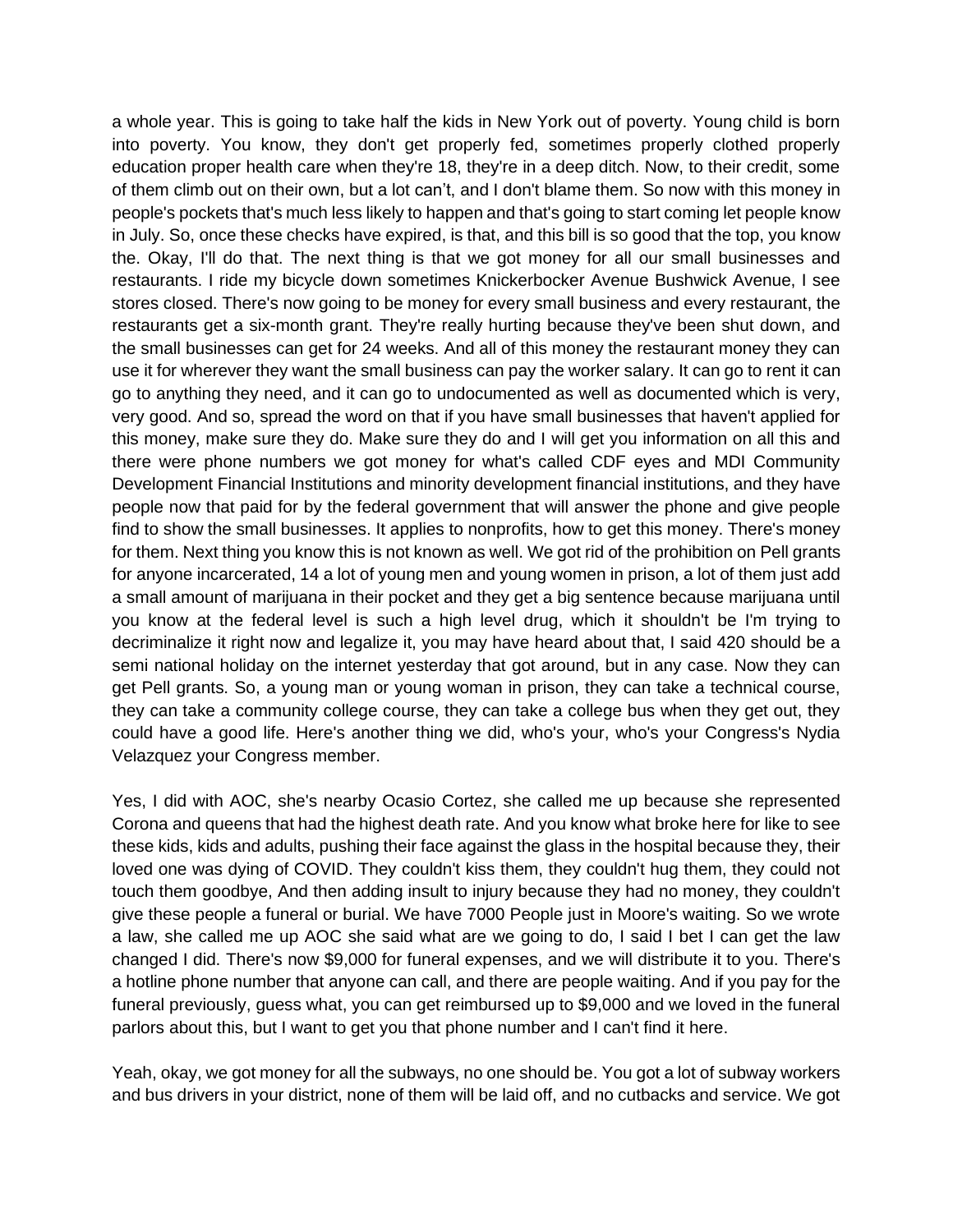a whole year. This is going to take half the kids in New York out of poverty. Young child is born into poverty. You know, they don't get properly fed, sometimes properly clothed properly education proper health care when they're 18, they're in a deep ditch. Now, to their credit, some of them climb out on their own, but a lot can't, and I don't blame them. So now with this money in people's pockets that's much less likely to happen and that's going to start coming let people know in July. So, once these checks have expired, is that, and this bill is so good that the top, you know the. Okay, I'll do that. The next thing is that we got money for all our small businesses and restaurants. I ride my bicycle down sometimes Knickerbocker Avenue Bushwick Avenue, I see stores closed. There's now going to be money for every small business and every restaurant, the restaurants get a six-month grant. They're really hurting because they've been shut down, and the small businesses can get for 24 weeks. And all of this money the restaurant money they can use it for wherever they want the small business can pay the worker salary. It can go to rent it can go to anything they need, and it can go to undocumented as well as documented which is very, very good. And so, spread the word on that if you have small businesses that haven't applied for this money, make sure they do. Make sure they do and I will get you information on all this and there were phone numbers we got money for what's called CDF eyes and MDI Community Development Financial Institutions and minority development financial institutions, and they have people now that paid for by the federal government that will answer the phone and give people find to show the small businesses. It applies to nonprofits, how to get this money. There's money for them. Next thing you know this is not known as well. We got rid of the prohibition on Pell grants for anyone incarcerated, 14 a lot of young men and young women in prison, a lot of them just add a small amount of marijuana in their pocket and they get a big sentence because marijuana until you know at the federal level is such a high level drug, which it shouldn't be I'm trying to decriminalize it right now and legalize it, you may have heard about that, I said 420 should be a semi national holiday on the internet yesterday that got around, but in any case. Now they can get Pell grants. So, a young man or young woman in prison, they can take a technical course, they can take a community college course, they can take a college bus when they get out, they could have a good life. Here's another thing we did, who's your, who's your Congress's Nydia Velazquez your Congress member.

Yes, I did with AOC, she's nearby Ocasio Cortez, she called me up because she represented Corona and queens that had the highest death rate. And you know what broke here for like to see these kids, kids and adults, pushing their face against the glass in the hospital because they, their loved one was dying of COVID. They couldn't kiss them, they couldn't hug them, they could not touch them goodbye, And then adding insult to injury because they had no money, they couldn't give these people a funeral or burial. We have 7000 People just in Moore's waiting. So we wrote a law, she called me up AOC she said what are we going to do, I said I bet I can get the law changed I did. There's now \$9,000 for funeral expenses, and we will distribute it to you. There's a hotline phone number that anyone can call, and there are people waiting. And if you pay for the funeral previously, guess what, you can get reimbursed up to \$9,000 and we loved in the funeral parlors about this, but I want to get you that phone number and I can't find it here.

Yeah, okay, we got money for all the subways, no one should be. You got a lot of subway workers and bus drivers in your district, none of them will be laid off, and no cutbacks and service. We got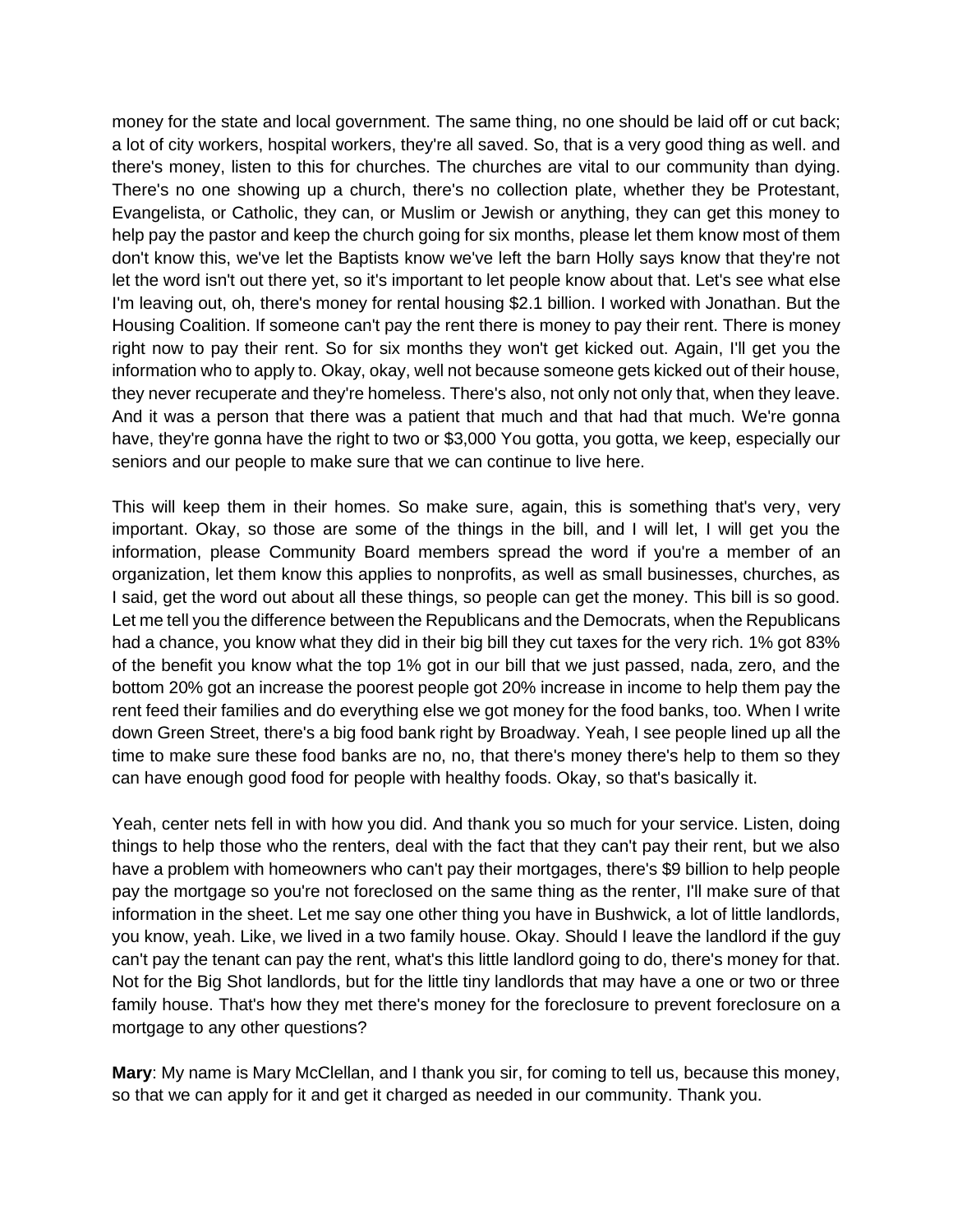money for the state and local government. The same thing, no one should be laid off or cut back; a lot of city workers, hospital workers, they're all saved. So, that is a very good thing as well. and there's money, listen to this for churches. The churches are vital to our community than dying. There's no one showing up a church, there's no collection plate, whether they be Protestant, Evangelista, or Catholic, they can, or Muslim or Jewish or anything, they can get this money to help pay the pastor and keep the church going for six months, please let them know most of them don't know this, we've let the Baptists know we've left the barn Holly says know that they're not let the word isn't out there yet, so it's important to let people know about that. Let's see what else I'm leaving out, oh, there's money for rental housing \$2.1 billion. I worked with Jonathan. But the Housing Coalition. If someone can't pay the rent there is money to pay their rent. There is money right now to pay their rent. So for six months they won't get kicked out. Again, I'll get you the information who to apply to. Okay, okay, well not because someone gets kicked out of their house, they never recuperate and they're homeless. There's also, not only not only that, when they leave. And it was a person that there was a patient that much and that had that much. We're gonna have, they're gonna have the right to two or \$3,000 You gotta, you gotta, we keep, especially our seniors and our people to make sure that we can continue to live here.

This will keep them in their homes. So make sure, again, this is something that's very, very important. Okay, so those are some of the things in the bill, and I will let, I will get you the information, please Community Board members spread the word if you're a member of an organization, let them know this applies to nonprofits, as well as small businesses, churches, as I said, get the word out about all these things, so people can get the money. This bill is so good. Let me tell you the difference between the Republicans and the Democrats, when the Republicans had a chance, you know what they did in their big bill they cut taxes for the very rich. 1% got 83% of the benefit you know what the top 1% got in our bill that we just passed, nada, zero, and the bottom 20% got an increase the poorest people got 20% increase in income to help them pay the rent feed their families and do everything else we got money for the food banks, too. When I write down Green Street, there's a big food bank right by Broadway. Yeah, I see people lined up all the time to make sure these food banks are no, no, that there's money there's help to them so they can have enough good food for people with healthy foods. Okay, so that's basically it.

Yeah, center nets fell in with how you did. And thank you so much for your service. Listen, doing things to help those who the renters, deal with the fact that they can't pay their rent, but we also have a problem with homeowners who can't pay their mortgages, there's \$9 billion to help people pay the mortgage so you're not foreclosed on the same thing as the renter, I'll make sure of that information in the sheet. Let me say one other thing you have in Bushwick, a lot of little landlords, you know, yeah. Like, we lived in a two family house. Okay. Should I leave the landlord if the guy can't pay the tenant can pay the rent, what's this little landlord going to do, there's money for that. Not for the Big Shot landlords, but for the little tiny landlords that may have a one or two or three family house. That's how they met there's money for the foreclosure to prevent foreclosure on a mortgage to any other questions?

**Mary**: My name is Mary McClellan, and I thank you sir, for coming to tell us, because this money, so that we can apply for it and get it charged as needed in our community. Thank you.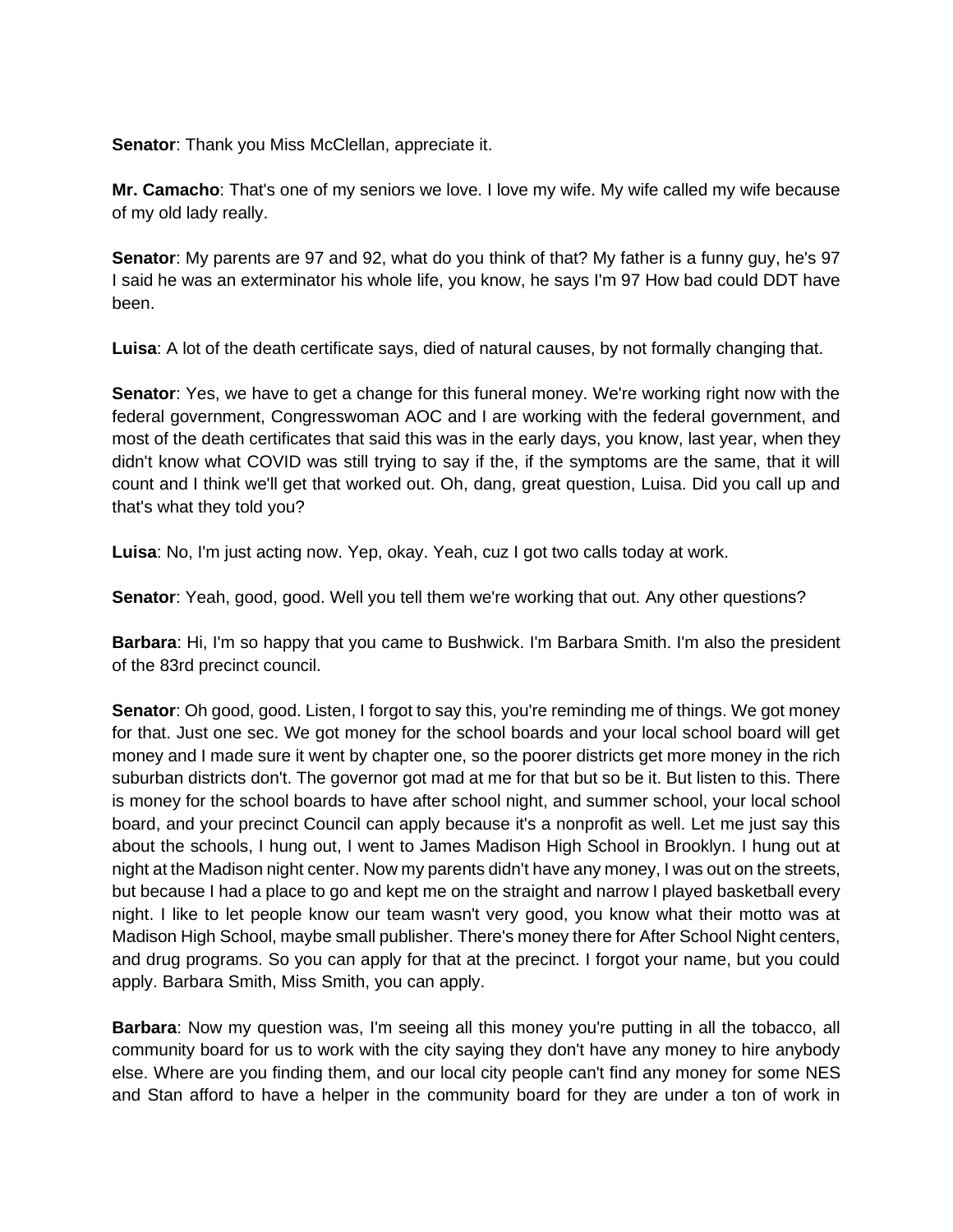**Senator**: Thank you Miss McClellan, appreciate it.

**Mr. Camacho**: That's one of my seniors we love. I love my wife. My wife called my wife because of my old lady really.

**Senator**: My parents are 97 and 92, what do you think of that? My father is a funny guy, he's 97 I said he was an exterminator his whole life, you know, he says I'm 97 How bad could DDT have been.

**Luisa**: A lot of the death certificate says, died of natural causes, by not formally changing that.

**Senator**: Yes, we have to get a change for this funeral money. We're working right now with the federal government, Congresswoman AOC and I are working with the federal government, and most of the death certificates that said this was in the early days, you know, last year, when they didn't know what COVID was still trying to say if the, if the symptoms are the same, that it will count and I think we'll get that worked out. Oh, dang, great question, Luisa. Did you call up and that's what they told you?

**Luisa**: No, I'm just acting now. Yep, okay. Yeah, cuz I got two calls today at work.

**Senator**: Yeah, good, good. Well you tell them we're working that out. Any other questions?

**Barbara**: Hi, I'm so happy that you came to Bushwick. I'm Barbara Smith. I'm also the president of the 83rd precinct council.

**Senator**: Oh good, good. Listen, I forgot to say this, you're reminding me of things. We got money for that. Just one sec. We got money for the school boards and your local school board will get money and I made sure it went by chapter one, so the poorer districts get more money in the rich suburban districts don't. The governor got mad at me for that but so be it. But listen to this. There is money for the school boards to have after school night, and summer school, your local school board, and your precinct Council can apply because it's a nonprofit as well. Let me just say this about the schools, I hung out, I went to James Madison High School in Brooklyn. I hung out at night at the Madison night center. Now my parents didn't have any money, I was out on the streets, but because I had a place to go and kept me on the straight and narrow I played basketball every night. I like to let people know our team wasn't very good, you know what their motto was at Madison High School, maybe small publisher. There's money there for After School Night centers, and drug programs. So you can apply for that at the precinct. I forgot your name, but you could apply. Barbara Smith, Miss Smith, you can apply.

**Barbara**: Now my question was, I'm seeing all this money you're putting in all the tobacco, all community board for us to work with the city saying they don't have any money to hire anybody else. Where are you finding them, and our local city people can't find any money for some NES and Stan afford to have a helper in the community board for they are under a ton of work in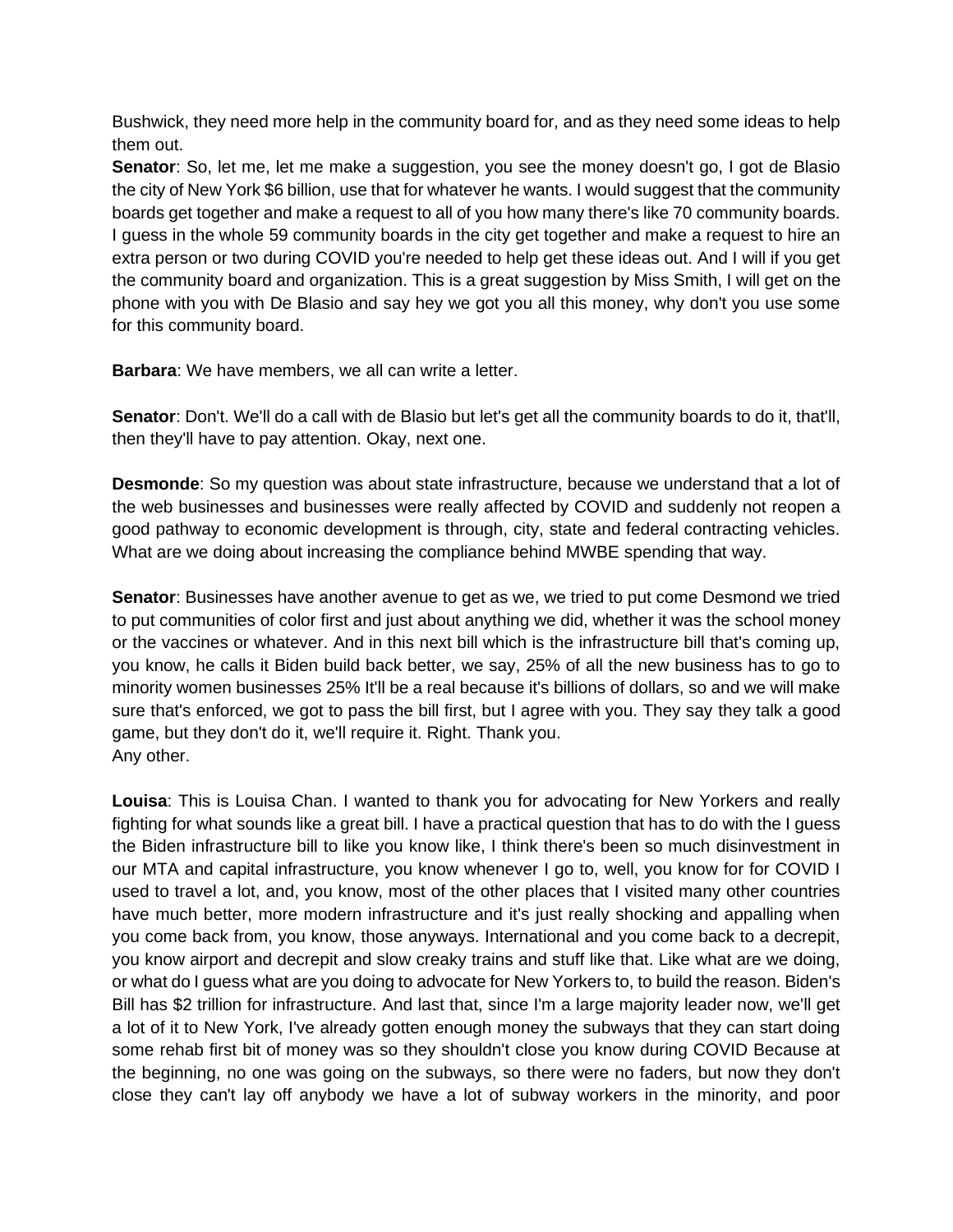Bushwick, they need more help in the community board for, and as they need some ideas to help them out.

**Senator**: So, let me, let me make a suggestion, you see the money doesn't go, I got de Blasio the city of New York \$6 billion, use that for whatever he wants. I would suggest that the community boards get together and make a request to all of you how many there's like 70 community boards. I guess in the whole 59 community boards in the city get together and make a request to hire an extra person or two during COVID you're needed to help get these ideas out. And I will if you get the community board and organization. This is a great suggestion by Miss Smith, I will get on the phone with you with De Blasio and say hey we got you all this money, why don't you use some for this community board.

**Barbara**: We have members, we all can write a letter.

**Senator**: Don't. We'll do a call with de Blasio but let's get all the community boards to do it, that'll, then they'll have to pay attention. Okay, next one.

**Desmonde**: So my question was about state infrastructure, because we understand that a lot of the web businesses and businesses were really affected by COVID and suddenly not reopen a good pathway to economic development is through, city, state and federal contracting vehicles. What are we doing about increasing the compliance behind MWBE spending that way.

**Senator**: Businesses have another avenue to get as we, we tried to put come Desmond we tried to put communities of color first and just about anything we did, whether it was the school money or the vaccines or whatever. And in this next bill which is the infrastructure bill that's coming up, you know, he calls it Biden build back better, we say, 25% of all the new business has to go to minority women businesses 25% It'll be a real because it's billions of dollars, so and we will make sure that's enforced, we got to pass the bill first, but I agree with you. They say they talk a good game, but they don't do it, we'll require it. Right. Thank you. Any other.

**Louisa**: This is Louisa Chan. I wanted to thank you for advocating for New Yorkers and really fighting for what sounds like a great bill. I have a practical question that has to do with the I guess the Biden infrastructure bill to like you know like, I think there's been so much disinvestment in our MTA and capital infrastructure, you know whenever I go to, well, you know for for COVID I used to travel a lot, and, you know, most of the other places that I visited many other countries have much better, more modern infrastructure and it's just really shocking and appalling when you come back from, you know, those anyways. International and you come back to a decrepit, you know airport and decrepit and slow creaky trains and stuff like that. Like what are we doing, or what do I guess what are you doing to advocate for New Yorkers to, to build the reason. Biden's Bill has \$2 trillion for infrastructure. And last that, since I'm a large majority leader now, we'll get a lot of it to New York, I've already gotten enough money the subways that they can start doing some rehab first bit of money was so they shouldn't close you know during COVID Because at the beginning, no one was going on the subways, so there were no faders, but now they don't close they can't lay off anybody we have a lot of subway workers in the minority, and poor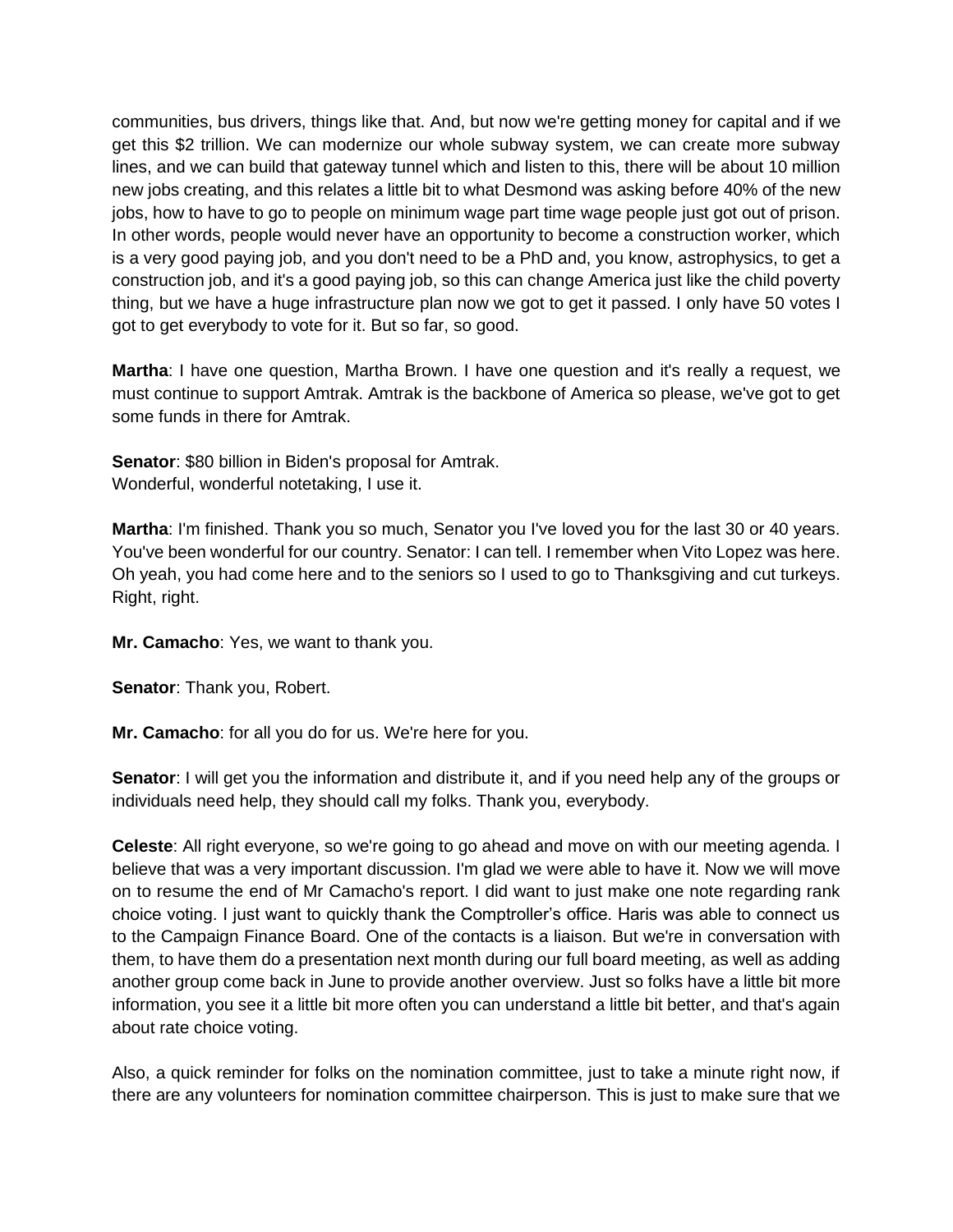communities, bus drivers, things like that. And, but now we're getting money for capital and if we get this \$2 trillion. We can modernize our whole subway system, we can create more subway lines, and we can build that gateway tunnel which and listen to this, there will be about 10 million new jobs creating, and this relates a little bit to what Desmond was asking before 40% of the new jobs, how to have to go to people on minimum wage part time wage people just got out of prison. In other words, people would never have an opportunity to become a construction worker, which is a very good paying job, and you don't need to be a PhD and, you know, astrophysics, to get a construction job, and it's a good paying job, so this can change America just like the child poverty thing, but we have a huge infrastructure plan now we got to get it passed. I only have 50 votes I got to get everybody to vote for it. But so far, so good.

**Martha**: I have one question, Martha Brown. I have one question and it's really a request, we must continue to support Amtrak. Amtrak is the backbone of America so please, we've got to get some funds in there for Amtrak.

**Senator**: \$80 billion in Biden's proposal for Amtrak. Wonderful, wonderful notetaking, I use it.

**Martha**: I'm finished. Thank you so much, Senator you I've loved you for the last 30 or 40 years. You've been wonderful for our country. Senator: I can tell. I remember when Vito Lopez was here. Oh yeah, you had come here and to the seniors so I used to go to Thanksgiving and cut turkeys. Right, right.

**Mr. Camacho**: Yes, we want to thank you.

**Senator**: Thank you, Robert.

**Mr. Camacho**: for all you do for us. We're here for you.

**Senator**: I will get you the information and distribute it, and if you need help any of the groups or individuals need help, they should call my folks. Thank you, everybody.

**Celeste**: All right everyone, so we're going to go ahead and move on with our meeting agenda. I believe that was a very important discussion. I'm glad we were able to have it. Now we will move on to resume the end of Mr Camacho's report. I did want to just make one note regarding rank choice voting. I just want to quickly thank the Comptroller's office. Haris was able to connect us to the Campaign Finance Board. One of the contacts is a liaison. But we're in conversation with them, to have them do a presentation next month during our full board meeting, as well as adding another group come back in June to provide another overview. Just so folks have a little bit more information, you see it a little bit more often you can understand a little bit better, and that's again about rate choice voting.

Also, a quick reminder for folks on the nomination committee, just to take a minute right now, if there are any volunteers for nomination committee chairperson. This is just to make sure that we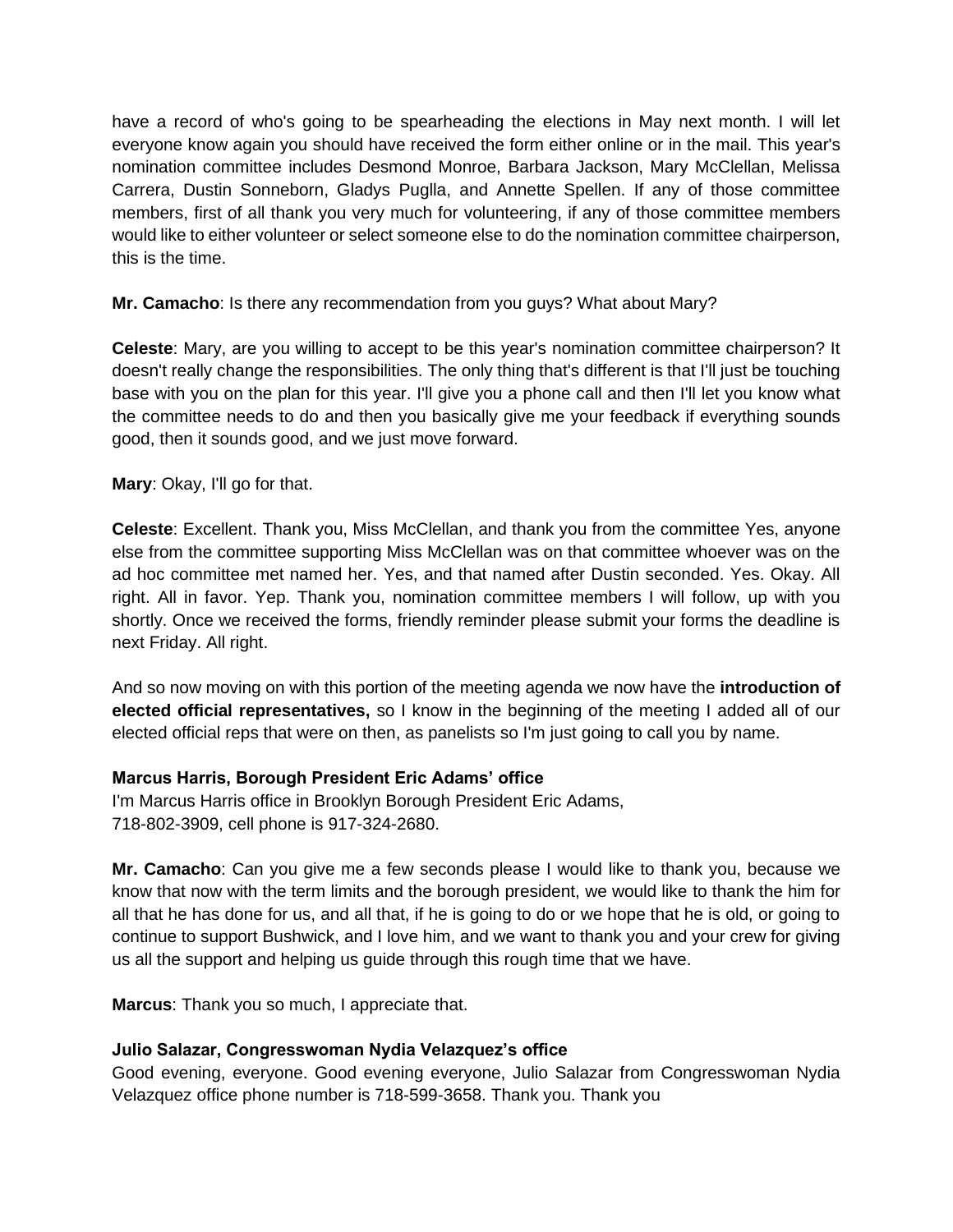have a record of who's going to be spearheading the elections in May next month. I will let everyone know again you should have received the form either online or in the mail. This year's nomination committee includes Desmond Monroe, Barbara Jackson, Mary McClellan, Melissa Carrera, Dustin Sonneborn, Gladys Puglla, and Annette Spellen. If any of those committee members, first of all thank you very much for volunteering, if any of those committee members would like to either volunteer or select someone else to do the nomination committee chairperson, this is the time.

**Mr. Camacho**: Is there any recommendation from you guys? What about Mary?

**Celeste**: Mary, are you willing to accept to be this year's nomination committee chairperson? It doesn't really change the responsibilities. The only thing that's different is that I'll just be touching base with you on the plan for this year. I'll give you a phone call and then I'll let you know what the committee needs to do and then you basically give me your feedback if everything sounds good, then it sounds good, and we just move forward.

**Mary**: Okay, I'll go for that.

**Celeste**: Excellent. Thank you, Miss McClellan, and thank you from the committee Yes, anyone else from the committee supporting Miss McClellan was on that committee whoever was on the ad hoc committee met named her. Yes, and that named after Dustin seconded. Yes. Okay. All right. All in favor. Yep. Thank you, nomination committee members I will follow, up with you shortly. Once we received the forms, friendly reminder please submit your forms the deadline is next Friday. All right.

And so now moving on with this portion of the meeting agenda we now have the **introduction of elected official representatives,** so I know in the beginning of the meeting I added all of our elected official reps that were on then, as panelists so I'm just going to call you by name.

## **Marcus Harris, Borough President Eric Adams' office**

I'm Marcus Harris office in Brooklyn Borough President Eric Adams, 718-802-3909, cell phone is 917-324-2680.

**Mr. Camacho**: Can you give me a few seconds please I would like to thank you, because we know that now with the term limits and the borough president, we would like to thank the him for all that he has done for us, and all that, if he is going to do or we hope that he is old, or going to continue to support Bushwick, and I love him, and we want to thank you and your crew for giving us all the support and helping us guide through this rough time that we have.

**Marcus**: Thank you so much, I appreciate that.

## **Julio Salazar, Congresswoman Nydia Velazquez's office**

Good evening, everyone. Good evening everyone, Julio Salazar from Congresswoman Nydia Velazquez office phone number is 718-599-3658. Thank you. Thank you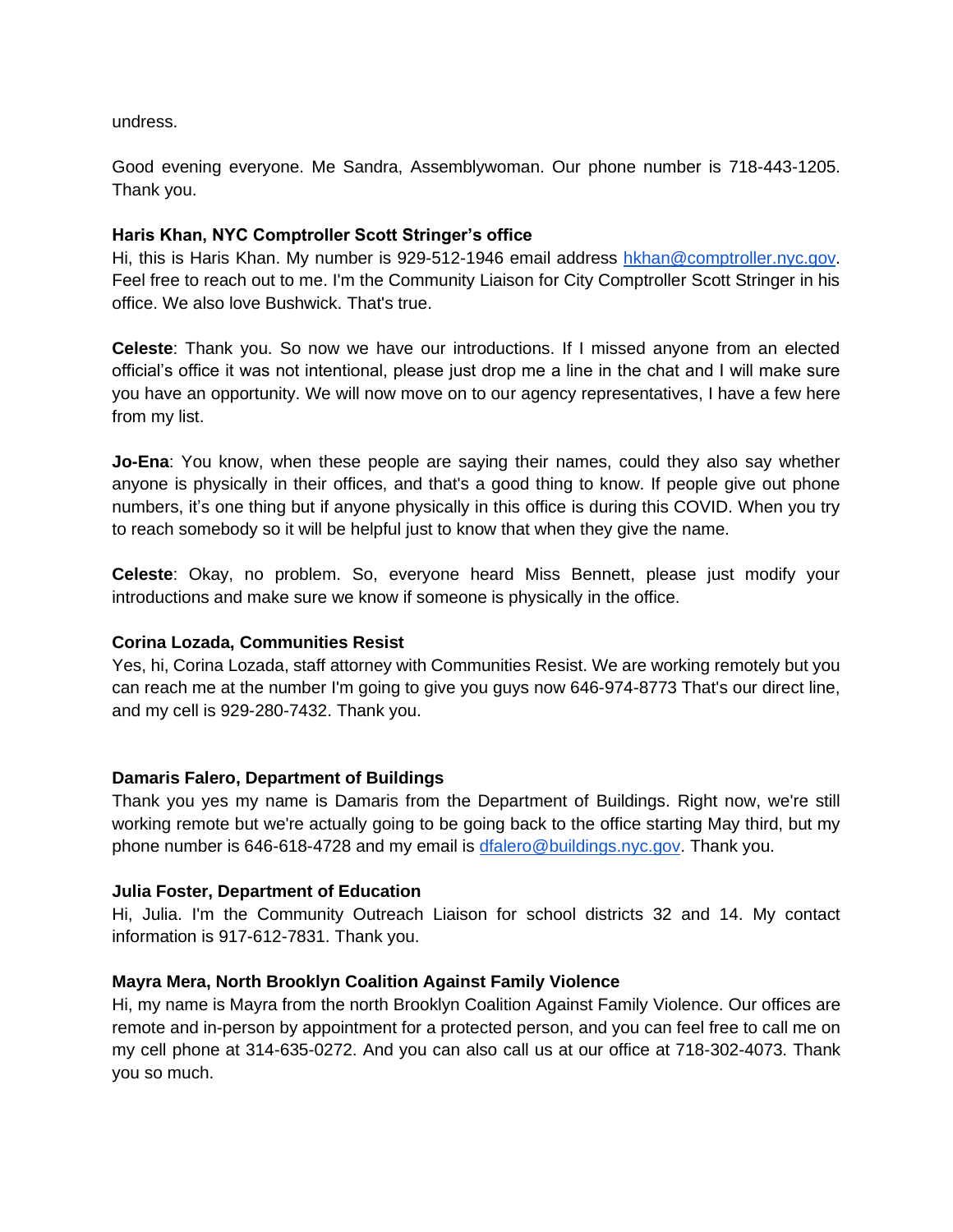undress.

Good evening everyone. Me Sandra, Assemblywoman. Our phone number is 718-443-1205. Thank you.

### **Haris Khan, NYC Comptroller Scott Stringer's office**

Hi, this is Haris Khan. My number is 929-512-1946 email address [hkhan@comptroller.nyc.gov.](mailto:hkhan@comptrollerr.nyc.gov) Feel free to reach out to me. I'm the Community Liaison for City Comptroller Scott Stringer in his office. We also love Bushwick. That's true.

**Celeste**: Thank you. So now we have our introductions. If I missed anyone from an elected official's office it was not intentional, please just drop me a line in the chat and I will make sure you have an opportunity. We will now move on to our agency representatives, I have a few here from my list.

**Jo-Ena**: You know, when these people are saying their names, could they also say whether anyone is physically in their offices, and that's a good thing to know. If people give out phone numbers, it's one thing but if anyone physically in this office is during this COVID. When you try to reach somebody so it will be helpful just to know that when they give the name.

**Celeste**: Okay, no problem. So, everyone heard Miss Bennett, please just modify your introductions and make sure we know if someone is physically in the office.

### **Corina Lozada, Communities Resist**

Yes, hi, Corina Lozada, staff attorney with Communities Resist. We are working remotely but you can reach me at the number I'm going to give you guys now 646-974-8773 That's our direct line, and my cell is 929-280-7432. Thank you.

### **Damaris Falero, Department of Buildings**

Thank you yes my name is Damaris from the Department of Buildings. Right now, we're still working remote but we're actually going to be going back to the office starting May third, but my phone number is 646-618-4728 and my email is [dfalero@buildings.nyc.gov.](mailto:dfalero@buildings.nyc.gov) Thank you.

### **Julia Foster, Department of Education**

Hi, Julia. I'm the Community Outreach Liaison for school districts 32 and 14. My contact information is 917-612-7831. Thank you.

### **Mayra Mera, North Brooklyn Coalition Against Family Violence**

Hi, my name is Mayra from the north Brooklyn Coalition Against Family Violence. Our offices are remote and in-person by appointment for a protected person, and you can feel free to call me on my cell phone at 314-635-0272. And you can also call us at our office at 718-302-4073. Thank you so much.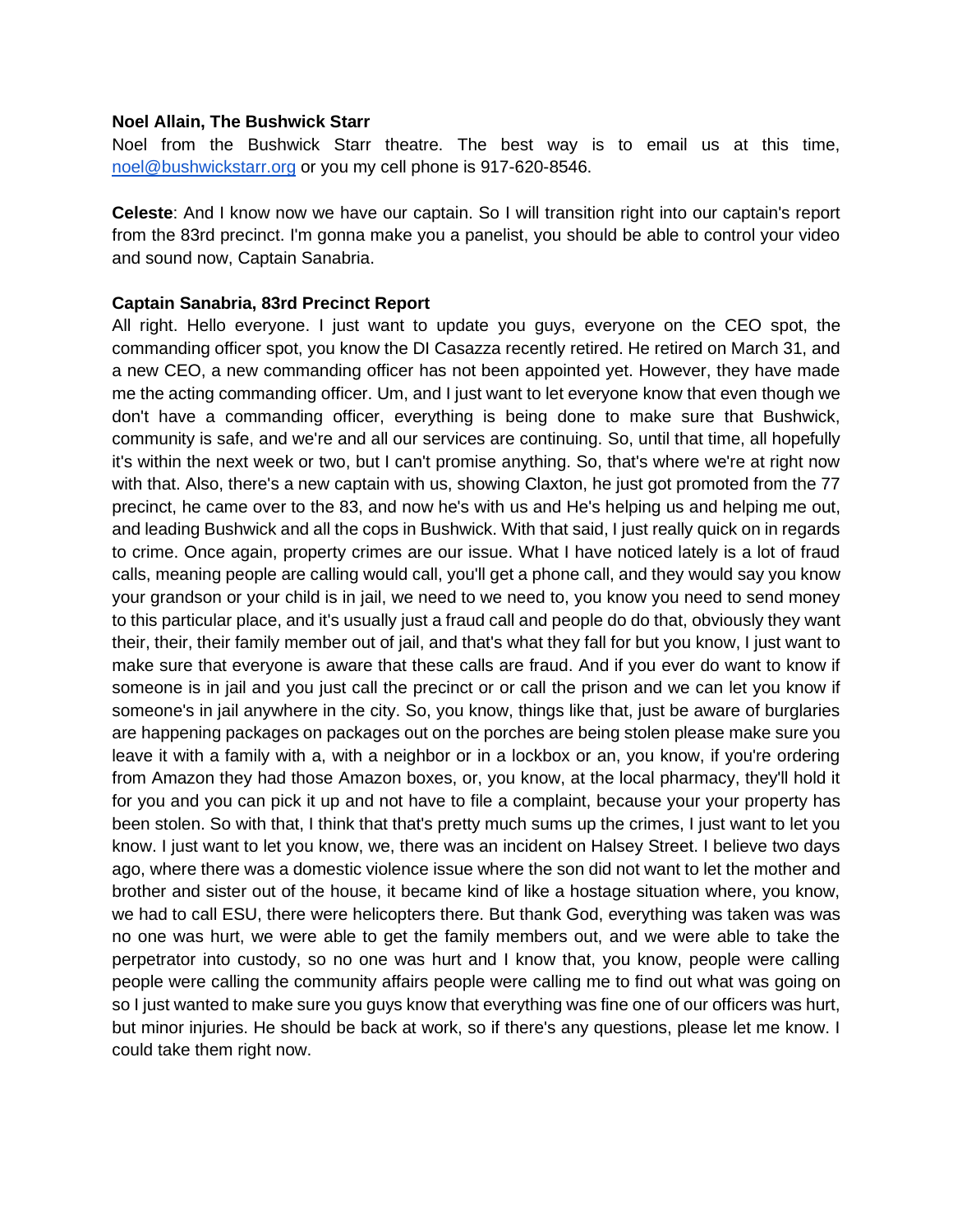#### **Noel Allain, The Bushwick Starr**

Noel from the Bushwick Starr theatre. The best way is to email us at this time, [noel@bushwickstarr.org](mailto:noel@bushwickstarr.org) or you my cell phone is 917-620-8546.

**Celeste**: And I know now we have our captain. So I will transition right into our captain's report from the 83rd precinct. I'm gonna make you a panelist, you should be able to control your video and sound now, Captain Sanabria.

#### **Captain Sanabria, 83rd Precinct Report**

All right. Hello everyone. I just want to update you guys, everyone on the CEO spot, the commanding officer spot, you know the DI Casazza recently retired. He retired on March 31, and a new CEO, a new commanding officer has not been appointed yet. However, they have made me the acting commanding officer. Um, and I just want to let everyone know that even though we don't have a commanding officer, everything is being done to make sure that Bushwick, community is safe, and we're and all our services are continuing. So, until that time, all hopefully it's within the next week or two, but I can't promise anything. So, that's where we're at right now with that. Also, there's a new captain with us, showing Claxton, he just got promoted from the 77 precinct, he came over to the 83, and now he's with us and He's helping us and helping me out, and leading Bushwick and all the cops in Bushwick. With that said, I just really quick on in regards to crime. Once again, property crimes are our issue. What I have noticed lately is a lot of fraud calls, meaning people are calling would call, you'll get a phone call, and they would say you know your grandson or your child is in jail, we need to we need to, you know you need to send money to this particular place, and it's usually just a fraud call and people do do that, obviously they want their, their, their family member out of jail, and that's what they fall for but you know, I just want to make sure that everyone is aware that these calls are fraud. And if you ever do want to know if someone is in jail and you just call the precinct or or call the prison and we can let you know if someone's in jail anywhere in the city. So, you know, things like that, just be aware of burglaries are happening packages on packages out on the porches are being stolen please make sure you leave it with a family with a, with a neighbor or in a lockbox or an, you know, if you're ordering from Amazon they had those Amazon boxes, or, you know, at the local pharmacy, they'll hold it for you and you can pick it up and not have to file a complaint, because your your property has been stolen. So with that, I think that that's pretty much sums up the crimes, I just want to let you know. I just want to let you know, we, there was an incident on Halsey Street. I believe two days ago, where there was a domestic violence issue where the son did not want to let the mother and brother and sister out of the house, it became kind of like a hostage situation where, you know, we had to call ESU, there were helicopters there. But thank God, everything was taken was was no one was hurt, we were able to get the family members out, and we were able to take the perpetrator into custody, so no one was hurt and I know that, you know, people were calling people were calling the community affairs people were calling me to find out what was going on so I just wanted to make sure you guys know that everything was fine one of our officers was hurt, but minor injuries. He should be back at work, so if there's any questions, please let me know. I could take them right now.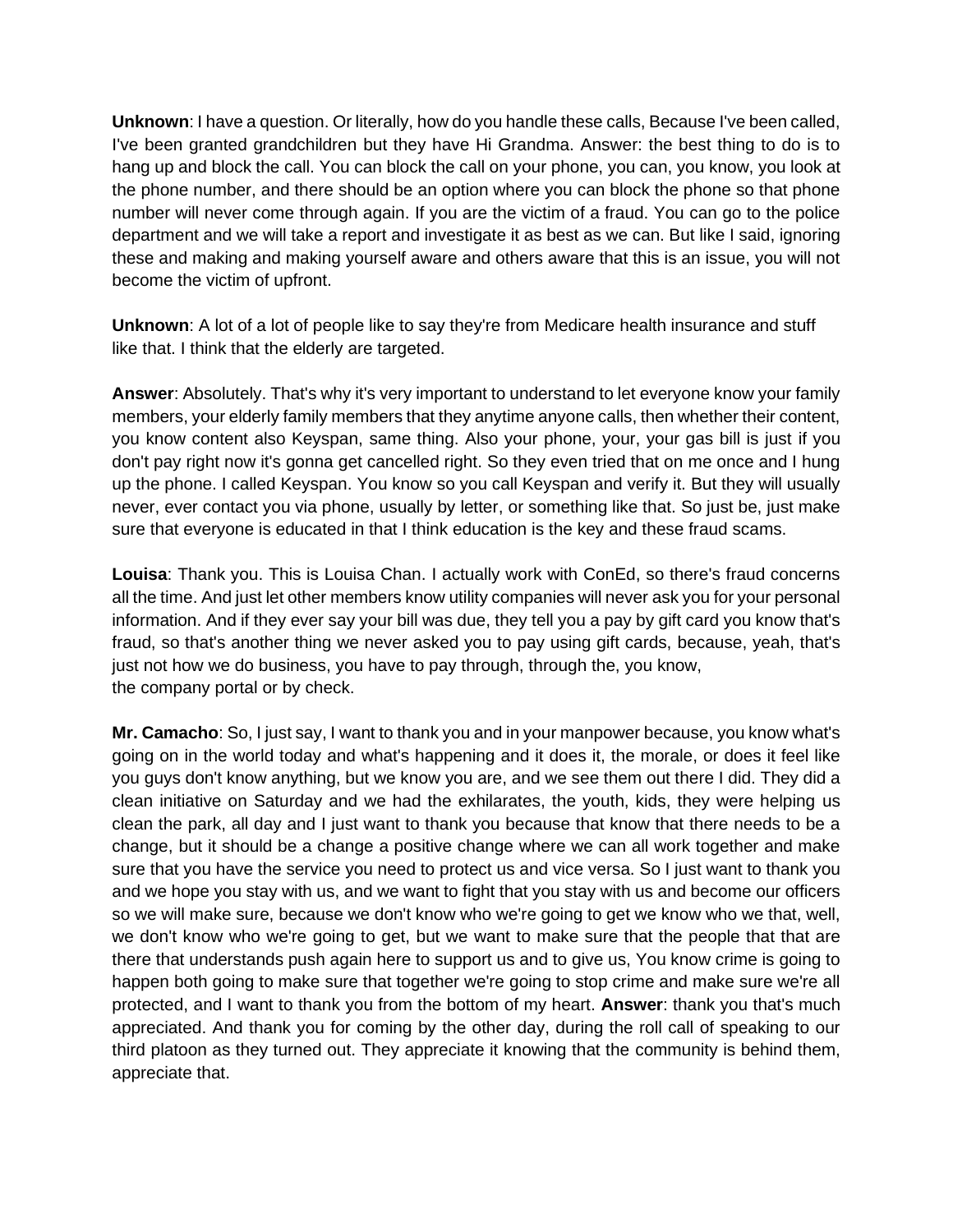**Unknown**: I have a question. Or literally, how do you handle these calls, Because I've been called, I've been granted grandchildren but they have Hi Grandma. Answer: the best thing to do is to hang up and block the call. You can block the call on your phone, you can, you know, you look at the phone number, and there should be an option where you can block the phone so that phone number will never come through again. If you are the victim of a fraud. You can go to the police department and we will take a report and investigate it as best as we can. But like I said, ignoring these and making and making yourself aware and others aware that this is an issue, you will not become the victim of upfront.

**Unknown**: A lot of a lot of people like to say they're from Medicare health insurance and stuff like that. I think that the elderly are targeted.

**Answer**: Absolutely. That's why it's very important to understand to let everyone know your family members, your elderly family members that they anytime anyone calls, then whether their content, you know content also Keyspan, same thing. Also your phone, your, your gas bill is just if you don't pay right now it's gonna get cancelled right. So they even tried that on me once and I hung up the phone. I called Keyspan. You know so you call Keyspan and verify it. But they will usually never, ever contact you via phone, usually by letter, or something like that. So just be, just make sure that everyone is educated in that I think education is the key and these fraud scams.

**Louisa**: Thank you. This is Louisa Chan. I actually work with ConEd, so there's fraud concerns all the time. And just let other members know utility companies will never ask you for your personal information. And if they ever say your bill was due, they tell you a pay by gift card you know that's fraud, so that's another thing we never asked you to pay using gift cards, because, yeah, that's just not how we do business, you have to pay through, through the, you know, the company portal or by check.

**Mr. Camacho**: So, I just say, I want to thank you and in your manpower because, you know what's going on in the world today and what's happening and it does it, the morale, or does it feel like you guys don't know anything, but we know you are, and we see them out there I did. They did a clean initiative on Saturday and we had the exhilarates, the youth, kids, they were helping us clean the park, all day and I just want to thank you because that know that there needs to be a change, but it should be a change a positive change where we can all work together and make sure that you have the service you need to protect us and vice versa. So I just want to thank you and we hope you stay with us, and we want to fight that you stay with us and become our officers so we will make sure, because we don't know who we're going to get we know who we that, well, we don't know who we're going to get, but we want to make sure that the people that that are there that understands push again here to support us and to give us, You know crime is going to happen both going to make sure that together we're going to stop crime and make sure we're all protected, and I want to thank you from the bottom of my heart. **Answer**: thank you that's much appreciated. And thank you for coming by the other day, during the roll call of speaking to our third platoon as they turned out. They appreciate it knowing that the community is behind them, appreciate that.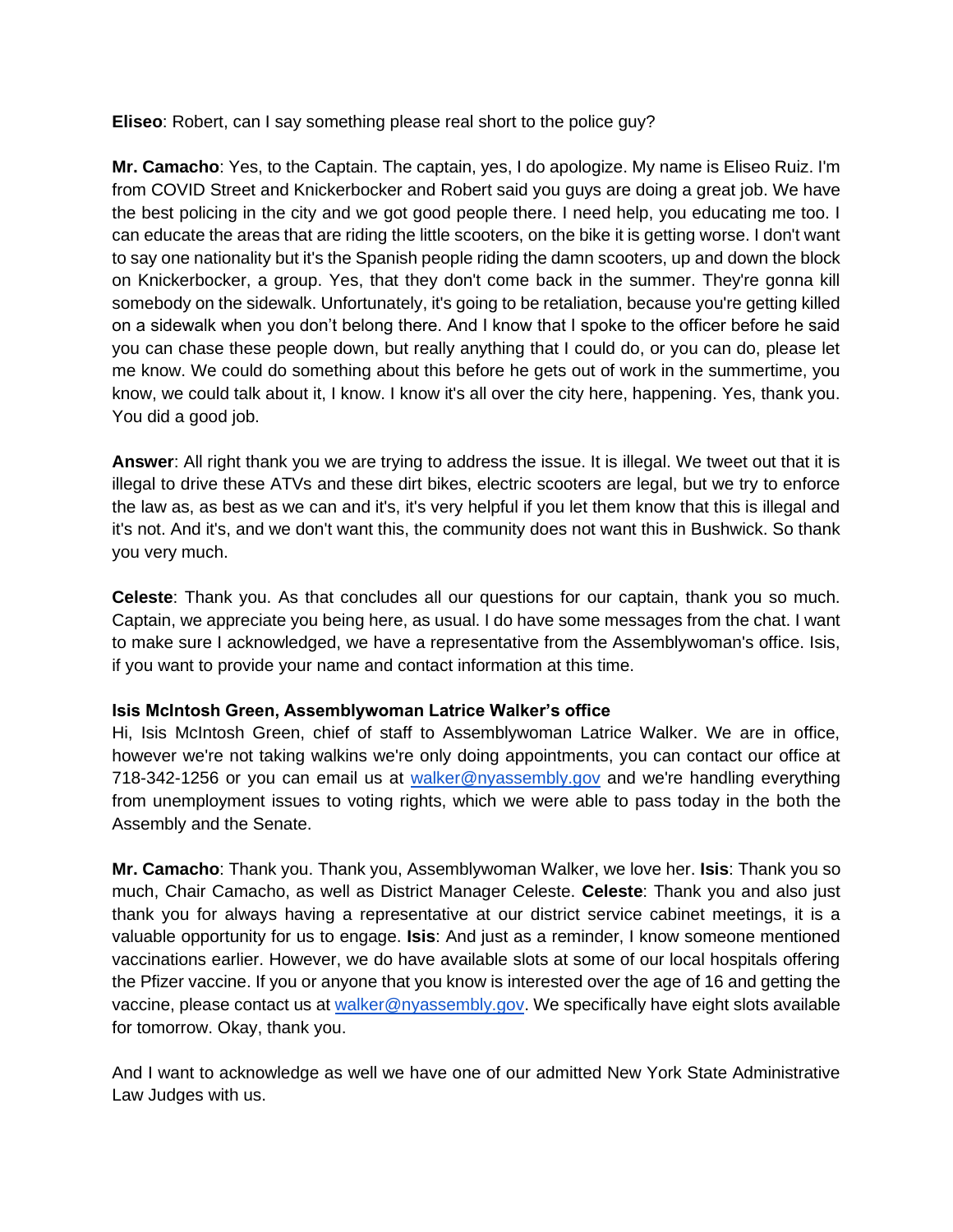**Eliseo**: Robert, can I say something please real short to the police guy?

**Mr. Camacho**: Yes, to the Captain. The captain, yes, I do apologize. My name is Eliseo Ruiz. I'm from COVID Street and Knickerbocker and Robert said you guys are doing a great job. We have the best policing in the city and we got good people there. I need help, you educating me too. I can educate the areas that are riding the little scooters, on the bike it is getting worse. I don't want to say one nationality but it's the Spanish people riding the damn scooters, up and down the block on Knickerbocker, a group. Yes, that they don't come back in the summer. They're gonna kill somebody on the sidewalk. Unfortunately, it's going to be retaliation, because you're getting killed on a sidewalk when you don't belong there. And I know that I spoke to the officer before he said you can chase these people down, but really anything that I could do, or you can do, please let me know. We could do something about this before he gets out of work in the summertime, you know, we could talk about it, I know. I know it's all over the city here, happening. Yes, thank you. You did a good job.

**Answer**: All right thank you we are trying to address the issue. It is illegal. We tweet out that it is illegal to drive these ATVs and these dirt bikes, electric scooters are legal, but we try to enforce the law as, as best as we can and it's, it's very helpful if you let them know that this is illegal and it's not. And it's, and we don't want this, the community does not want this in Bushwick. So thank you very much.

**Celeste**: Thank you. As that concludes all our questions for our captain, thank you so much. Captain, we appreciate you being here, as usual. I do have some messages from the chat. I want to make sure I acknowledged, we have a representative from the Assemblywoman's office. Isis, if you want to provide your name and contact information at this time.

### **Isis McIntosh Green, Assemblywoman Latrice Walker's office**

Hi, Isis McIntosh Green, chief of staff to Assemblywoman Latrice Walker. We are in office, however we're not taking walkins we're only doing appointments, you can contact our office at 718-342-1256 or you can email us at [walker@nyassembly.gov](mailto:walker@nyassembly.gov) and we're handling everything from unemployment issues to voting rights, which we were able to pass today in the both the Assembly and the Senate.

**Mr. Camacho**: Thank you. Thank you, Assemblywoman Walker, we love her. **Isis**: Thank you so much, Chair Camacho, as well as District Manager Celeste. **Celeste**: Thank you and also just thank you for always having a representative at our district service cabinet meetings, it is a valuable opportunity for us to engage. **Isis**: And just as a reminder, I know someone mentioned vaccinations earlier. However, we do have available slots at some of our local hospitals offering the Pfizer vaccine. If you or anyone that you know is interested over the age of 16 and getting the vaccine, please contact us at [walker@nyassembly.gov.](mailto:walker@nyassembly.gov) We specifically have eight slots available for tomorrow. Okay, thank you.

And I want to acknowledge as well we have one of our admitted New York State Administrative Law Judges with us.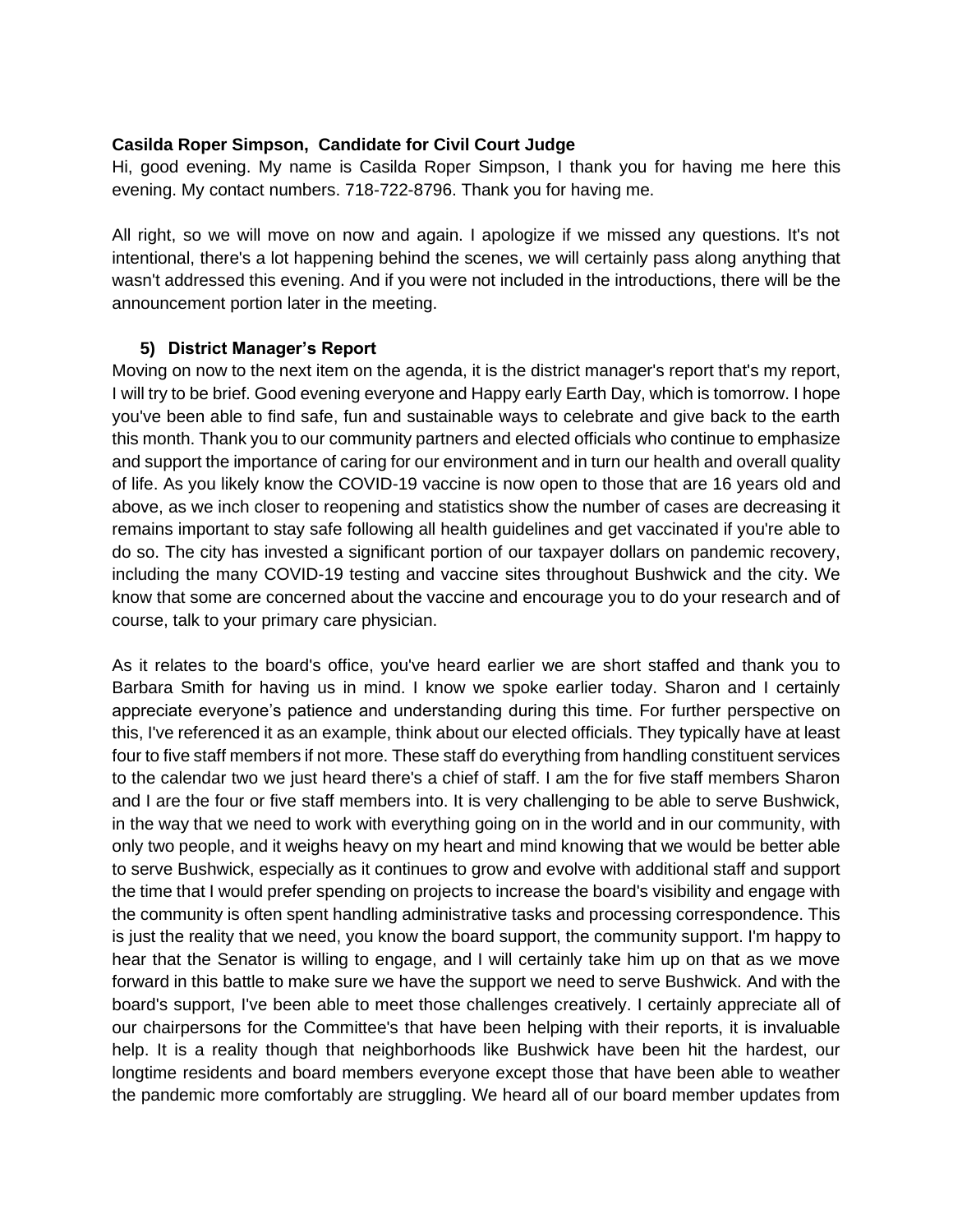### **Casilda Roper Simpson, Candidate for Civil Court Judge**

Hi, good evening. My name is Casilda Roper Simpson, I thank you for having me here this evening. My contact numbers. 718-722-8796. Thank you for having me.

All right, so we will move on now and again. I apologize if we missed any questions. It's not intentional, there's a lot happening behind the scenes, we will certainly pass along anything that wasn't addressed this evening. And if you were not included in the introductions, there will be the announcement portion later in the meeting.

### **5) District Manager's Report**

Moving on now to the next item on the agenda, it is the district manager's report that's my report, I will try to be brief. Good evening everyone and Happy early Earth Day, which is tomorrow. I hope you've been able to find safe, fun and sustainable ways to celebrate and give back to the earth this month. Thank you to our community partners and elected officials who continue to emphasize and support the importance of caring for our environment and in turn our health and overall quality of life. As you likely know the COVID-19 vaccine is now open to those that are 16 years old and above, as we inch closer to reopening and statistics show the number of cases are decreasing it remains important to stay safe following all health guidelines and get vaccinated if you're able to do so. The city has invested a significant portion of our taxpayer dollars on pandemic recovery, including the many COVID-19 testing and vaccine sites throughout Bushwick and the city. We know that some are concerned about the vaccine and encourage you to do your research and of course, talk to your primary care physician.

As it relates to the board's office, you've heard earlier we are short staffed and thank you to Barbara Smith for having us in mind. I know we spoke earlier today. Sharon and I certainly appreciate everyone's patience and understanding during this time. For further perspective on this, I've referenced it as an example, think about our elected officials. They typically have at least four to five staff members if not more. These staff do everything from handling constituent services to the calendar two we just heard there's a chief of staff. I am the for five staff members Sharon and I are the four or five staff members into. It is very challenging to be able to serve Bushwick, in the way that we need to work with everything going on in the world and in our community, with only two people, and it weighs heavy on my heart and mind knowing that we would be better able to serve Bushwick, especially as it continues to grow and evolve with additional staff and support the time that I would prefer spending on projects to increase the board's visibility and engage with the community is often spent handling administrative tasks and processing correspondence. This is just the reality that we need, you know the board support, the community support. I'm happy to hear that the Senator is willing to engage, and I will certainly take him up on that as we move forward in this battle to make sure we have the support we need to serve Bushwick. And with the board's support, I've been able to meet those challenges creatively. I certainly appreciate all of our chairpersons for the Committee's that have been helping with their reports, it is invaluable help. It is a reality though that neighborhoods like Bushwick have been hit the hardest, our longtime residents and board members everyone except those that have been able to weather the pandemic more comfortably are struggling. We heard all of our board member updates from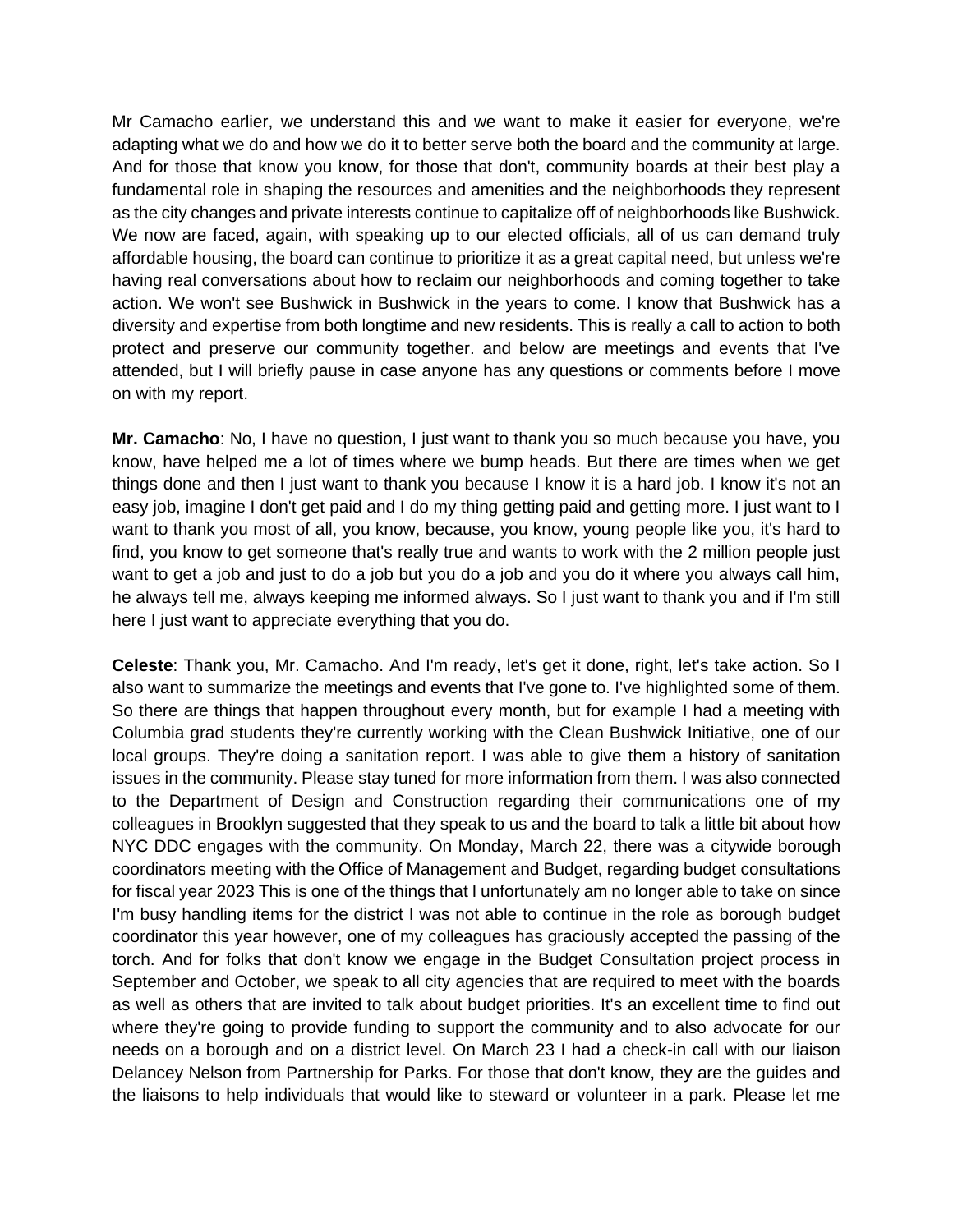Mr Camacho earlier, we understand this and we want to make it easier for everyone, we're adapting what we do and how we do it to better serve both the board and the community at large. And for those that know you know, for those that don't, community boards at their best play a fundamental role in shaping the resources and amenities and the neighborhoods they represent as the city changes and private interests continue to capitalize off of neighborhoods like Bushwick. We now are faced, again, with speaking up to our elected officials, all of us can demand truly affordable housing, the board can continue to prioritize it as a great capital need, but unless we're having real conversations about how to reclaim our neighborhoods and coming together to take action. We won't see Bushwick in Bushwick in the years to come. I know that Bushwick has a diversity and expertise from both longtime and new residents. This is really a call to action to both protect and preserve our community together. and below are meetings and events that I've attended, but I will briefly pause in case anyone has any questions or comments before I move on with my report.

**Mr. Camacho**: No, I have no question, I just want to thank you so much because you have, you know, have helped me a lot of times where we bump heads. But there are times when we get things done and then I just want to thank you because I know it is a hard job. I know it's not an easy job, imagine I don't get paid and I do my thing getting paid and getting more. I just want to I want to thank you most of all, you know, because, you know, young people like you, it's hard to find, you know to get someone that's really true and wants to work with the 2 million people just want to get a job and just to do a job but you do a job and you do it where you always call him, he always tell me, always keeping me informed always. So I just want to thank you and if I'm still here I just want to appreciate everything that you do.

**Celeste**: Thank you, Mr. Camacho. And I'm ready, let's get it done, right, let's take action. So I also want to summarize the meetings and events that I've gone to. I've highlighted some of them. So there are things that happen throughout every month, but for example I had a meeting with Columbia grad students they're currently working with the Clean Bushwick Initiative, one of our local groups. They're doing a sanitation report. I was able to give them a history of sanitation issues in the community. Please stay tuned for more information from them. I was also connected to the Department of Design and Construction regarding their communications one of my colleagues in Brooklyn suggested that they speak to us and the board to talk a little bit about how NYC DDC engages with the community. On Monday, March 22, there was a citywide borough coordinators meeting with the Office of Management and Budget, regarding budget consultations for fiscal year 2023 This is one of the things that I unfortunately am no longer able to take on since I'm busy handling items for the district I was not able to continue in the role as borough budget coordinator this year however, one of my colleagues has graciously accepted the passing of the torch. And for folks that don't know we engage in the Budget Consultation project process in September and October, we speak to all city agencies that are required to meet with the boards as well as others that are invited to talk about budget priorities. It's an excellent time to find out where they're going to provide funding to support the community and to also advocate for our needs on a borough and on a district level. On March 23 I had a check-in call with our liaison Delancey Nelson from Partnership for Parks. For those that don't know, they are the guides and the liaisons to help individuals that would like to steward or volunteer in a park. Please let me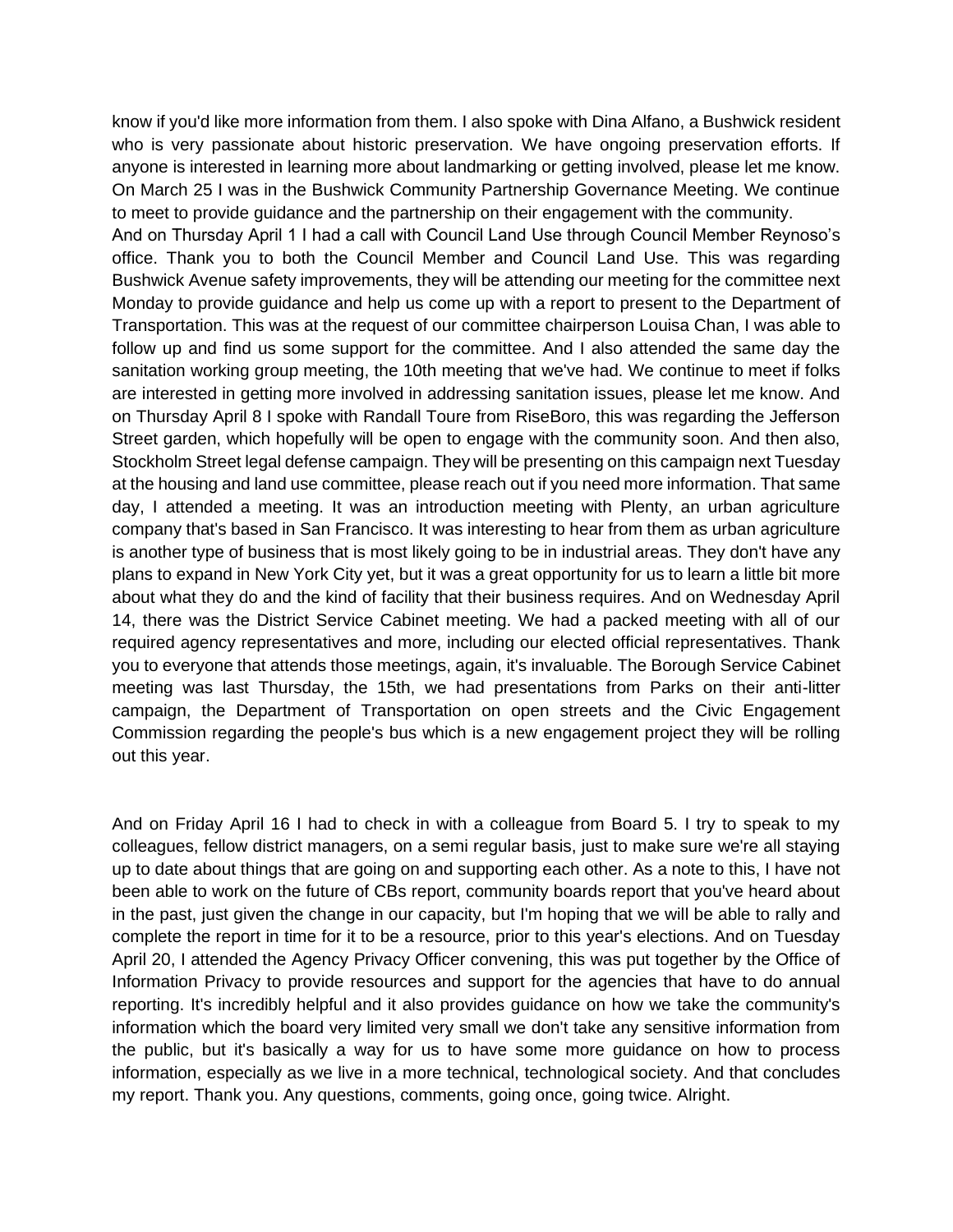know if you'd like more information from them. I also spoke with Dina Alfano, a Bushwick resident who is very passionate about historic preservation. We have ongoing preservation efforts. If anyone is interested in learning more about landmarking or getting involved, please let me know. On March 25 I was in the Bushwick Community Partnership Governance Meeting. We continue to meet to provide guidance and the partnership on their engagement with the community.

And on Thursday April 1 I had a call with Council Land Use through Council Member Reynoso's office. Thank you to both the Council Member and Council Land Use. This was regarding Bushwick Avenue safety improvements, they will be attending our meeting for the committee next Monday to provide guidance and help us come up with a report to present to the Department of Transportation. This was at the request of our committee chairperson Louisa Chan, I was able to follow up and find us some support for the committee. And I also attended the same day the sanitation working group meeting, the 10th meeting that we've had. We continue to meet if folks are interested in getting more involved in addressing sanitation issues, please let me know. And on Thursday April 8 I spoke with Randall Toure from RiseBoro, this was regarding the Jefferson Street garden, which hopefully will be open to engage with the community soon. And then also, Stockholm Street legal defense campaign. They will be presenting on this campaign next Tuesday at the housing and land use committee, please reach out if you need more information. That same day, I attended a meeting. It was an introduction meeting with Plenty, an urban agriculture company that's based in San Francisco. It was interesting to hear from them as urban agriculture is another type of business that is most likely going to be in industrial areas. They don't have any plans to expand in New York City yet, but it was a great opportunity for us to learn a little bit more about what they do and the kind of facility that their business requires. And on Wednesday April 14, there was the District Service Cabinet meeting. We had a packed meeting with all of our required agency representatives and more, including our elected official representatives. Thank you to everyone that attends those meetings, again, it's invaluable. The Borough Service Cabinet meeting was last Thursday, the 15th, we had presentations from Parks on their anti-litter campaign, the Department of Transportation on open streets and the Civic Engagement Commission regarding the people's bus which is a new engagement project they will be rolling out this year.

And on Friday April 16 I had to check in with a colleague from Board 5. I try to speak to my colleagues, fellow district managers, on a semi regular basis, just to make sure we're all staying up to date about things that are going on and supporting each other. As a note to this, I have not been able to work on the future of CBs report, community boards report that you've heard about in the past, just given the change in our capacity, but I'm hoping that we will be able to rally and complete the report in time for it to be a resource, prior to this year's elections. And on Tuesday April 20, I attended the Agency Privacy Officer convening, this was put together by the Office of Information Privacy to provide resources and support for the agencies that have to do annual reporting. It's incredibly helpful and it also provides guidance on how we take the community's information which the board very limited very small we don't take any sensitive information from the public, but it's basically a way for us to have some more guidance on how to process information, especially as we live in a more technical, technological society. And that concludes my report. Thank you. Any questions, comments, going once, going twice. Alright.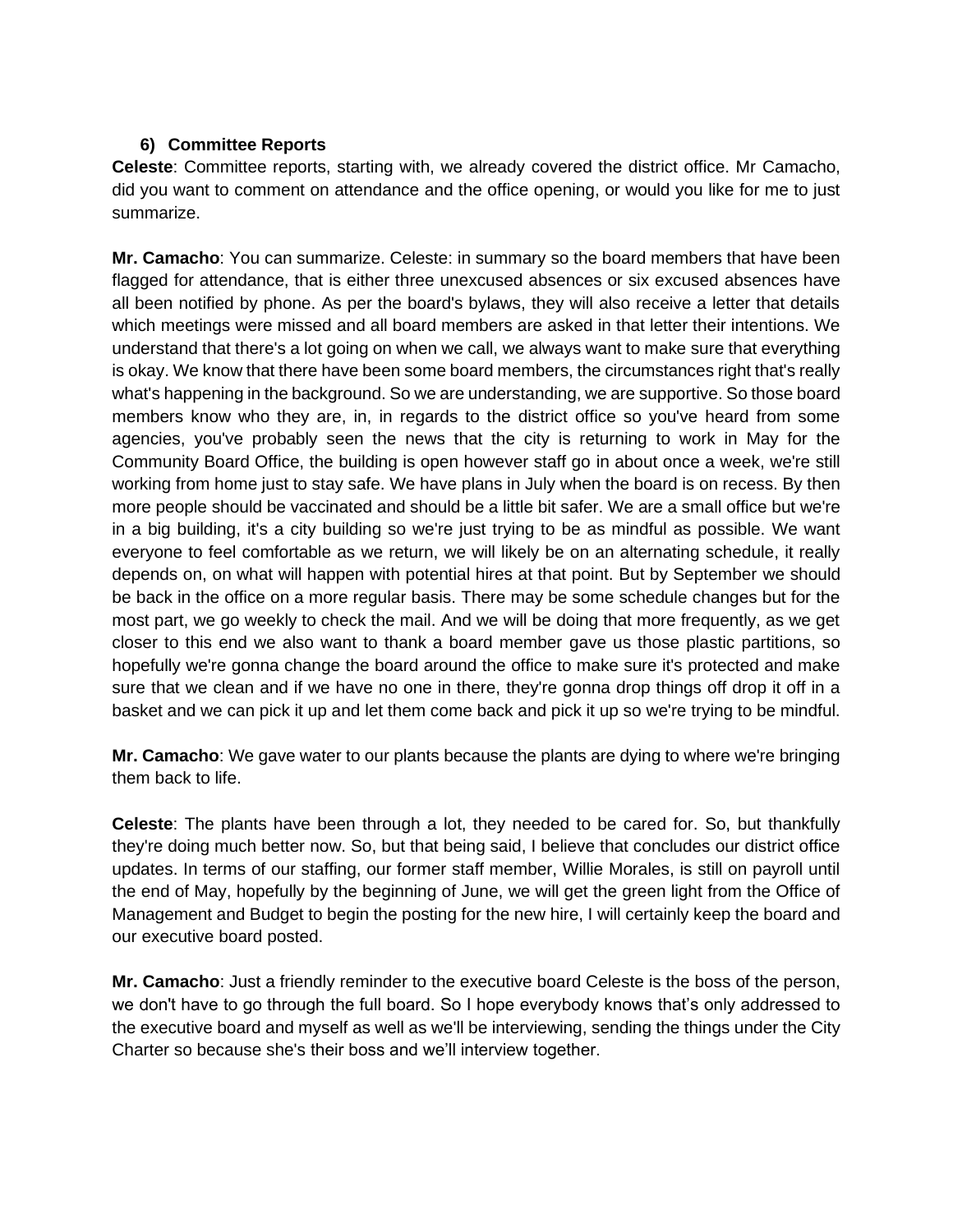## **6) Committee Reports**

**Celeste**: Committee reports, starting with, we already covered the district office. Mr Camacho, did you want to comment on attendance and the office opening, or would you like for me to just summarize.

**Mr. Camacho**: You can summarize. Celeste: in summary so the board members that have been flagged for attendance, that is either three unexcused absences or six excused absences have all been notified by phone. As per the board's bylaws, they will also receive a letter that details which meetings were missed and all board members are asked in that letter their intentions. We understand that there's a lot going on when we call, we always want to make sure that everything is okay. We know that there have been some board members, the circumstances right that's really what's happening in the background. So we are understanding, we are supportive. So those board members know who they are, in, in regards to the district office so you've heard from some agencies, you've probably seen the news that the city is returning to work in May for the Community Board Office, the building is open however staff go in about once a week, we're still working from home just to stay safe. We have plans in July when the board is on recess. By then more people should be vaccinated and should be a little bit safer. We are a small office but we're in a big building, it's a city building so we're just trying to be as mindful as possible. We want everyone to feel comfortable as we return, we will likely be on an alternating schedule, it really depends on, on what will happen with potential hires at that point. But by September we should be back in the office on a more regular basis. There may be some schedule changes but for the most part, we go weekly to check the mail. And we will be doing that more frequently, as we get closer to this end we also want to thank a board member gave us those plastic partitions, so hopefully we're gonna change the board around the office to make sure it's protected and make sure that we clean and if we have no one in there, they're gonna drop things off drop it off in a basket and we can pick it up and let them come back and pick it up so we're trying to be mindful.

**Mr. Camacho**: We gave water to our plants because the plants are dying to where we're bringing them back to life.

**Celeste**: The plants have been through a lot, they needed to be cared for. So, but thankfully they're doing much better now. So, but that being said, I believe that concludes our district office updates. In terms of our staffing, our former staff member, Willie Morales, is still on payroll until the end of May, hopefully by the beginning of June, we will get the green light from the Office of Management and Budget to begin the posting for the new hire, I will certainly keep the board and our executive board posted.

**Mr. Camacho**: Just a friendly reminder to the executive board Celeste is the boss of the person, we don't have to go through the full board. So I hope everybody knows that's only addressed to the executive board and myself as well as we'll be interviewing, sending the things under the City Charter so because she's their boss and we'll interview together.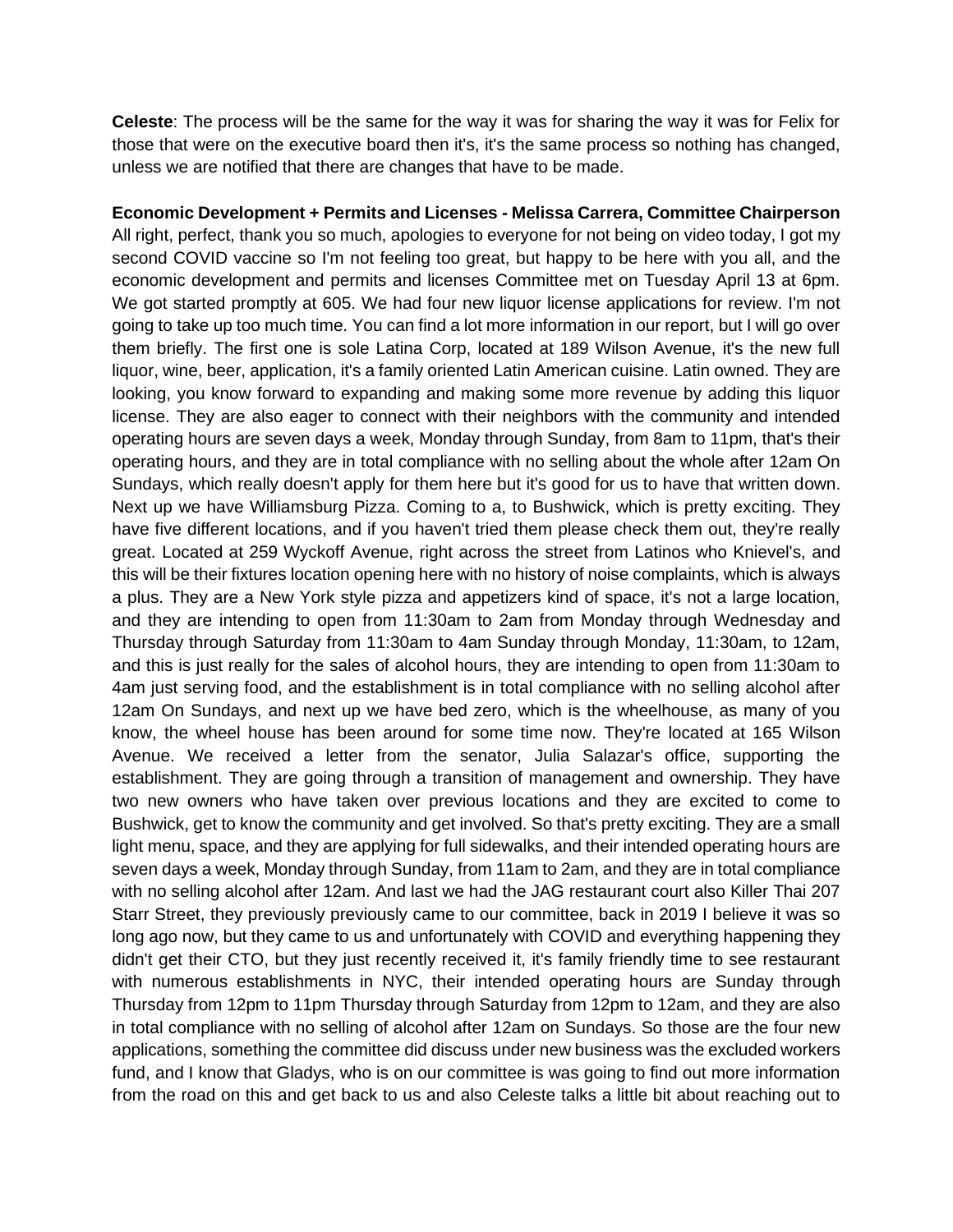**Celeste**: The process will be the same for the way it was for sharing the way it was for Felix for those that were on the executive board then it's, it's the same process so nothing has changed, unless we are notified that there are changes that have to be made.

**Economic Development + Permits and Licenses - Melissa Carrera, Committee Chairperson** All right, perfect, thank you so much, apologies to everyone for not being on video today, I got my second COVID vaccine so I'm not feeling too great, but happy to be here with you all, and the economic development and permits and licenses Committee met on Tuesday April 13 at 6pm. We got started promptly at 605. We had four new liquor license applications for review. I'm not going to take up too much time. You can find a lot more information in our report, but I will go over them briefly. The first one is sole Latina Corp, located at 189 Wilson Avenue, it's the new full liquor, wine, beer, application, it's a family oriented Latin American cuisine. Latin owned. They are looking, you know forward to expanding and making some more revenue by adding this liquor license. They are also eager to connect with their neighbors with the community and intended operating hours are seven days a week, Monday through Sunday, from 8am to 11pm, that's their operating hours, and they are in total compliance with no selling about the whole after 12am On Sundays, which really doesn't apply for them here but it's good for us to have that written down. Next up we have Williamsburg Pizza. Coming to a, to Bushwick, which is pretty exciting. They have five different locations, and if you haven't tried them please check them out, they're really great. Located at 259 Wyckoff Avenue, right across the street from Latinos who Knievel's, and this will be their fixtures location opening here with no history of noise complaints, which is always a plus. They are a New York style pizza and appetizers kind of space, it's not a large location, and they are intending to open from 11:30am to 2am from Monday through Wednesday and Thursday through Saturday from 11:30am to 4am Sunday through Monday, 11:30am, to 12am, and this is just really for the sales of alcohol hours, they are intending to open from 11:30am to 4am just serving food, and the establishment is in total compliance with no selling alcohol after 12am On Sundays, and next up we have bed zero, which is the wheelhouse, as many of you know, the wheel house has been around for some time now. They're located at 165 Wilson Avenue. We received a letter from the senator, Julia Salazar's office, supporting the establishment. They are going through a transition of management and ownership. They have two new owners who have taken over previous locations and they are excited to come to Bushwick, get to know the community and get involved. So that's pretty exciting. They are a small light menu, space, and they are applying for full sidewalks, and their intended operating hours are seven days a week, Monday through Sunday, from 11am to 2am, and they are in total compliance with no selling alcohol after 12am. And last we had the JAG restaurant court also Killer Thai 207 Starr Street, they previously previously came to our committee, back in 2019 I believe it was so long ago now, but they came to us and unfortunately with COVID and everything happening they didn't get their CTO, but they just recently received it, it's family friendly time to see restaurant with numerous establishments in NYC, their intended operating hours are Sunday through Thursday from 12pm to 11pm Thursday through Saturday from 12pm to 12am, and they are also in total compliance with no selling of alcohol after 12am on Sundays. So those are the four new applications, something the committee did discuss under new business was the excluded workers fund, and I know that Gladys, who is on our committee is was going to find out more information from the road on this and get back to us and also Celeste talks a little bit about reaching out to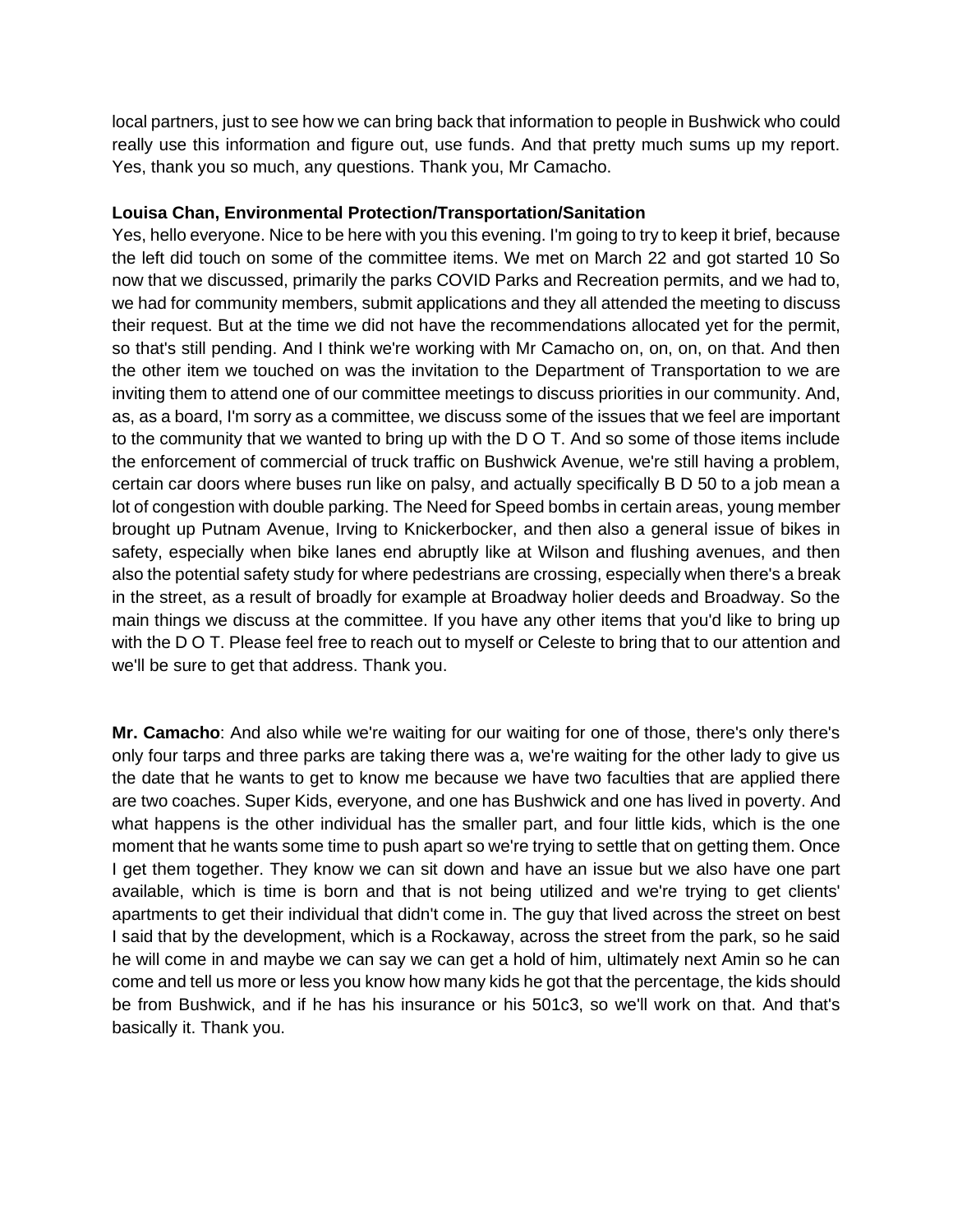local partners, just to see how we can bring back that information to people in Bushwick who could really use this information and figure out, use funds. And that pretty much sums up my report. Yes, thank you so much, any questions. Thank you, Mr Camacho.

### **Louisa Chan, Environmental Protection/Transportation/Sanitation**

Yes, hello everyone. Nice to be here with you this evening. I'm going to try to keep it brief, because the left did touch on some of the committee items. We met on March 22 and got started 10 So now that we discussed, primarily the parks COVID Parks and Recreation permits, and we had to, we had for community members, submit applications and they all attended the meeting to discuss their request. But at the time we did not have the recommendations allocated yet for the permit, so that's still pending. And I think we're working with Mr Camacho on, on, on, on that. And then the other item we touched on was the invitation to the Department of Transportation to we are inviting them to attend one of our committee meetings to discuss priorities in our community. And, as, as a board, I'm sorry as a committee, we discuss some of the issues that we feel are important to the community that we wanted to bring up with the D O T. And so some of those items include the enforcement of commercial of truck traffic on Bushwick Avenue, we're still having a problem, certain car doors where buses run like on palsy, and actually specifically B D 50 to a job mean a lot of congestion with double parking. The Need for Speed bombs in certain areas, young member brought up Putnam Avenue, Irving to Knickerbocker, and then also a general issue of bikes in safety, especially when bike lanes end abruptly like at Wilson and flushing avenues, and then also the potential safety study for where pedestrians are crossing, especially when there's a break in the street, as a result of broadly for example at Broadway holier deeds and Broadway. So the main things we discuss at the committee. If you have any other items that you'd like to bring up with the D O T. Please feel free to reach out to myself or Celeste to bring that to our attention and we'll be sure to get that address. Thank you.

**Mr. Camacho**: And also while we're waiting for our waiting for one of those, there's only there's only four tarps and three parks are taking there was a, we're waiting for the other lady to give us the date that he wants to get to know me because we have two faculties that are applied there are two coaches. Super Kids, everyone, and one has Bushwick and one has lived in poverty. And what happens is the other individual has the smaller part, and four little kids, which is the one moment that he wants some time to push apart so we're trying to settle that on getting them. Once I get them together. They know we can sit down and have an issue but we also have one part available, which is time is born and that is not being utilized and we're trying to get clients' apartments to get their individual that didn't come in. The guy that lived across the street on best I said that by the development, which is a Rockaway, across the street from the park, so he said he will come in and maybe we can say we can get a hold of him, ultimately next Amin so he can come and tell us more or less you know how many kids he got that the percentage, the kids should be from Bushwick, and if he has his insurance or his 501c3, so we'll work on that. And that's basically it. Thank you.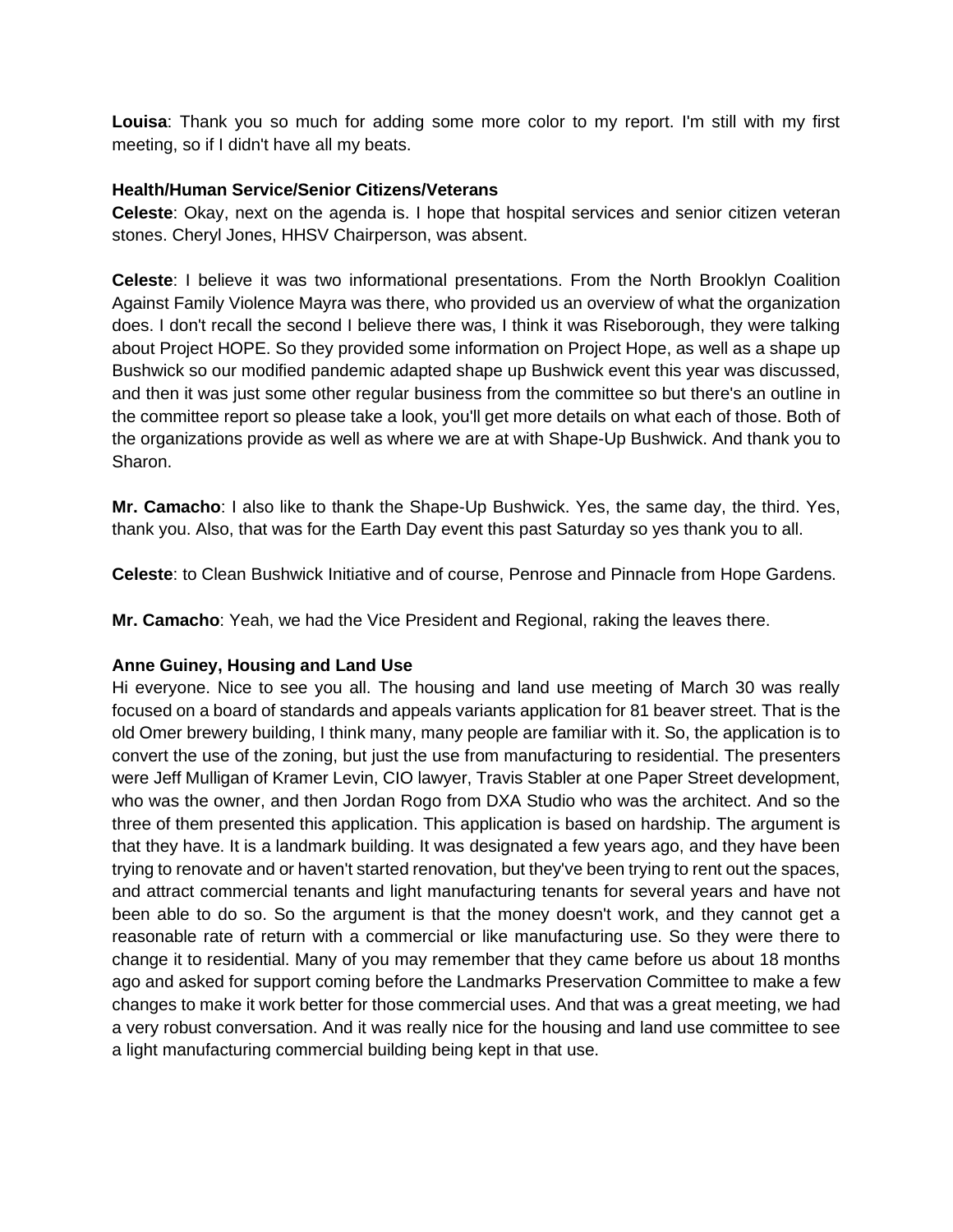**Louisa**: Thank you so much for adding some more color to my report. I'm still with my first meeting, so if I didn't have all my beats.

### **Health/Human Service/Senior Citizens/Veterans**

**Celeste**: Okay, next on the agenda is. I hope that hospital services and senior citizen veteran stones. Cheryl Jones, HHSV Chairperson, was absent.

**Celeste**: I believe it was two informational presentations. From the North Brooklyn Coalition Against Family Violence Mayra was there, who provided us an overview of what the organization does. I don't recall the second I believe there was, I think it was Riseborough, they were talking about Project HOPE. So they provided some information on Project Hope, as well as a shape up Bushwick so our modified pandemic adapted shape up Bushwick event this year was discussed, and then it was just some other regular business from the committee so but there's an outline in the committee report so please take a look, you'll get more details on what each of those. Both of the organizations provide as well as where we are at with Shape-Up Bushwick. And thank you to Sharon.

**Mr. Camacho**: I also like to thank the Shape-Up Bushwick. Yes, the same day, the third. Yes, thank you. Also, that was for the Earth Day event this past Saturday so yes thank you to all.

**Celeste**: to Clean Bushwick Initiative and of course, Penrose and Pinnacle from Hope Gardens.

**Mr. Camacho**: Yeah, we had the Vice President and Regional, raking the leaves there.

#### **Anne Guiney, Housing and Land Use**

Hi everyone. Nice to see you all. The housing and land use meeting of March 30 was really focused on a board of standards and appeals variants application for 81 beaver street. That is the old Omer brewery building, I think many, many people are familiar with it. So, the application is to convert the use of the zoning, but just the use from manufacturing to residential. The presenters were Jeff Mulligan of Kramer Levin, CIO lawyer, Travis Stabler at one Paper Street development, who was the owner, and then Jordan Rogo from DXA Studio who was the architect. And so the three of them presented this application. This application is based on hardship. The argument is that they have. It is a landmark building. It was designated a few years ago, and they have been trying to renovate and or haven't started renovation, but they've been trying to rent out the spaces, and attract commercial tenants and light manufacturing tenants for several years and have not been able to do so. So the argument is that the money doesn't work, and they cannot get a reasonable rate of return with a commercial or like manufacturing use. So they were there to change it to residential. Many of you may remember that they came before us about 18 months ago and asked for support coming before the Landmarks Preservation Committee to make a few changes to make it work better for those commercial uses. And that was a great meeting, we had a very robust conversation. And it was really nice for the housing and land use committee to see a light manufacturing commercial building being kept in that use.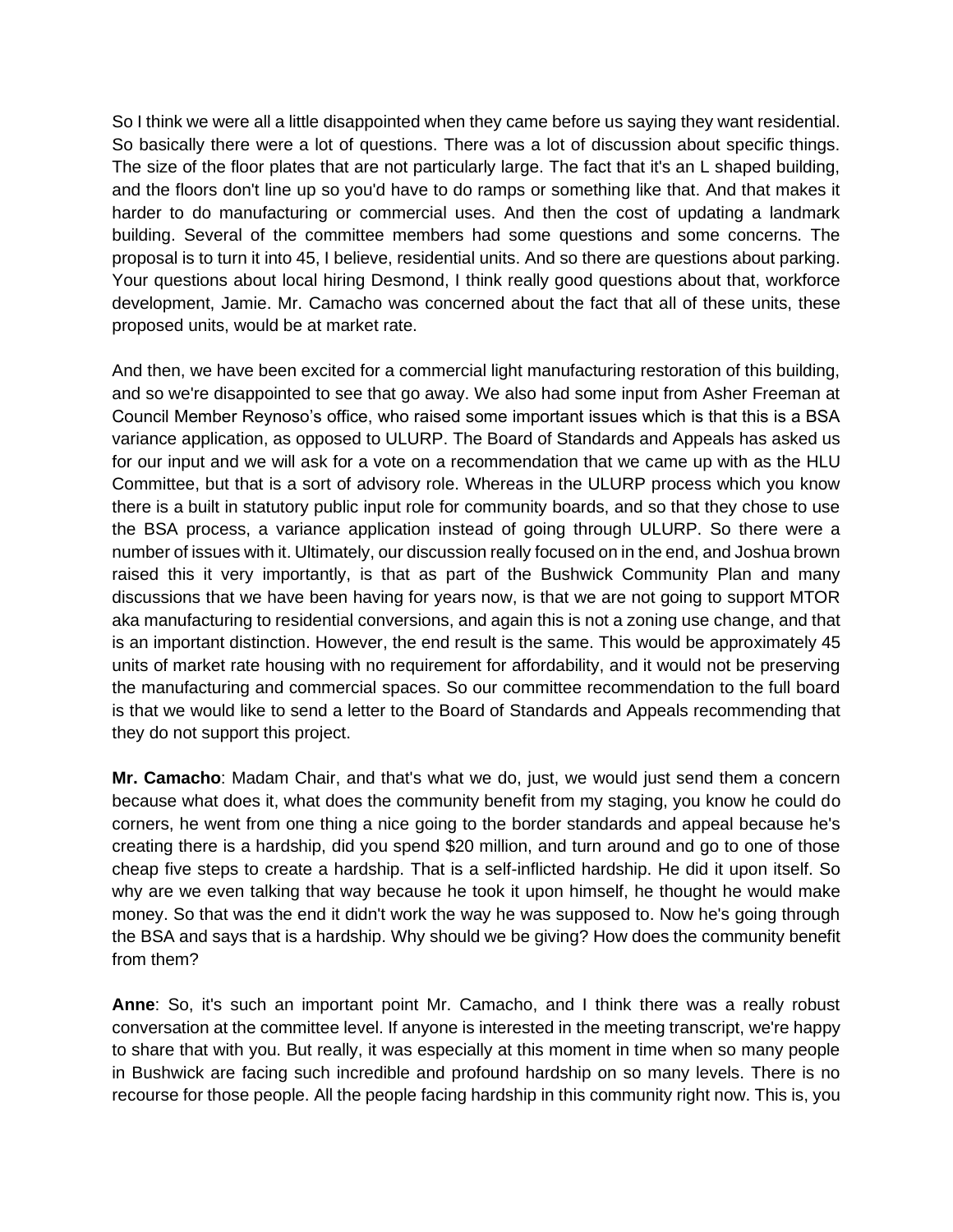So I think we were all a little disappointed when they came before us saying they want residential. So basically there were a lot of questions. There was a lot of discussion about specific things. The size of the floor plates that are not particularly large. The fact that it's an L shaped building, and the floors don't line up so you'd have to do ramps or something like that. And that makes it harder to do manufacturing or commercial uses. And then the cost of updating a landmark building. Several of the committee members had some questions and some concerns. The proposal is to turn it into 45, I believe, residential units. And so there are questions about parking. Your questions about local hiring Desmond, I think really good questions about that, workforce development, Jamie. Mr. Camacho was concerned about the fact that all of these units, these proposed units, would be at market rate.

And then, we have been excited for a commercial light manufacturing restoration of this building, and so we're disappointed to see that go away. We also had some input from Asher Freeman at Council Member Reynoso's office, who raised some important issues which is that this is a BSA variance application, as opposed to ULURP. The Board of Standards and Appeals has asked us for our input and we will ask for a vote on a recommendation that we came up with as the HLU Committee, but that is a sort of advisory role. Whereas in the ULURP process which you know there is a built in statutory public input role for community boards, and so that they chose to use the BSA process, a variance application instead of going through ULURP. So there were a number of issues with it. Ultimately, our discussion really focused on in the end, and Joshua brown raised this it very importantly, is that as part of the Bushwick Community Plan and many discussions that we have been having for years now, is that we are not going to support MTOR aka manufacturing to residential conversions, and again this is not a zoning use change, and that is an important distinction. However, the end result is the same. This would be approximately 45 units of market rate housing with no requirement for affordability, and it would not be preserving the manufacturing and commercial spaces. So our committee recommendation to the full board is that we would like to send a letter to the Board of Standards and Appeals recommending that they do not support this project.

**Mr. Camacho**: Madam Chair, and that's what we do, just, we would just send them a concern because what does it, what does the community benefit from my staging, you know he could do corners, he went from one thing a nice going to the border standards and appeal because he's creating there is a hardship, did you spend \$20 million, and turn around and go to one of those cheap five steps to create a hardship. That is a self-inflicted hardship. He did it upon itself. So why are we even talking that way because he took it upon himself, he thought he would make money. So that was the end it didn't work the way he was supposed to. Now he's going through the BSA and says that is a hardship. Why should we be giving? How does the community benefit from them?

**Anne**: So, it's such an important point Mr. Camacho, and I think there was a really robust conversation at the committee level. If anyone is interested in the meeting transcript, we're happy to share that with you. But really, it was especially at this moment in time when so many people in Bushwick are facing such incredible and profound hardship on so many levels. There is no recourse for those people. All the people facing hardship in this community right now. This is, you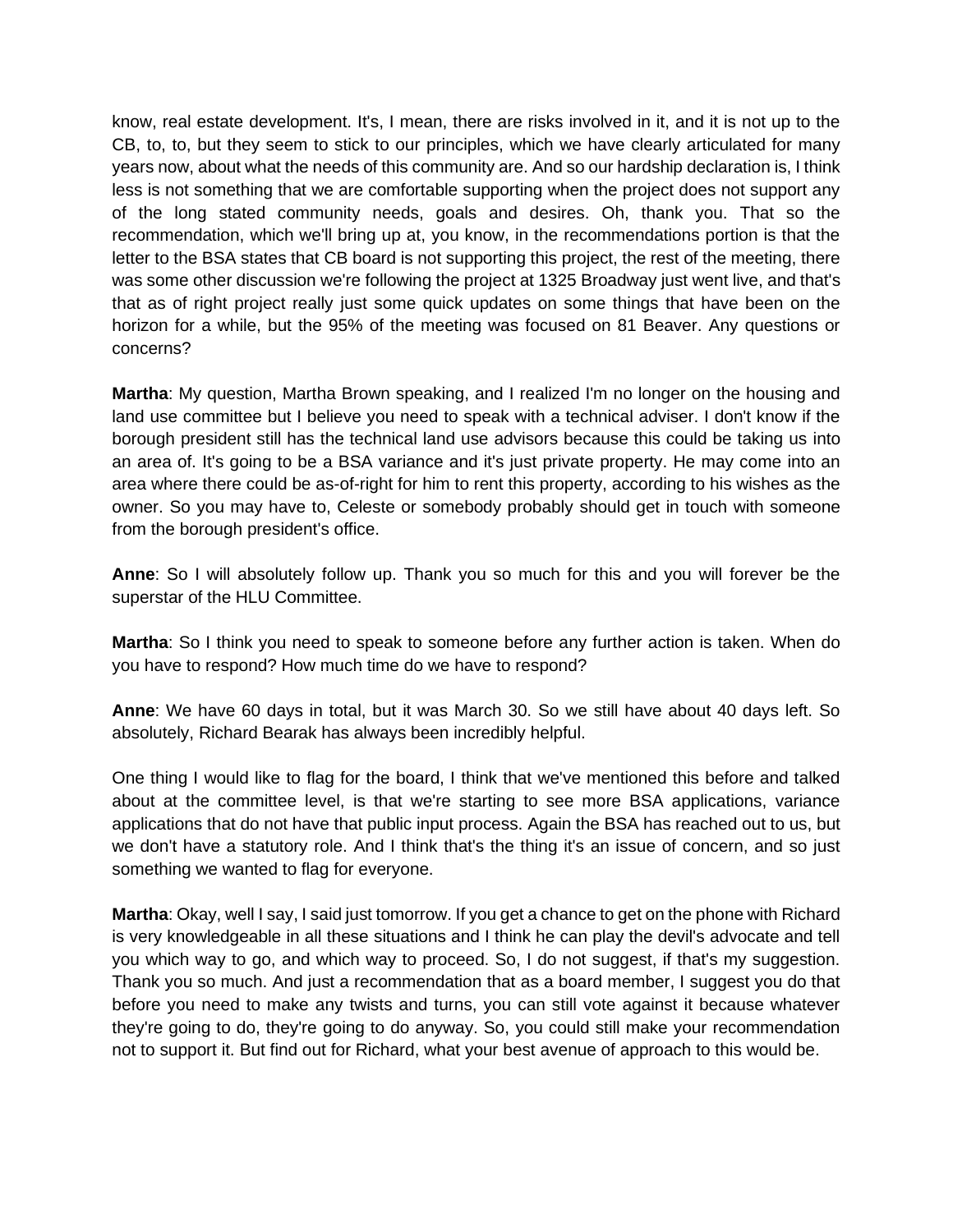know, real estate development. It's, I mean, there are risks involved in it, and it is not up to the CB, to, to, but they seem to stick to our principles, which we have clearly articulated for many years now, about what the needs of this community are. And so our hardship declaration is, I think less is not something that we are comfortable supporting when the project does not support any of the long stated community needs, goals and desires. Oh, thank you. That so the recommendation, which we'll bring up at, you know, in the recommendations portion is that the letter to the BSA states that CB board is not supporting this project, the rest of the meeting, there was some other discussion we're following the project at 1325 Broadway just went live, and that's that as of right project really just some quick updates on some things that have been on the horizon for a while, but the 95% of the meeting was focused on 81 Beaver. Any questions or concerns?

**Martha**: My question, Martha Brown speaking, and I realized I'm no longer on the housing and land use committee but I believe you need to speak with a technical adviser. I don't know if the borough president still has the technical land use advisors because this could be taking us into an area of. It's going to be a BSA variance and it's just private property. He may come into an area where there could be as-of-right for him to rent this property, according to his wishes as the owner. So you may have to, Celeste or somebody probably should get in touch with someone from the borough president's office.

**Anne**: So I will absolutely follow up. Thank you so much for this and you will forever be the superstar of the HLU Committee.

**Martha**: So I think you need to speak to someone before any further action is taken. When do you have to respond? How much time do we have to respond?

**Anne**: We have 60 days in total, but it was March 30. So we still have about 40 days left. So absolutely, Richard Bearak has always been incredibly helpful.

One thing I would like to flag for the board, I think that we've mentioned this before and talked about at the committee level, is that we're starting to see more BSA applications, variance applications that do not have that public input process. Again the BSA has reached out to us, but we don't have a statutory role. And I think that's the thing it's an issue of concern, and so just something we wanted to flag for everyone.

**Martha**: Okay, well I say, I said just tomorrow. If you get a chance to get on the phone with Richard is very knowledgeable in all these situations and I think he can play the devil's advocate and tell you which way to go, and which way to proceed. So, I do not suggest, if that's my suggestion. Thank you so much. And just a recommendation that as a board member, I suggest you do that before you need to make any twists and turns, you can still vote against it because whatever they're going to do, they're going to do anyway. So, you could still make your recommendation not to support it. But find out for Richard, what your best avenue of approach to this would be.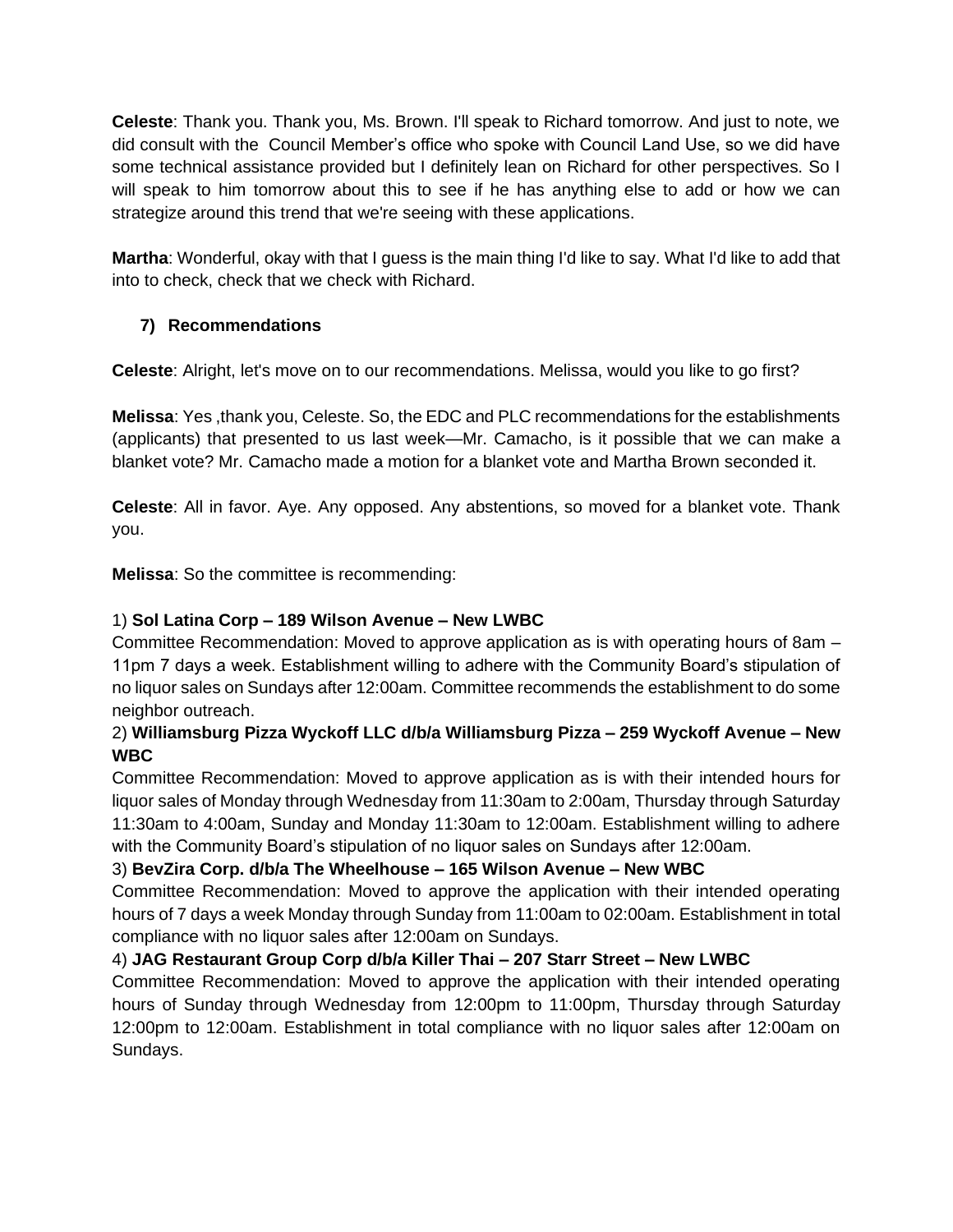**Celeste**: Thank you. Thank you, Ms. Brown. I'll speak to Richard tomorrow. And just to note, we did consult with the Council Member's office who spoke with Council Land Use, so we did have some technical assistance provided but I definitely lean on Richard for other perspectives. So I will speak to him tomorrow about this to see if he has anything else to add or how we can strategize around this trend that we're seeing with these applications.

**Martha**: Wonderful, okay with that I guess is the main thing I'd like to say. What I'd like to add that into to check, check that we check with Richard.

# **7) Recommendations**

**Celeste**: Alright, let's move on to our recommendations. Melissa, would you like to go first?

**Melissa**: Yes ,thank you, Celeste. So, the EDC and PLC recommendations for the establishments (applicants) that presented to us last week—Mr. Camacho, is it possible that we can make a blanket vote? Mr. Camacho made a motion for a blanket vote and Martha Brown seconded it.

**Celeste**: All in favor. Aye. Any opposed. Any abstentions, so moved for a blanket vote. Thank you.

**Melissa**: So the committee is recommending:

# 1) **Sol Latina Corp – 189 Wilson Avenue – New LWBC**

Committee Recommendation: Moved to approve application as is with operating hours of 8am – 11pm 7 days a week. Establishment willing to adhere with the Community Board's stipulation of no liquor sales on Sundays after 12:00am. Committee recommends the establishment to do some neighbor outreach.

# 2) **Williamsburg Pizza Wyckoff LLC d/b/a Williamsburg Pizza – 259 Wyckoff Avenue – New WBC**

Committee Recommendation: Moved to approve application as is with their intended hours for liquor sales of Monday through Wednesday from 11:30am to 2:00am, Thursday through Saturday 11:30am to 4:00am, Sunday and Monday 11:30am to 12:00am. Establishment willing to adhere with the Community Board's stipulation of no liquor sales on Sundays after 12:00am.

## 3) **BevZira Corp. d/b/a The Wheelhouse – 165 Wilson Avenue – New WBC**

Committee Recommendation: Moved to approve the application with their intended operating hours of 7 days a week Monday through Sunday from 11:00am to 02:00am. Establishment in total compliance with no liquor sales after 12:00am on Sundays.

# 4) **JAG Restaurant Group Corp d/b/a Killer Thai – 207 Starr Street – New LWBC**

Committee Recommendation: Moved to approve the application with their intended operating hours of Sunday through Wednesday from 12:00pm to 11:00pm, Thursday through Saturday 12:00pm to 12:00am. Establishment in total compliance with no liquor sales after 12:00am on Sundays.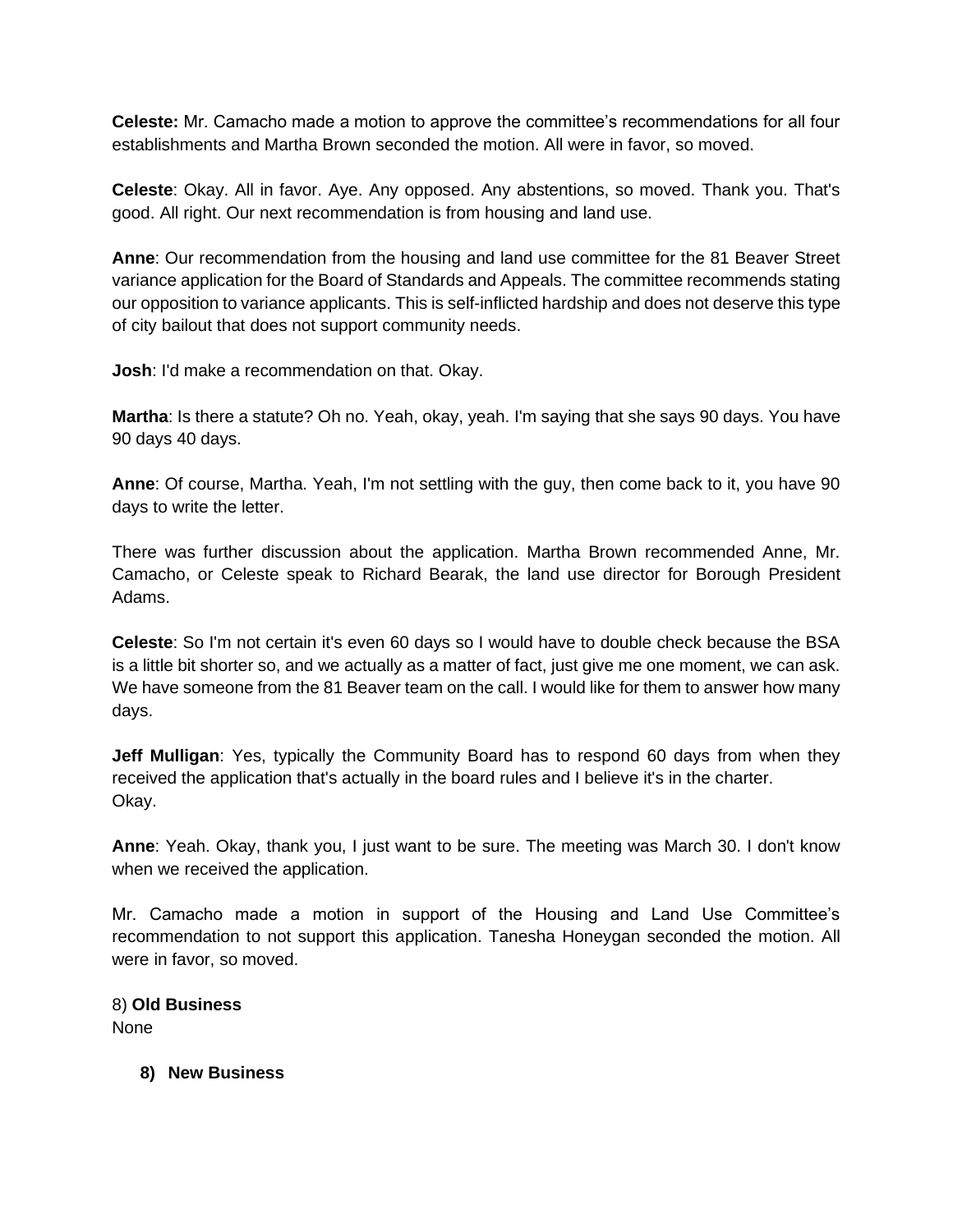**Celeste:** Mr. Camacho made a motion to approve the committee's recommendations for all four establishments and Martha Brown seconded the motion. All were in favor, so moved.

**Celeste**: Okay. All in favor. Aye. Any opposed. Any abstentions, so moved. Thank you. That's good. All right. Our next recommendation is from housing and land use.

**Anne**: Our recommendation from the housing and land use committee for the 81 Beaver Street variance application for the Board of Standards and Appeals. The committee recommends stating our opposition to variance applicants. This is self-inflicted hardship and does not deserve this type of city bailout that does not support community needs.

**Josh**: I'd make a recommendation on that. Okay.

**Martha**: Is there a statute? Oh no. Yeah, okay, yeah. I'm saying that she says 90 days. You have 90 days 40 days.

**Anne**: Of course, Martha. Yeah, I'm not settling with the guy, then come back to it, you have 90 days to write the letter.

There was further discussion about the application. Martha Brown recommended Anne, Mr. Camacho, or Celeste speak to Richard Bearak, the land use director for Borough President Adams.

**Celeste**: So I'm not certain it's even 60 days so I would have to double check because the BSA is a little bit shorter so, and we actually as a matter of fact, just give me one moment, we can ask. We have someone from the 81 Beaver team on the call. I would like for them to answer how many days.

**Jeff Mulligan**: Yes, typically the Community Board has to respond 60 days from when they received the application that's actually in the board rules and I believe it's in the charter. Okay.

**Anne**: Yeah. Okay, thank you, I just want to be sure. The meeting was March 30. I don't know when we received the application.

Mr. Camacho made a motion in support of the Housing and Land Use Committee's recommendation to not support this application. Tanesha Honeygan seconded the motion. All were in favor, so moved.

8) **Old Business** None

**8) New Business**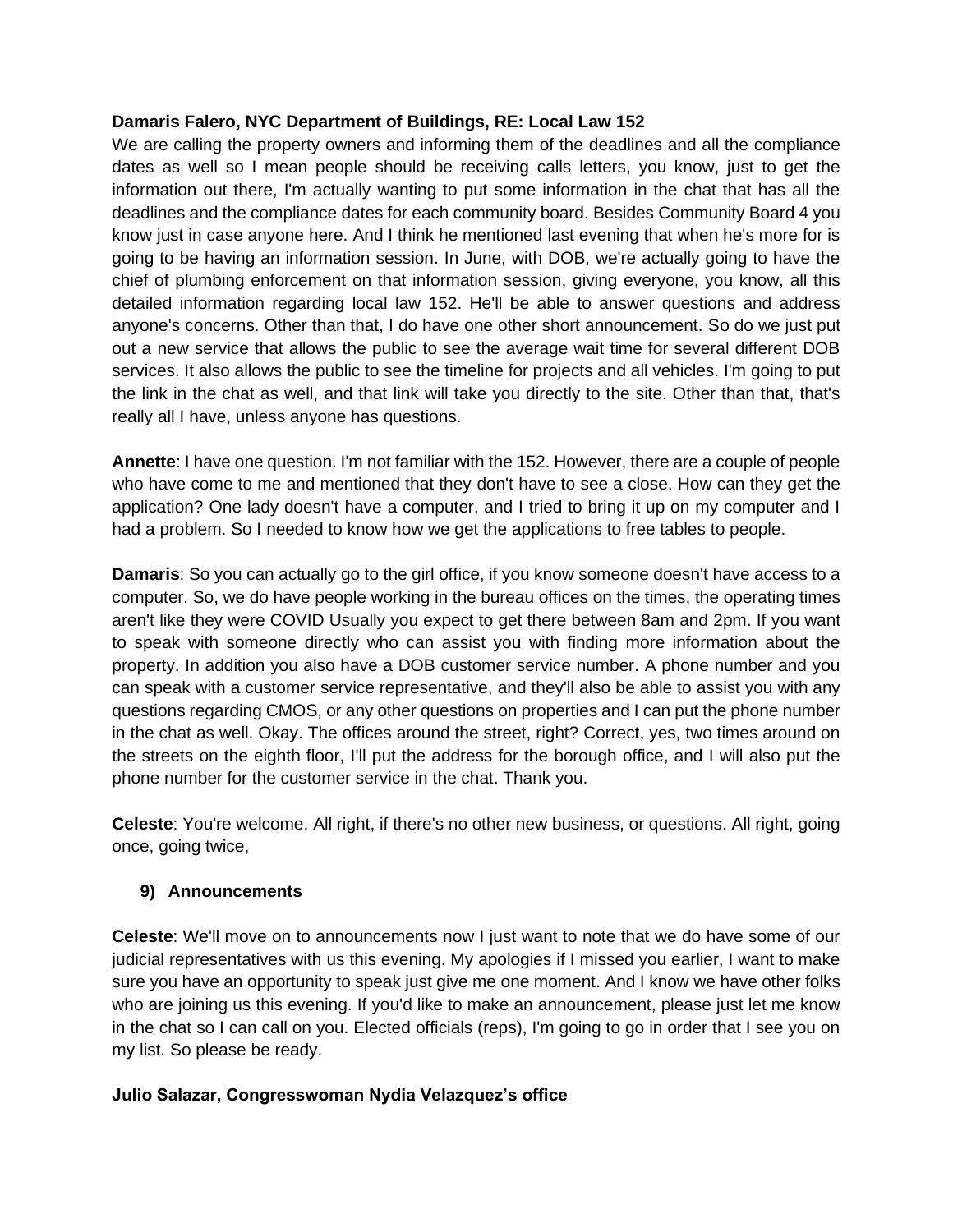### **Damaris Falero, NYC Department of Buildings, RE: Local Law 152**

We are calling the property owners and informing them of the deadlines and all the compliance dates as well so I mean people should be receiving calls letters, you know, just to get the information out there, I'm actually wanting to put some information in the chat that has all the deadlines and the compliance dates for each community board. Besides Community Board 4 you know just in case anyone here. And I think he mentioned last evening that when he's more for is going to be having an information session. In June, with DOB, we're actually going to have the chief of plumbing enforcement on that information session, giving everyone, you know, all this detailed information regarding local law 152. He'll be able to answer questions and address anyone's concerns. Other than that, I do have one other short announcement. So do we just put out a new service that allows the public to see the average wait time for several different DOB services. It also allows the public to see the timeline for projects and all vehicles. I'm going to put the link in the chat as well, and that link will take you directly to the site. Other than that, that's really all I have, unless anyone has questions.

**Annette**: I have one question. I'm not familiar with the 152. However, there are a couple of people who have come to me and mentioned that they don't have to see a close. How can they get the application? One lady doesn't have a computer, and I tried to bring it up on my computer and I had a problem. So I needed to know how we get the applications to free tables to people.

**Damaris**: So you can actually go to the girl office, if you know someone doesn't have access to a computer. So, we do have people working in the bureau offices on the times, the operating times aren't like they were COVID Usually you expect to get there between 8am and 2pm. If you want to speak with someone directly who can assist you with finding more information about the property. In addition you also have a DOB customer service number. A phone number and you can speak with a customer service representative, and they'll also be able to assist you with any questions regarding CMOS, or any other questions on properties and I can put the phone number in the chat as well. Okay. The offices around the street, right? Correct, yes, two times around on the streets on the eighth floor, I'll put the address for the borough office, and I will also put the phone number for the customer service in the chat. Thank you.

**Celeste**: You're welcome. All right, if there's no other new business, or questions. All right, going once, going twice,

### **9) Announcements**

**Celeste**: We'll move on to announcements now I just want to note that we do have some of our judicial representatives with us this evening. My apologies if I missed you earlier, I want to make sure you have an opportunity to speak just give me one moment. And I know we have other folks who are joining us this evening. If you'd like to make an announcement, please just let me know in the chat so I can call on you. Elected officials (reps), I'm going to go in order that I see you on my list. So please be ready.

### **Julio Salazar, Congresswoman Nydia Velazquez's office**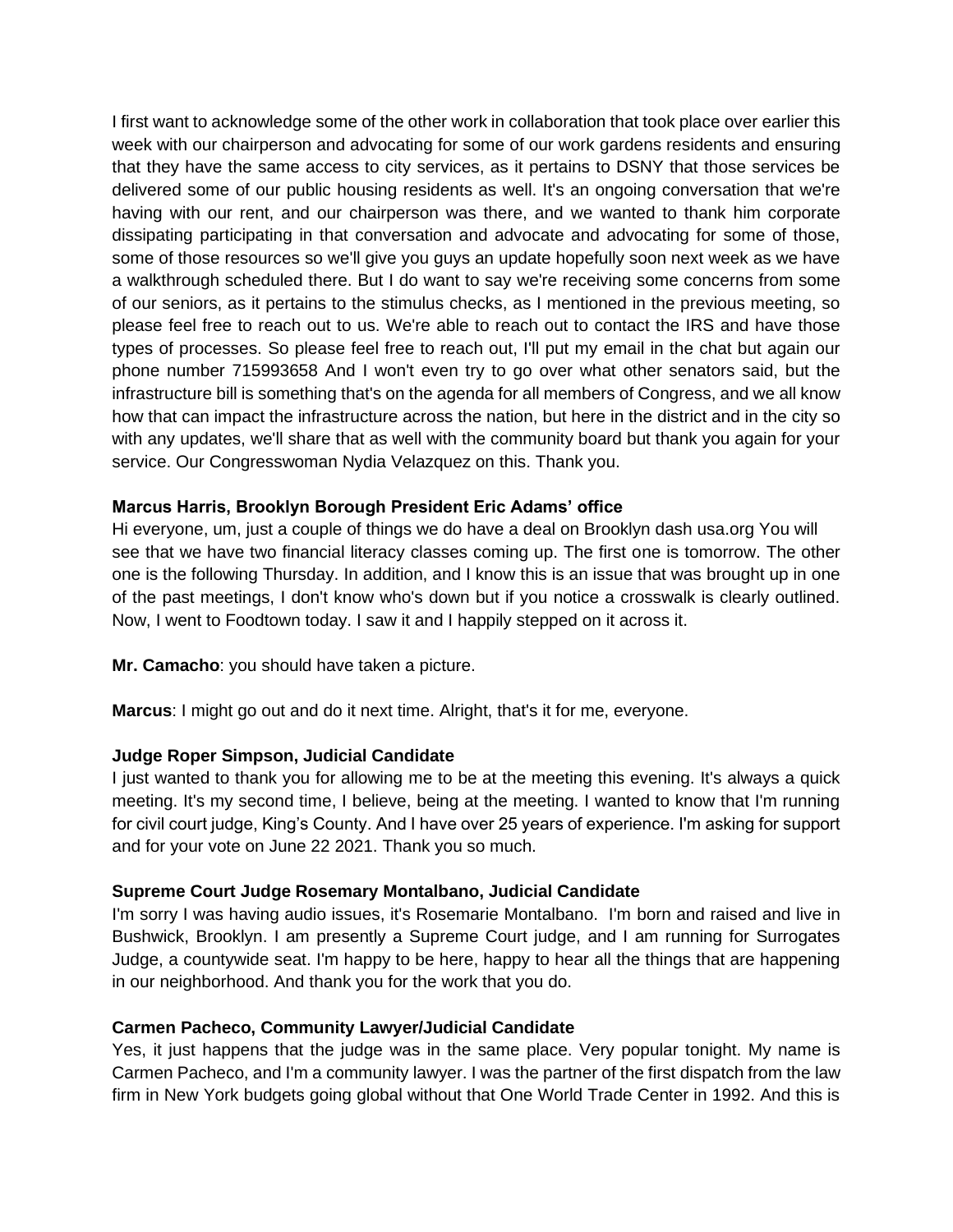I first want to acknowledge some of the other work in collaboration that took place over earlier this week with our chairperson and advocating for some of our work gardens residents and ensuring that they have the same access to city services, as it pertains to DSNY that those services be delivered some of our public housing residents as well. It's an ongoing conversation that we're having with our rent, and our chairperson was there, and we wanted to thank him corporate dissipating participating in that conversation and advocate and advocating for some of those, some of those resources so we'll give you guys an update hopefully soon next week as we have a walkthrough scheduled there. But I do want to say we're receiving some concerns from some of our seniors, as it pertains to the stimulus checks, as I mentioned in the previous meeting, so please feel free to reach out to us. We're able to reach out to contact the IRS and have those types of processes. So please feel free to reach out, I'll put my email in the chat but again our phone number 715993658 And I won't even try to go over what other senators said, but the infrastructure bill is something that's on the agenda for all members of Congress, and we all know how that can impact the infrastructure across the nation, but here in the district and in the city so with any updates, we'll share that as well with the community board but thank you again for your service. Our Congresswoman Nydia Velazquez on this. Thank you.

### **Marcus Harris, Brooklyn Borough President Eric Adams' office**

Hi everyone, um, just a couple of things we do have a deal on Brooklyn dash usa.org You will see that we have two financial literacy classes coming up. The first one is tomorrow. The other one is the following Thursday. In addition, and I know this is an issue that was brought up in one of the past meetings, I don't know who's down but if you notice a crosswalk is clearly outlined. Now, I went to Foodtown today. I saw it and I happily stepped on it across it.

**Mr. Camacho**: you should have taken a picture.

**Marcus**: I might go out and do it next time. Alright, that's it for me, everyone.

## **Judge Roper Simpson, Judicial Candidate**

I just wanted to thank you for allowing me to be at the meeting this evening. It's always a quick meeting. It's my second time, I believe, being at the meeting. I wanted to know that I'm running for civil court judge, King's County. And I have over 25 years of experience. I'm asking for support and for your vote on June 22 2021. Thank you so much.

## **Supreme Court Judge Rosemary Montalbano, Judicial Candidate**

I'm sorry I was having audio issues, it's Rosemarie Montalbano. I'm born and raised and live in Bushwick, Brooklyn. I am presently a Supreme Court judge, and I am running for Surrogates Judge, a countywide seat. I'm happy to be here, happy to hear all the things that are happening in our neighborhood. And thank you for the work that you do.

## **Carmen Pacheco, Community Lawyer/Judicial Candidate**

Yes, it just happens that the judge was in the same place. Very popular tonight. My name is Carmen Pacheco, and I'm a community lawyer. I was the partner of the first dispatch from the law firm in New York budgets going global without that One World Trade Center in 1992. And this is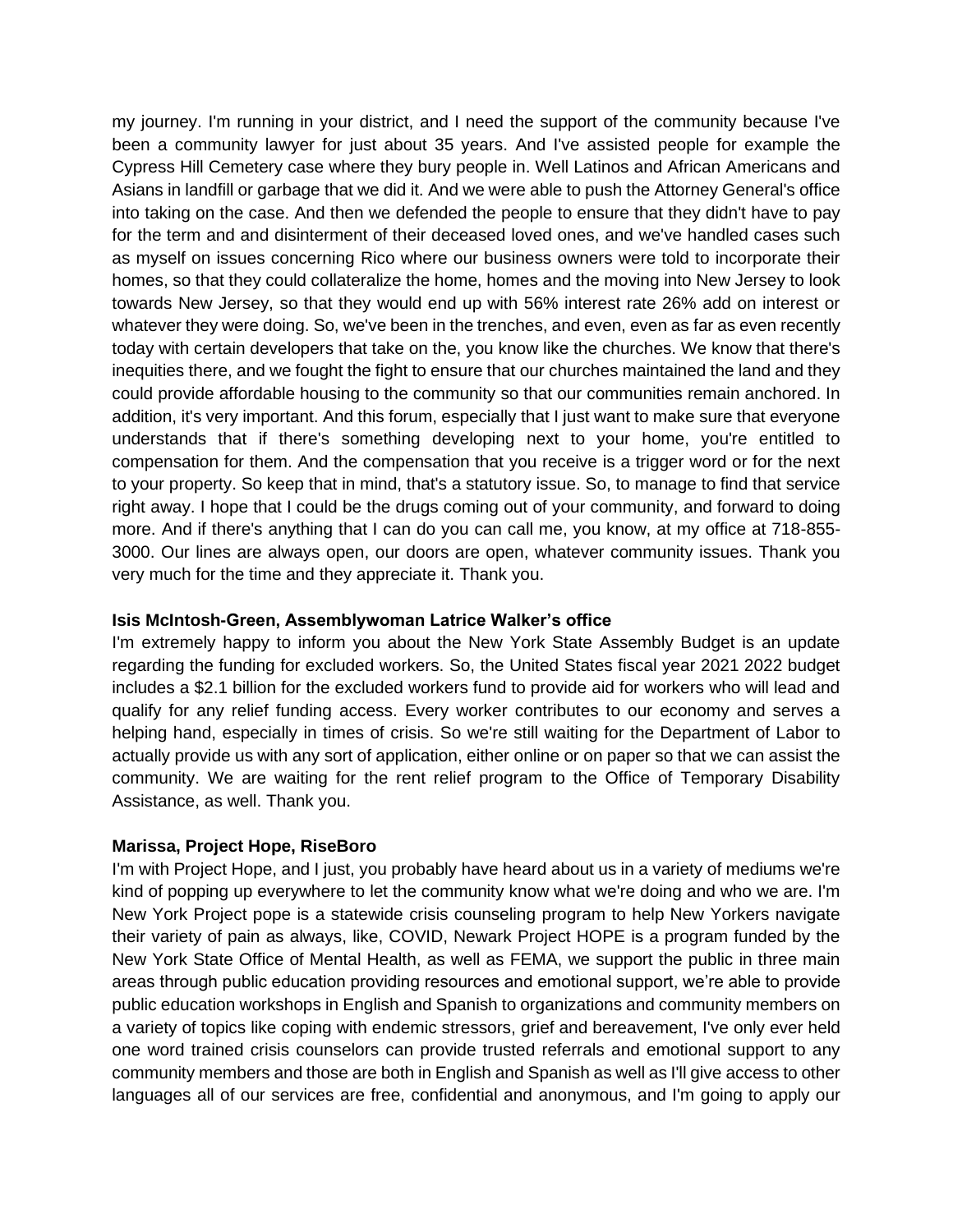my journey. I'm running in your district, and I need the support of the community because I've been a community lawyer for just about 35 years. And I've assisted people for example the Cypress Hill Cemetery case where they bury people in. Well Latinos and African Americans and Asians in landfill or garbage that we did it. And we were able to push the Attorney General's office into taking on the case. And then we defended the people to ensure that they didn't have to pay for the term and and disinterment of their deceased loved ones, and we've handled cases such as myself on issues concerning Rico where our business owners were told to incorporate their homes, so that they could collateralize the home, homes and the moving into New Jersey to look towards New Jersey, so that they would end up with 56% interest rate 26% add on interest or whatever they were doing. So, we've been in the trenches, and even, even as far as even recently today with certain developers that take on the, you know like the churches. We know that there's inequities there, and we fought the fight to ensure that our churches maintained the land and they could provide affordable housing to the community so that our communities remain anchored. In addition, it's very important. And this forum, especially that I just want to make sure that everyone understands that if there's something developing next to your home, you're entitled to compensation for them. And the compensation that you receive is a trigger word or for the next to your property. So keep that in mind, that's a statutory issue. So, to manage to find that service right away. I hope that I could be the drugs coming out of your community, and forward to doing more. And if there's anything that I can do you can call me, you know, at my office at 718-855- 3000. Our lines are always open, our doors are open, whatever community issues. Thank you very much for the time and they appreciate it. Thank you.

#### **Isis McIntosh-Green, Assemblywoman Latrice Walker's office**

I'm extremely happy to inform you about the New York State Assembly Budget is an update regarding the funding for excluded workers. So, the United States fiscal year 2021 2022 budget includes a \$2.1 billion for the excluded workers fund to provide aid for workers who will lead and qualify for any relief funding access. Every worker contributes to our economy and serves a helping hand, especially in times of crisis. So we're still waiting for the Department of Labor to actually provide us with any sort of application, either online or on paper so that we can assist the community. We are waiting for the rent relief program to the Office of Temporary Disability Assistance, as well. Thank you.

### **Marissa, Project Hope, RiseBoro**

I'm with Project Hope, and I just, you probably have heard about us in a variety of mediums we're kind of popping up everywhere to let the community know what we're doing and who we are. I'm New York Project pope is a statewide crisis counseling program to help New Yorkers navigate their variety of pain as always, like, COVID, Newark Project HOPE is a program funded by the New York State Office of Mental Health, as well as FEMA, we support the public in three main areas through public education providing resources and emotional support, we're able to provide public education workshops in English and Spanish to organizations and community members on a variety of topics like coping with endemic stressors, grief and bereavement, I've only ever held one word trained crisis counselors can provide trusted referrals and emotional support to any community members and those are both in English and Spanish as well as I'll give access to other languages all of our services are free, confidential and anonymous, and I'm going to apply our